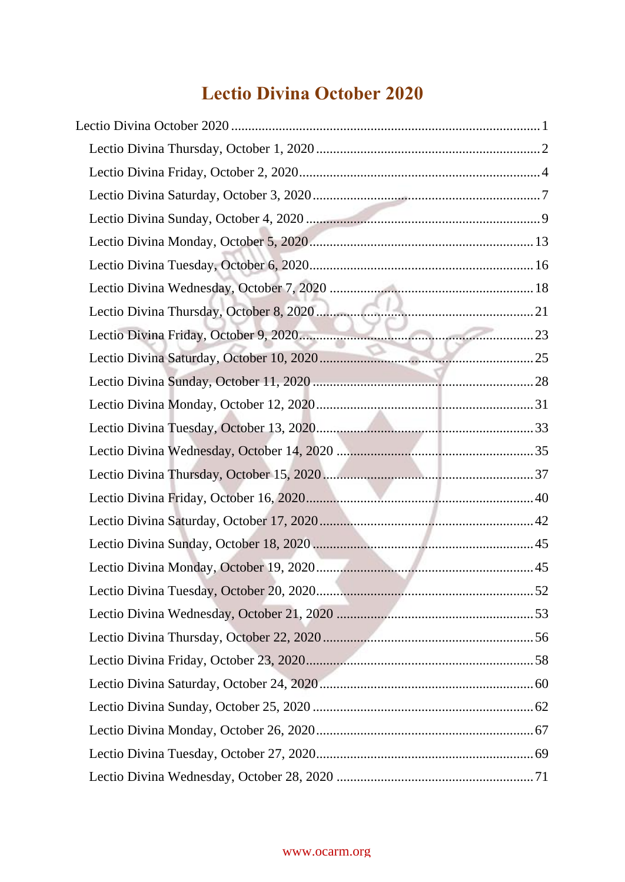# **Lectio Divina October 2020**

<span id="page-0-0"></span>

#### www.ocarm.org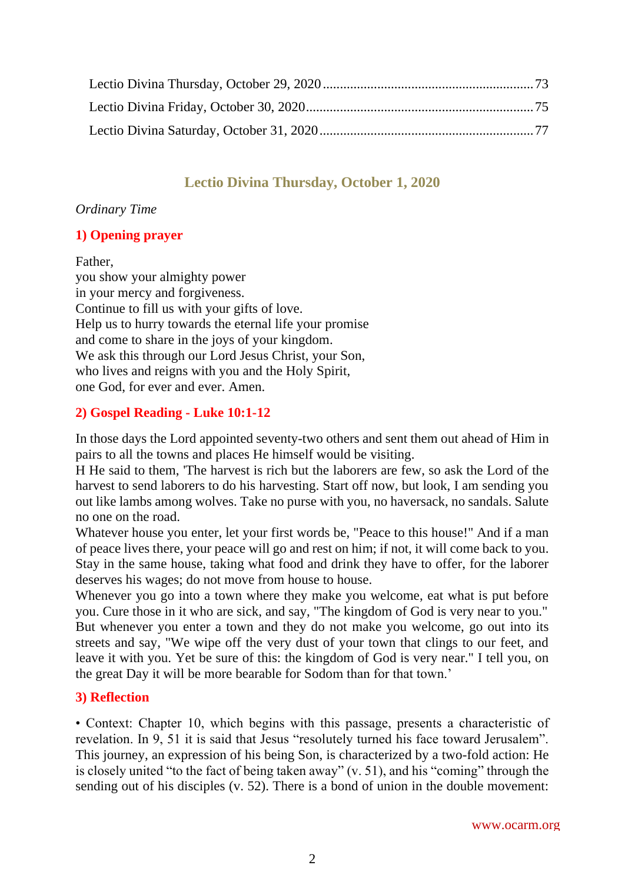# **Lectio Divina Thursday, October 1, 2020**

# <span id="page-1-0"></span>*Ordinary Time*

# **1) Opening prayer**

Father,

you show your almighty power in your mercy and forgiveness. Continue to fill us with your gifts of love. Help us to hurry towards the eternal life your promise and come to share in the joys of your kingdom. We ask this through our Lord Jesus Christ, your Son, who lives and reigns with you and the Holy Spirit, one God, for ever and ever. Amen.

# **2) Gospel Reading - Luke 10:1-12**

In those days the Lord appointed seventy-two others and sent them out ahead of Him in pairs to all the towns and places He himself would be visiting.

H He said to them, 'The harvest is rich but the laborers are few, so ask the Lord of the harvest to send laborers to do his harvesting. Start off now, but look, I am sending you out like lambs among wolves. Take no purse with you, no haversack, no sandals. Salute no one on the road.

Whatever house you enter, let your first words be, "Peace to this house!" And if a man of peace lives there, your peace will go and rest on him; if not, it will come back to you. Stay in the same house, taking what food and drink they have to offer, for the laborer deserves his wages; do not move from house to house.

Whenever you go into a town where they make you welcome, eat what is put before you. Cure those in it who are sick, and say, "The kingdom of God is very near to you." But whenever you enter a town and they do not make you welcome, go out into its streets and say, "We wipe off the very dust of your town that clings to our feet, and leave it with you. Yet be sure of this: the kingdom of God is very near." I tell you, on the great Day it will be more bearable for Sodom than for that town.'

# **3) Reflection**

• Context: Chapter 10, which begins with this passage, presents a characteristic of revelation. In 9, 51 it is said that Jesus "resolutely turned his face toward Jerusalem". This journey, an expression of his being Son, is characterized by a two-fold action: He is closely united "to the fact of being taken away" (v. 51), and his "coming" through the sending out of his disciples (v. 52). There is a bond of union in the double movement: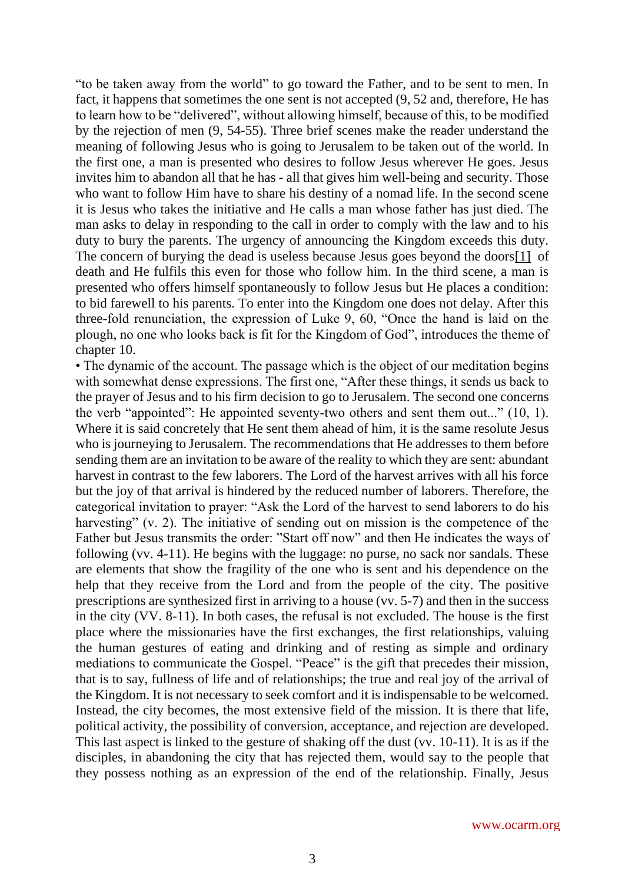"to be taken away from the world" to go toward the Father, and to be sent to men. In fact, it happens that sometimes the one sent is not accepted (9, 52 and, therefore, He has to learn how to be "delivered", without allowing himself, because of this, to be modified by the rejection of men (9, 54-55). Three brief scenes make the reader understand the meaning of following Jesus who is going to Jerusalem to be taken out of the world. In the first one, a man is presented who desires to follow Jesus wherever He goes. Jesus invites him to abandon all that he has - all that gives him well-being and security. Those who want to follow Him have to share his destiny of a nomad life. In the second scene it is Jesus who takes the initiative and He calls a man whose father has just died. The man asks to delay in responding to the call in order to comply with the law and to his duty to bury the parents. The urgency of announcing the Kingdom exceeds this duty. The concern of burying the dead is useless because Jesus goes beyond the door[s\[1\]](https://ocarm.org/en/content/lectio/lectio-luke-101-12#_msocom_1) of death and He fulfils this even for those who follow him. In the third scene, a man is presented who offers himself spontaneously to follow Jesus but He places a condition: to bid farewell to his parents. To enter into the Kingdom one does not delay. After this three-fold renunciation, the expression of Luke 9, 60, "Once the hand is laid on the plough, no one who looks back is fit for the Kingdom of God", introduces the theme of chapter 10.

• The dynamic of the account. The passage which is the object of our meditation begins with somewhat dense expressions. The first one, "After these things, it sends us back to the prayer of Jesus and to his firm decision to go to Jerusalem. The second one concerns the verb "appointed": He appointed seventy-two others and sent them out..." (10, 1). Where it is said concretely that He sent them ahead of him, it is the same resolute Jesus who is journeying to Jerusalem. The recommendations that He addresses to them before sending them are an invitation to be aware of the reality to which they are sent: abundant harvest in contrast to the few laborers. The Lord of the harvest arrives with all his force but the joy of that arrival is hindered by the reduced number of laborers. Therefore, the categorical invitation to prayer: "Ask the Lord of the harvest to send laborers to do his harvesting" (v. 2). The initiative of sending out on mission is the competence of the Father but Jesus transmits the order: "Start off now" and then He indicates the ways of following (vv. 4-11). He begins with the luggage: no purse, no sack nor sandals. These are elements that show the fragility of the one who is sent and his dependence on the help that they receive from the Lord and from the people of the city. The positive prescriptions are synthesized first in arriving to a house (vv. 5-7) and then in the success in the city (VV. 8-11). In both cases, the refusal is not excluded. The house is the first place where the missionaries have the first exchanges, the first relationships, valuing the human gestures of eating and drinking and of resting as simple and ordinary mediations to communicate the Gospel. "Peace" is the gift that precedes their mission, that is to say, fullness of life and of relationships; the true and real joy of the arrival of the Kingdom. It is not necessary to seek comfort and it is indispensable to be welcomed. Instead, the city becomes, the most extensive field of the mission. It is there that life, political activity, the possibility of conversion, acceptance, and rejection are developed. This last aspect is linked to the gesture of shaking off the dust (vv. 10-11). It is as if the disciples, in abandoning the city that has rejected them, would say to the people that they possess nothing as an expression of the end of the relationship. Finally, Jesus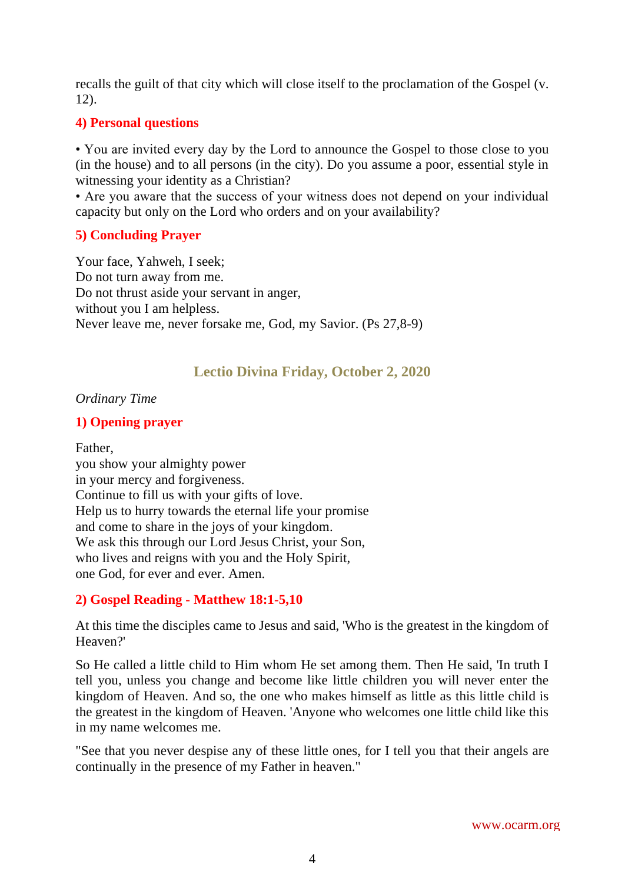recalls the guilt of that city which will close itself to the proclamation of the Gospel (v. 12).

# **4) Personal questions**

• You are invited every day by the Lord to announce the Gospel to those close to you (in the house) and to all persons (in the city). Do you assume a poor, essential style in witnessing your identity as a Christian?

• Are you aware that the success of your witness does not depend on your individual capacity but only on the Lord who orders and on your availability?

# **5) Concluding Prayer**

Your face, Yahweh, I seek; Do not turn away from me. Do not thrust aside your servant in anger, without you I am helpless. Never leave me, never forsake me, God, my Savior. (Ps 27,8-9)

# **Lectio Divina Friday, October 2, 2020**

#### <span id="page-3-0"></span>*Ordinary Time*

# **1) Opening prayer**

Father, you show your almighty power in your mercy and forgiveness. Continue to fill us with your gifts of love. Help us to hurry towards the eternal life your promise and come to share in the joys of your kingdom. We ask this through our Lord Jesus Christ, your Son, who lives and reigns with you and the Holy Spirit, one God, for ever and ever. Amen.

# **2) Gospel Reading - Matthew 18:1-5,10**

At this time the disciples came to Jesus and said, 'Who is the greatest in the kingdom of Heaven?'

So He called a little child to Him whom He set among them. Then He said, 'In truth I tell you, unless you change and become like little children you will never enter the kingdom of Heaven. And so, the one who makes himself as little as this little child is the greatest in the kingdom of Heaven. 'Anyone who welcomes one little child like this in my name welcomes me.

"See that you never despise any of these little ones, for I tell you that their angels are continually in the presence of my Father in heaven."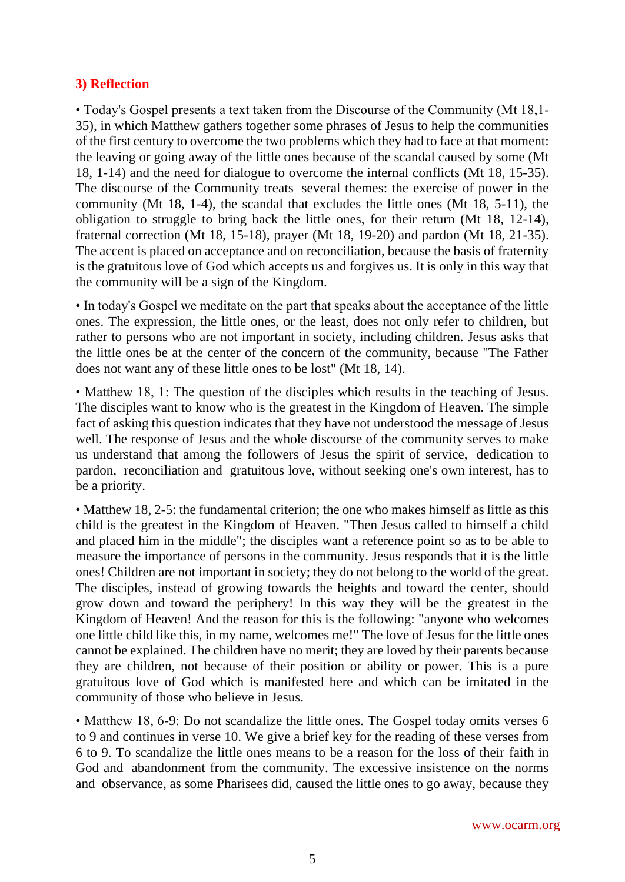# **3) Reflection**

• Today's Gospel presents a text taken from the Discourse of the Community (Mt 18,1- 35), in which Matthew gathers together some phrases of Jesus to help the communities of the first century to overcome the two problems which they had to face at that moment: the leaving or going away of the little ones because of the scandal caused by some (Mt 18, 1-14) and the need for dialogue to overcome the internal conflicts (Mt 18, 15-35). The discourse of the Community treats several themes: the exercise of power in the community (Mt 18, 1-4), the scandal that excludes the little ones (Mt 18, 5-11), the obligation to struggle to bring back the little ones, for their return (Mt 18, 12-14), fraternal correction (Mt 18, 15-18), prayer (Mt 18, 19-20) and pardon (Mt 18, 21-35). The accent is placed on acceptance and on reconciliation, because the basis of fraternity is the gratuitous love of God which accepts us and forgives us. It is only in this way that the community will be a sign of the Kingdom.

• In today's Gospel we meditate on the part that speaks about the acceptance of the little ones. The expression, the little ones, or the least, does not only refer to children, but rather to persons who are not important in society, including children. Jesus asks that the little ones be at the center of the concern of the community, because "The Father does not want any of these little ones to be lost" (Mt 18, 14).

• Matthew 18, 1: The question of the disciples which results in the teaching of Jesus. The disciples want to know who is the greatest in the Kingdom of Heaven. The simple fact of asking this question indicates that they have not understood the message of Jesus well. The response of Jesus and the whole discourse of the community serves to make us understand that among the followers of Jesus the spirit of service, dedication to pardon, reconciliation and gratuitous love, without seeking one's own interest, has to be a priority.

• Matthew 18, 2-5: the fundamental criterion; the one who makes himself as little as this child is the greatest in the Kingdom of Heaven. "Then Jesus called to himself a child and placed him in the middle"; the disciples want a reference point so as to be able to measure the importance of persons in the community. Jesus responds that it is the little ones! Children are not important in society; they do not belong to the world of the great. The disciples, instead of growing towards the heights and toward the center, should grow down and toward the periphery! In this way they will be the greatest in the Kingdom of Heaven! And the reason for this is the following: "anyone who welcomes one little child like this, in my name, welcomes me!" The love of Jesus for the little ones cannot be explained. The children have no merit; they are loved by their parents because they are children, not because of their position or ability or power. This is a pure gratuitous love of God which is manifested here and which can be imitated in the community of those who believe in Jesus.

• Matthew 18, 6-9: Do not scandalize the little ones. The Gospel today omits verses 6 to 9 and continues in verse 10. We give a brief key for the reading of these verses from 6 to 9. To scandalize the little ones means to be a reason for the loss of their faith in God and abandonment from the community. The excessive insistence on the norms and observance, as some Pharisees did, caused the little ones to go away, because they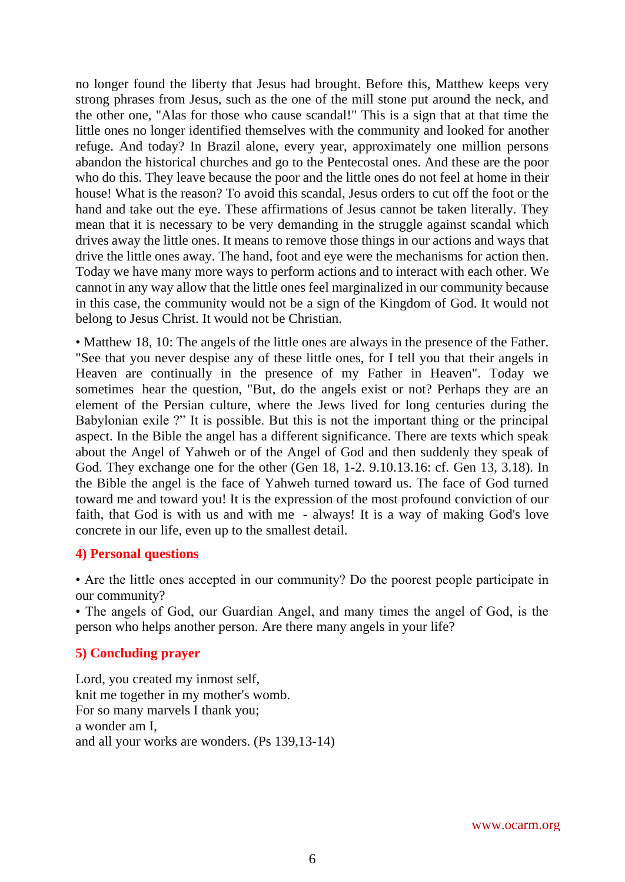no longer found the liberty that Jesus had brought. Before this, Matthew keeps very strong phrases from Jesus, such as the one of the mill stone put around the neck, and the other one, "Alas for those who cause scandal!" This is a sign that at that time the little ones no longer identified themselves with the community and looked for another refuge. And today? In Brazil alone, every year, approximately one million persons abandon the historical churches and go to the Pentecostal ones. And these are the poor who do this. They leave because the poor and the little ones do not feel at home in their house! What is the reason? To avoid this scandal, Jesus orders to cut off the foot or the hand and take out the eye. These affirmations of Jesus cannot be taken literally. They mean that it is necessary to be very demanding in the struggle against scandal which drives away the little ones. It means to remove those things in our actions and ways that drive the little ones away. The hand, foot and eye were the mechanisms for action then. Today we have many more ways to perform actions and to interact with each other. We cannot in any way allow that the little ones feel marginalized in our community because in this case, the community would not be a sign of the Kingdom of God. It would not belong to Jesus Christ. It would not be Christian.

• Matthew 18, 10: The angels of the little ones are always in the presence of the Father. "See that you never despise any of these little ones, for I tell you that their angels in Heaven are continually in the presence of my Father in Heaven". Today we sometimes hear the question, "But, do the angels exist or not? Perhaps they are an element of the Persian culture, where the Jews lived for long centuries during the Babylonian exile ?" It is possible. But this is not the important thing or the principal aspect. In the Bible the angel has a different significance. There are texts which speak about the Angel of Yahweh or of the Angel of God and then suddenly they speak of God. They exchange one for the other (Gen 18, 1-2. 9.10.13.16: cf. Gen 13, 3.18). In the Bible the angel is the face of Yahweh turned toward us. The face of God turned toward me and toward you! It is the expression of the most profound conviction of our faith, that God is with us and with me - always! It is a way of making God's love concrete in our life, even up to the smallest detail.

#### **4) Personal questions**

• Are the little ones accepted in our community? Do the poorest people participate in our community?

• The angels of God, our Guardian Angel, and many times the angel of God, is the person who helps another person. Are there many angels in your life?

# **5) Concluding prayer**

Lord, you created my inmost self, knit me together in my mother's womb. For so many marvels I thank you; a wonder am I, and all your works are wonders. (Ps 139,13-14)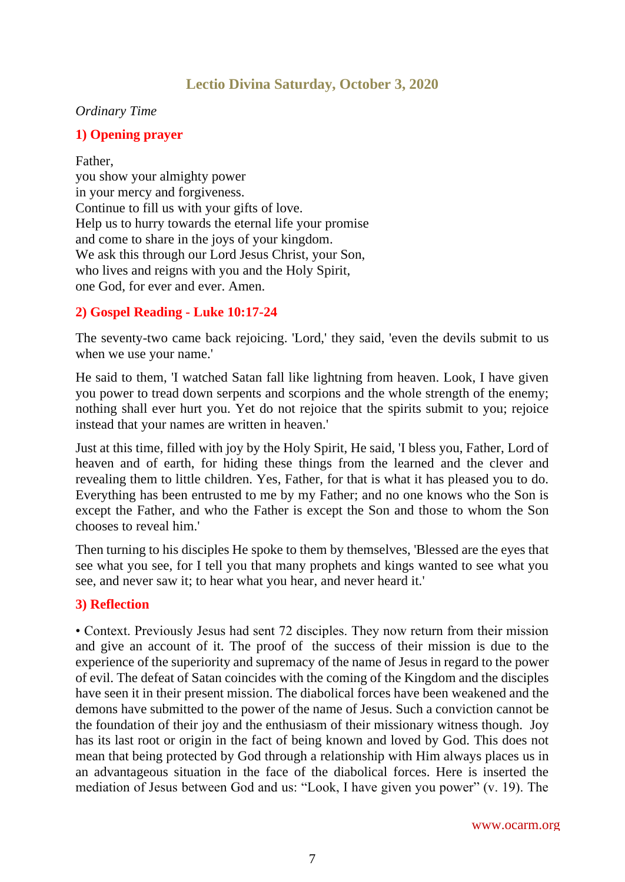# **Lectio Divina Saturday, October 3, 2020**

<span id="page-6-0"></span>*Ordinary Time*

#### **1) Opening prayer**

Father, you show your almighty power in your mercy and forgiveness. Continue to fill us with your gifts of love. Help us to hurry towards the eternal life your promise and come to share in the joys of your kingdom. We ask this through our Lord Jesus Christ, your Son, who lives and reigns with you and the Holy Spirit, one God, for ever and ever. Amen.

# **2) Gospel Reading - Luke 10:17-24**

The seventy-two came back rejoicing. 'Lord,' they said, 'even the devils submit to us when we use your name.'

He said to them, 'I watched Satan fall like lightning from heaven. Look, I have given you power to tread down serpents and scorpions and the whole strength of the enemy; nothing shall ever hurt you. Yet do not rejoice that the spirits submit to you; rejoice instead that your names are written in heaven.'

Just at this time, filled with joy by the Holy Spirit, He said, 'I bless you, Father, Lord of heaven and of earth, for hiding these things from the learned and the clever and revealing them to little children. Yes, Father, for that is what it has pleased you to do. Everything has been entrusted to me by my Father; and no one knows who the Son is except the Father, and who the Father is except the Son and those to whom the Son chooses to reveal him.'

Then turning to his disciples He spoke to them by themselves, 'Blessed are the eyes that see what you see, for I tell you that many prophets and kings wanted to see what you see, and never saw it; to hear what you hear, and never heard it.'

# **3) Reflection**

• Context. Previously Jesus had sent 72 disciples. They now return from their mission and give an account of it. The proof of the success of their mission is due to the experience of the superiority and supremacy of the name of Jesus in regard to the power of evil. The defeat of Satan coincides with the coming of the Kingdom and the disciples have seen it in their present mission. The diabolical forces have been weakened and the demons have submitted to the power of the name of Jesus. Such a conviction cannot be the foundation of their joy and the enthusiasm of their missionary witness though. Joy has its last root or origin in the fact of being known and loved by God. This does not mean that being protected by God through a relationship with Him always places us in an advantageous situation in the face of the diabolical forces. Here is inserted the mediation of Jesus between God and us: "Look, I have given you power" (v. 19). The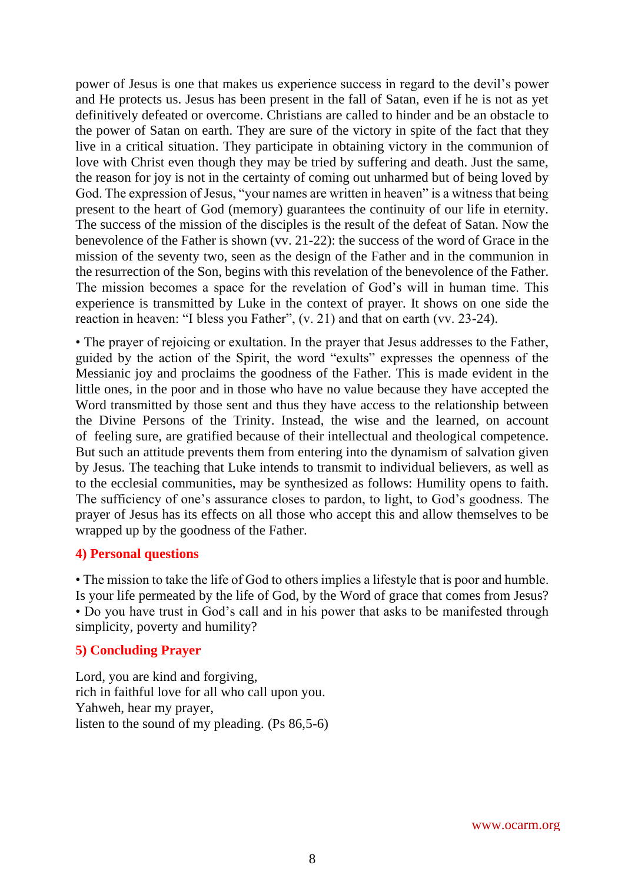power of Jesus is one that makes us experience success in regard to the devil's power and He protects us. Jesus has been present in the fall of Satan, even if he is not as yet definitively defeated or overcome. Christians are called to hinder and be an obstacle to the power of Satan on earth. They are sure of the victory in spite of the fact that they live in a critical situation. They participate in obtaining victory in the communion of love with Christ even though they may be tried by suffering and death. Just the same, the reason for joy is not in the certainty of coming out unharmed but of being loved by God. The expression of Jesus, "your names are written in heaven" is a witness that being present to the heart of God (memory) guarantees the continuity of our life in eternity. The success of the mission of the disciples is the result of the defeat of Satan. Now the benevolence of the Father is shown (vv. 21-22): the success of the word of Grace in the mission of the seventy two, seen as the design of the Father and in the communion in the resurrection of the Son, begins with this revelation of the benevolence of the Father. The mission becomes a space for the revelation of God's will in human time. This experience is transmitted by Luke in the context of prayer. It shows on one side the reaction in heaven: "I bless you Father", (v. 21) and that on earth (vv. 23-24).

• The prayer of rejoicing or exultation. In the prayer that Jesus addresses to the Father, guided by the action of the Spirit, the word "exults" expresses the openness of the Messianic joy and proclaims the goodness of the Father. This is made evident in the little ones, in the poor and in those who have no value because they have accepted the Word transmitted by those sent and thus they have access to the relationship between the Divine Persons of the Trinity. Instead, the wise and the learned, on account of feeling sure, are gratified because of their intellectual and theological competence. But such an attitude prevents them from entering into the dynamism of salvation given by Jesus. The teaching that Luke intends to transmit to individual believers, as well as to the ecclesial communities, may be synthesized as follows: Humility opens to faith. The sufficiency of one's assurance closes to pardon, to light, to God's goodness. The prayer of Jesus has its effects on all those who accept this and allow themselves to be wrapped up by the goodness of the Father.

#### **4) Personal questions**

• The mission to take the life of God to others implies a lifestyle that is poor and humble. Is your life permeated by the life of God, by the Word of grace that comes from Jesus? • Do you have trust in God's call and in his power that asks to be manifested through simplicity, poverty and humility?

#### **5) Concluding Prayer**

Lord, you are kind and forgiving, rich in faithful love for all who call upon you. Yahweh, hear my prayer, listen to the sound of my pleading. (Ps 86,5-6)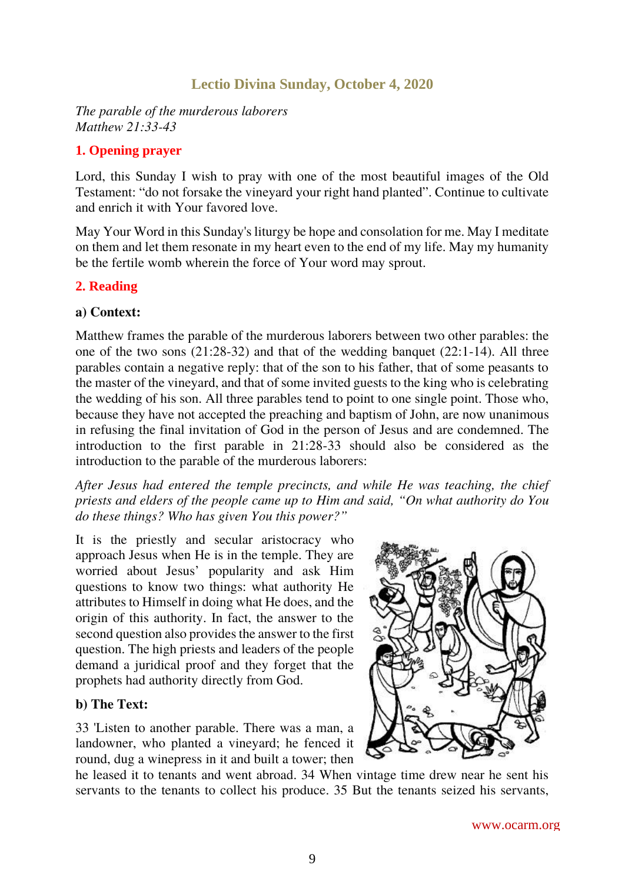# **Lectio Divina Sunday, October 4, 2020**

<span id="page-8-0"></span>*The parable of the murderous laborers Matthew 21:33-43*

#### **1. Opening prayer**

Lord, this Sunday I wish to pray with one of the most beautiful images of the Old Testament: "do not forsake the vineyard your right hand planted". Continue to cultivate and enrich it with Your favored love.

May Your Word in this Sunday's liturgy be hope and consolation for me. May I meditate on them and let them resonate in my heart even to the end of my life. May my humanity be the fertile womb wherein the force of Your word may sprout.

#### **2. Reading**

#### **a) Context:**

Matthew frames the parable of the murderous laborers between two other parables: the one of the two sons (21:28-32) and that of the wedding banquet (22:1-14). All three parables contain a negative reply: that of the son to his father, that of some peasants to the master of the vineyard, and that of some invited guests to the king who is celebrating the wedding of his son. All three parables tend to point to one single point. Those who, because they have not accepted the preaching and baptism of John, are now unanimous in refusing the final invitation of God in the person of Jesus and are condemned. The introduction to the first parable in 21:28-33 should also be considered as the introduction to the parable of the murderous laborers:

*After Jesus had entered the temple precincts, and while He was teaching, the chief priests and elders of the people came up to Him and said, "On what authority do You do these things? Who has given You this power?"*

It is the priestly and secular aristocracy who approach Jesus when He is in the temple. They are worried about Jesus' popularity and ask Him questions to know two things: what authority He attributes to Himself in doing what He does, and the origin of this authority. In fact, the answer to the second question also provides the answer to the first question. The high priests and leaders of the people demand a juridical proof and they forget that the prophets had authority directly from God.

#### **b) The Text:**

33 'Listen to another parable. There was a man, a landowner, who planted a vineyard; he fenced it round, dug a winepress in it and built a tower; then



he leased it to tenants and went abroad. 34 When vintage time drew near he sent his servants to the tenants to collect his produce. 35 But the tenants seized his servants,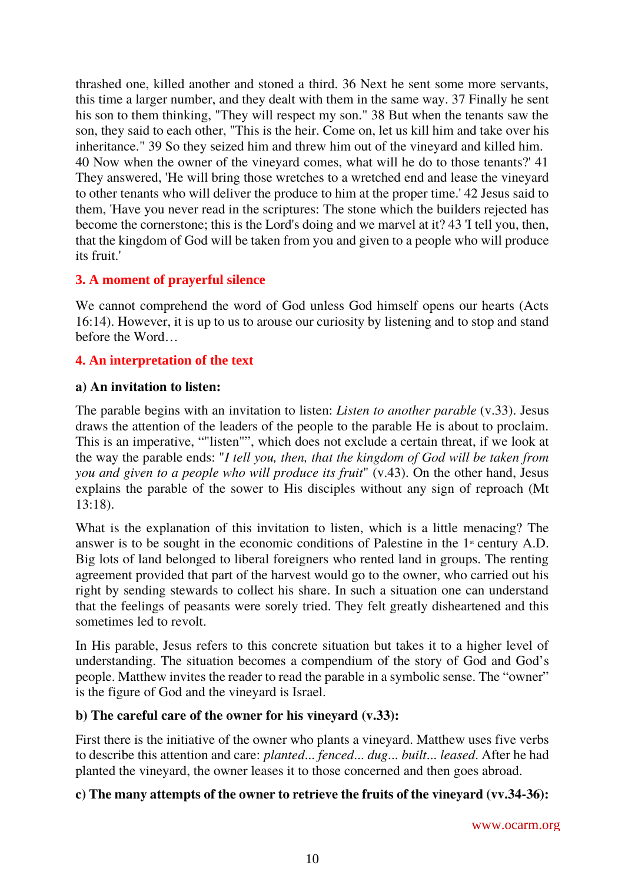thrashed one, killed another and stoned a third. 36 Next he sent some more servants, this time a larger number, and they dealt with them in the same way. 37 Finally he sent his son to them thinking, "They will respect my son." 38 But when the tenants saw the son, they said to each other, "This is the heir. Come on, let us kill him and take over his inheritance." 39 So they seized him and threw him out of the vineyard and killed him. 40 Now when the owner of the vineyard comes, what will he do to those tenants?' 41 They answered, 'He will bring those wretches to a wretched end and lease the vineyard to other tenants who will deliver the produce to him at the proper time.' 42 Jesus said to them, 'Have you never read in the scriptures: The stone which the builders rejected has become the cornerstone; this is the Lord's doing and we marvel at it? 43 'I tell you, then, that the kingdom of God will be taken from you and given to a people who will produce its fruit.'

# **3. A moment of prayerful silence**

We cannot comprehend the word of God unless God himself opens our hearts (Acts 16:14). However, it is up to us to arouse our curiosity by listening and to stop and stand before the Word…

# **4. An interpretation of the text**

#### **a) An invitation to listen:**

The parable begins with an invitation to listen: *Listen to another parable* (v.33). Jesus draws the attention of the leaders of the people to the parable He is about to proclaim. This is an imperative, ""listen"", which does not exclude a certain threat, if we look at the way the parable ends: "*I tell you, then, that the kingdom of God will be taken from you and given to a people who will produce its fruit*" (v.43). On the other hand, Jesus explains the parable of the sower to His disciples without any sign of reproach (Mt 13:18).

What is the explanation of this invitation to listen, which is a little menacing? The answer is to be sought in the economic conditions of Palestine in the  $1<sup>st</sup>$  century A.D. Big lots of land belonged to liberal foreigners who rented land in groups. The renting agreement provided that part of the harvest would go to the owner, who carried out his right by sending stewards to collect his share. In such a situation one can understand that the feelings of peasants were sorely tried. They felt greatly disheartened and this sometimes led to revolt.

In His parable, Jesus refers to this concrete situation but takes it to a higher level of understanding. The situation becomes a compendium of the story of God and God's people. Matthew invites the reader to read the parable in a symbolic sense. The "owner" is the figure of God and the vineyard is Israel.

# **b) The careful care of the owner for his vineyard (v.33):**

First there is the initiative of the owner who plants a vineyard. Matthew uses five verbs to describe this attention and care: *planted*... *fenced*... *dug*... *built*... *leased*. After he had planted the vineyard, the owner leases it to those concerned and then goes abroad.

# **c) The many attempts of the owner to retrieve the fruits of the vineyard (vv.34-36):**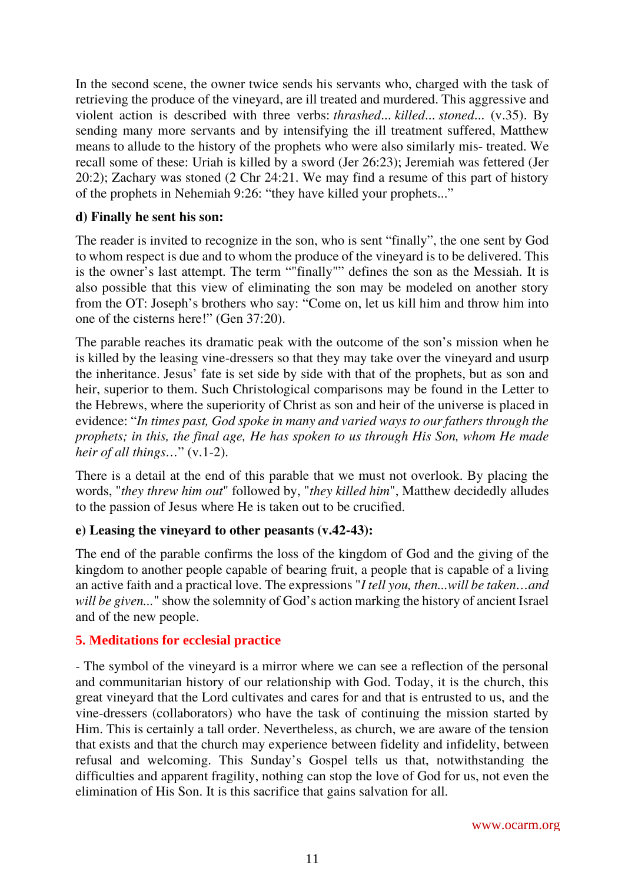In the second scene, the owner twice sends his servants who, charged with the task of retrieving the produce of the vineyard, are ill treated and murdered. This aggressive and violent action is described with three verbs: *thrashed*... *killed*... *stoned*... (v.35). By sending many more servants and by intensifying the ill treatment suffered, Matthew means to allude to the history of the prophets who were also similarly mis- treated. We recall some of these: Uriah is killed by a sword (Jer 26:23); Jeremiah was fettered (Jer 20:2); Zachary was stoned (2 Chr 24:21. We may find a resume of this part of history of the prophets in Nehemiah 9:26: "they have killed your prophets..."

# **d) Finally he sent his son:**

The reader is invited to recognize in the son, who is sent "finally", the one sent by God to whom respect is due and to whom the produce of the vineyard is to be delivered. This is the owner's last attempt. The term ""finally"" defines the son as the Messiah. It is also possible that this view of eliminating the son may be modeled on another story from the OT: Joseph's brothers who say: "Come on, let us kill him and throw him into one of the cisterns here!" (Gen 37:20).

The parable reaches its dramatic peak with the outcome of the son's mission when he is killed by the leasing vine-dressers so that they may take over the vineyard and usurp the inheritance. Jesus' fate is set side by side with that of the prophets, but as son and heir, superior to them. Such Christological comparisons may be found in the Letter to the Hebrews, where the superiority of Christ as son and heir of the universe is placed in evidence: "*In times past, God spoke in many and varied ways to our fathers through the prophets; in this, the final age, He has spoken to us through His Son, whom He made heir of all things…*" (v.1-2).

There is a detail at the end of this parable that we must not overlook. By placing the words, "*they threw him out*" followed by, "*they killed him*", Matthew decidedly alludes to the passion of Jesus where He is taken out to be crucified.

# **e) Leasing the vineyard to other peasants (v.42-43):**

The end of the parable confirms the loss of the kingdom of God and the giving of the kingdom to another people capable of bearing fruit, a people that is capable of a living an active faith and a practical love. The expressions "*I tell you, then...will be taken…and will be given...*" show the solemnity of God's action marking the history of ancient Israel and of the new people.

# **5. Meditations for ecclesial practice**

- The symbol of the vineyard is a mirror where we can see a reflection of the personal and communitarian history of our relationship with God. Today, it is the church, this great vineyard that the Lord cultivates and cares for and that is entrusted to us, and the vine-dressers (collaborators) who have the task of continuing the mission started by Him. This is certainly a tall order. Nevertheless, as church, we are aware of the tension that exists and that the church may experience between fidelity and infidelity, between refusal and welcoming. This Sunday's Gospel tells us that, notwithstanding the difficulties and apparent fragility, nothing can stop the love of God for us, not even the elimination of His Son. It is this sacrifice that gains salvation for all.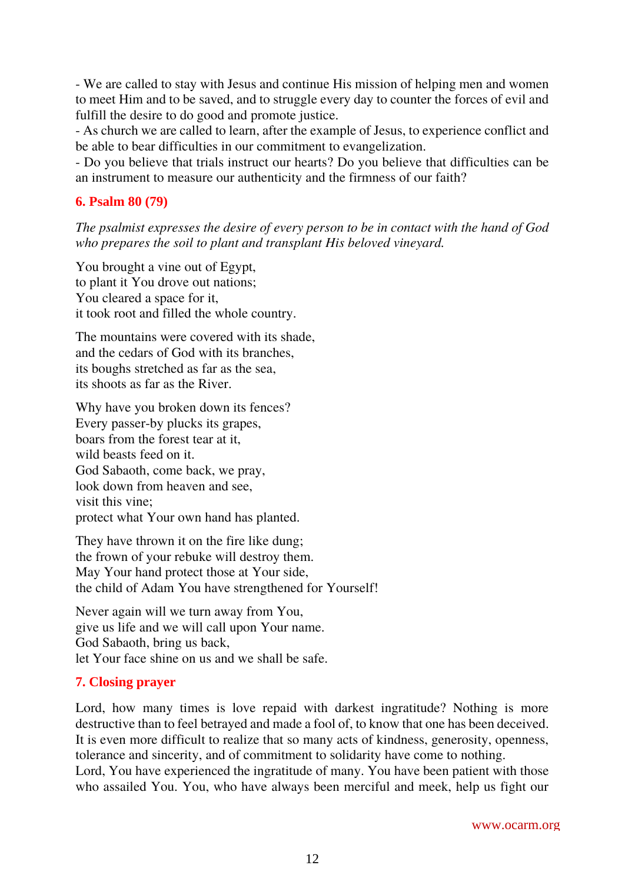- We are called to stay with Jesus and continue His mission of helping men and women to meet Him and to be saved, and to struggle every day to counter the forces of evil and fulfill the desire to do good and promote justice.

- As church we are called to learn, after the example of Jesus, to experience conflict and be able to bear difficulties in our commitment to evangelization.

- Do you believe that trials instruct our hearts? Do you believe that difficulties can be an instrument to measure our authenticity and the firmness of our faith?

# **6. Psalm 80 (79)**

#### *The psalmist expresses the desire of every person to be in contact with the hand of God who prepares the soil to plant and transplant His beloved vineyard.*

You brought a vine out of Egypt, to plant it You drove out nations; You cleared a space for it, it took root and filled the whole country.

The mountains were covered with its shade, and the cedars of God with its branches, its boughs stretched as far as the sea, its shoots as far as the River.

Why have you broken down its fences? Every passer-by plucks its grapes, boars from the forest tear at it, wild beasts feed on it. God Sabaoth, come back, we pray, look down from heaven and see, visit this vine; protect what Your own hand has planted.

They have thrown it on the fire like dung; the frown of your rebuke will destroy them. May Your hand protect those at Your side, the child of Adam You have strengthened for Yourself!

Never again will we turn away from You, give us life and we will call upon Your name. God Sabaoth, bring us back, let Your face shine on us and we shall be safe.

# **7. Closing prayer**

Lord, how many times is love repaid with darkest ingratitude? Nothing is more destructive than to feel betrayed and made a fool of, to know that one has been deceived. It is even more difficult to realize that so many acts of kindness, generosity, openness, tolerance and sincerity, and of commitment to solidarity have come to nothing. Lord, You have experienced the ingratitude of many. You have been patient with those who assailed You. You, who have always been merciful and meek, help us fight our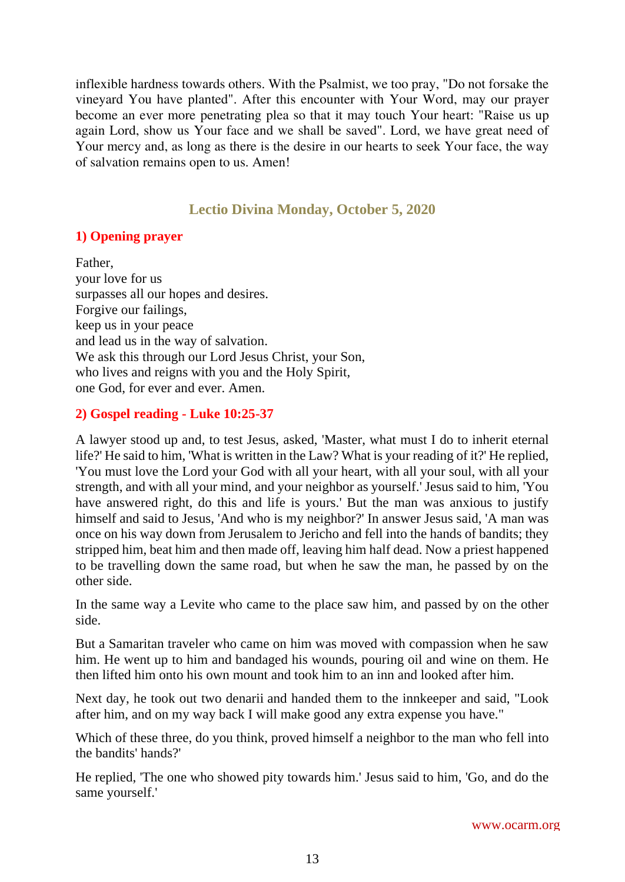inflexible hardness towards others. With the Psalmist, we too pray, "Do not forsake the vineyard You have planted". After this encounter with Your Word, may our prayer become an ever more penetrating plea so that it may touch Your heart: "Raise us up again Lord, show us Your face and we shall be saved". Lord, we have great need of Your mercy and, as long as there is the desire in our hearts to seek Your face, the way of salvation remains open to us. Amen!

# **Lectio Divina Monday, October 5, 2020**

# <span id="page-12-0"></span>**1) Opening prayer**

Father, your love for us surpasses all our hopes and desires. Forgive our failings, keep us in your peace and lead us in the way of salvation. We ask this through our Lord Jesus Christ, your Son, who lives and reigns with you and the Holy Spirit, one God, for ever and ever. Amen.

# **2) Gospel reading - Luke 10:25-37**

A lawyer stood up and, to test Jesus, asked, 'Master, what must I do to inherit eternal life?' He said to him, 'What is written in the Law? What is your reading of it?' He replied, 'You must love the Lord your God with all your heart, with all your soul, with all your strength, and with all your mind, and your neighbor as yourself.' Jesus said to him, 'You have answered right, do this and life is yours.' But the man was anxious to justify himself and said to Jesus, 'And who is my neighbor?' In answer Jesus said, 'A man was once on his way down from Jerusalem to Jericho and fell into the hands of bandits; they stripped him, beat him and then made off, leaving him half dead. Now a priest happened to be travelling down the same road, but when he saw the man, he passed by on the other side.

In the same way a Levite who came to the place saw him, and passed by on the other side.

But a Samaritan traveler who came on him was moved with compassion when he saw him. He went up to him and bandaged his wounds, pouring oil and wine on them. He then lifted him onto his own mount and took him to an inn and looked after him.

Next day, he took out two denarii and handed them to the innkeeper and said, "Look after him, and on my way back I will make good any extra expense you have."

Which of these three, do you think, proved himself a neighbor to the man who fell into the bandits' hands?'

He replied, 'The one who showed pity towards him.' Jesus said to him, 'Go, and do the same yourself.'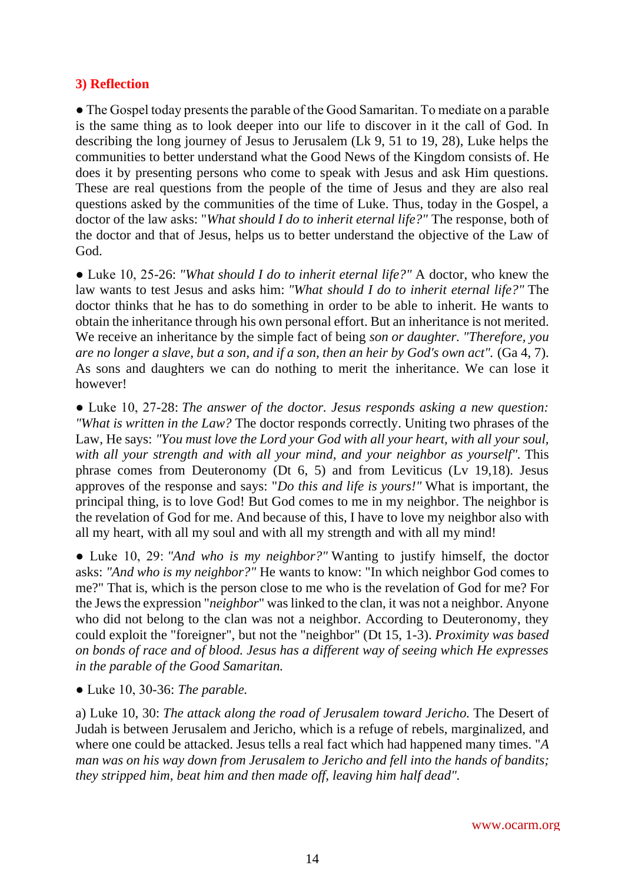# **3) Reflection**

● The Gospel today presents the parable of the Good Samaritan. To mediate on a parable is the same thing as to look deeper into our life to discover in it the call of God. In describing the long journey of Jesus to Jerusalem (Lk 9, 51 to 19, 28), Luke helps the communities to better understand what the Good News of the Kingdom consists of. He does it by presenting persons who come to speak with Jesus and ask Him questions. These are real questions from the people of the time of Jesus and they are also real questions asked by the communities of the time of Luke. Thus, today in the Gospel, a doctor of the law asks: "*What should I do to inherit eternal life?"* The response, both of the doctor and that of Jesus, helps us to better understand the objective of the Law of God.

● Luke 10, 25-26: *"What should I do to inherit eternal life?"* A doctor, who knew the law wants to test Jesus and asks him: *"What should I do to inherit eternal life?"* The doctor thinks that he has to do something in order to be able to inherit. He wants to obtain the inheritance through his own personal effort. But an inheritance is not merited. We receive an inheritance by the simple fact of being *son or daughter. "Therefore, you are no longer a slave, but a son, and if a son, then an heir by God's own act".* (Ga 4, 7). As sons and daughters we can do nothing to merit the inheritance. We can lose it however!

● Luke 10, 27-28: *The answer of the doctor. Jesus responds asking a new question: "What is written in the Law?* The doctor responds correctly. Uniting two phrases of the Law, He says: *"You must love the Lord your God with all your heart, with all your soul, with all your strength and with all your mind, and your neighbor as yourself".* This phrase comes from Deuteronomy (Dt 6, 5) and from Leviticus (Lv 19,18). Jesus approves of the response and says: "*Do this and life is yours!"* What is important, the principal thing, is to love God! But God comes to me in my neighbor. The neighbor is the revelation of God for me. And because of this, I have to love my neighbor also with all my heart, with all my soul and with all my strength and with all my mind!

● Luke 10, 29: *"And who is my neighbor?"* Wanting to justify himself, the doctor asks: *"And who is my neighbor?"* He wants to know: "In which neighbor God comes to me?" That is, which is the person close to me who is the revelation of God for me? For the Jews the expression "*neighbor*" was linked to the clan, it was not a neighbor. Anyone who did not belong to the clan was not a neighbor. According to Deuteronomy, they could exploit the "foreigner", but not the "neighbor" (Dt 15, 1-3). *Proximity was based on bonds of race and of blood. Jesus has a different way of seeing which He expresses in the parable of the Good Samaritan.*

● Luke 10, 30-36: *The parable.*

a) Luke 10, 30: *The attack along the road of Jerusalem toward Jericho.* The Desert of Judah is between Jerusalem and Jericho, which is a refuge of rebels, marginalized, and where one could be attacked. Jesus tells a real fact which had happened many times. "*A man was on his way down from Jerusalem to Jericho and fell into the hands of bandits; they stripped him, beat him and then made off, leaving him half dead".*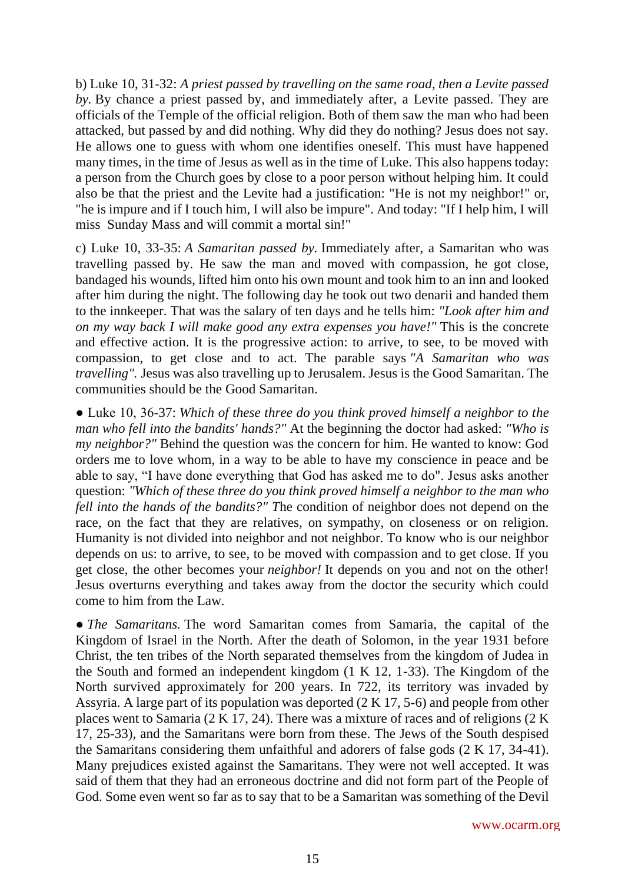b) Luke 10, 31-32: *A priest passed by travelling on the same road, then a Levite passed by.* By chance a priest passed by, and immediately after, a Levite passed. They are officials of the Temple of the official religion. Both of them saw the man who had been attacked, but passed by and did nothing. Why did they do nothing? Jesus does not say. He allows one to guess with whom one identifies oneself. This must have happened many times, in the time of Jesus as well as in the time of Luke. This also happens today: a person from the Church goes by close to a poor person without helping him. It could also be that the priest and the Levite had a justification: "He is not my neighbor!" or, "he is impure and if I touch him, I will also be impure". And today: "If I help him, I will miss Sunday Mass and will commit a mortal sin!"

c) Luke 10, 33-35: *A Samaritan passed by.* Immediately after, a Samaritan who was travelling passed by. He saw the man and moved with compassion, he got close, bandaged his wounds, lifted him onto his own mount and took him to an inn and looked after him during the night. The following day he took out two denarii and handed them to the innkeeper. That was the salary of ten days and he tells him: *"Look after him and on my way back I will make good any extra expenses you have!"* This is the concrete and effective action. It is the progressive action: to arrive, to see, to be moved with compassion, to get close and to act. The parable says *"A Samaritan who was travelling".* Jesus was also travelling up to Jerusalem. Jesus is the Good Samaritan. The communities should be the Good Samaritan.

● Luke 10, 36-37: *Which of these three do you think proved himself a neighbor to the man who fell into the bandits' hands?"* At the beginning the doctor had asked: *"Who is my neighbor?"* Behind the question was the concern for him. He wanted to know: God orders me to love whom, in a way to be able to have my conscience in peace and be able to say, "I have done everything that God has asked me to do". Jesus asks another question: *"Which of these three do you think proved himself a neighbor to the man who fell into the hands of the bandits?" T*he condition of neighbor does not depend on the race, on the fact that they are relatives, on sympathy, on closeness or on religion. Humanity is not divided into neighbor and not neighbor. To know who is our neighbor depends on us: to arrive, to see, to be moved with compassion and to get close. If you get close, the other becomes your *neighbor!* It depends on you and not on the other! Jesus overturns everything and takes away from the doctor the security which could come to him from the Law.

• *The Samaritans*. The word Samaritan comes from Samaria, the capital of the Kingdom of Israel in the North. After the death of Solomon, in the year 1931 before Christ, the ten tribes of the North separated themselves from the kingdom of Judea in the South and formed an independent kingdom (1 K 12, 1-33). The Kingdom of the North survived approximately for 200 years. In 722, its territory was invaded by Assyria. A large part of its population was deported (2 K 17, 5-6) and people from other places went to Samaria (2 K 17, 24). There was a mixture of races and of religions (2 K 17, 25-33), and the Samaritans were born from these. The Jews of the South despised the Samaritans considering them unfaithful and adorers of false gods (2 K 17, 34-41). Many prejudices existed against the Samaritans. They were not well accepted. It was said of them that they had an erroneous doctrine and did not form part of the People of God. Some even went so far as to say that to be a Samaritan was something of the Devil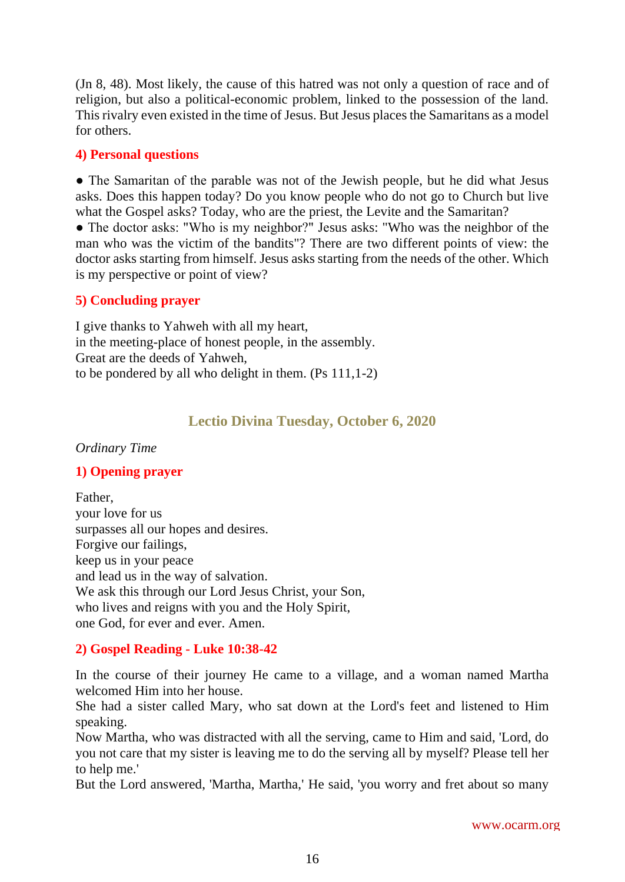(Jn 8, 48). Most likely, the cause of this hatred was not only a question of race and of religion, but also a political-economic problem, linked to the possession of the land. This rivalry even existed in the time of Jesus. But Jesus places the Samaritans as a model for others.

#### **4) Personal questions**

• The Samaritan of the parable was not of the Jewish people, but he did what Jesus asks. Does this happen today? Do you know people who do not go to Church but live what the Gospel asks? Today, who are the priest, the Levite and the Samaritan?

• The doctor asks: "Who is my neighbor?" Jesus asks: "Who was the neighbor of the man who was the victim of the bandits"? There are two different points of view: the doctor asks starting from himself. Jesus asks starting from the needs of the other. Which is my perspective or point of view?

# **5) Concluding prayer**

I give thanks to Yahweh with all my heart, in the meeting-place of honest people, in the assembly. Great are the deeds of Yahweh, to be pondered by all who delight in them. (Ps 111,1-2)

# **Lectio Divina Tuesday, October 6, 2020**

#### <span id="page-15-0"></span>*Ordinary Time*

# **1) Opening prayer**

Father, your love for us surpasses all our hopes and desires. Forgive our failings, keep us in your peace and lead us in the way of salvation. We ask this through our Lord Jesus Christ, your Son, who lives and reigns with you and the Holy Spirit, one God, for ever and ever. Amen.

# **2) Gospel Reading - Luke 10:38-42**

In the course of their journey He came to a village, and a woman named Martha welcomed Him into her house.

She had a sister called Mary, who sat down at the Lord's feet and listened to Him speaking.

Now Martha, who was distracted with all the serving, came to Him and said, 'Lord, do you not care that my sister is leaving me to do the serving all by myself? Please tell her to help me.'

But the Lord answered, 'Martha, Martha,' He said, 'you worry and fret about so many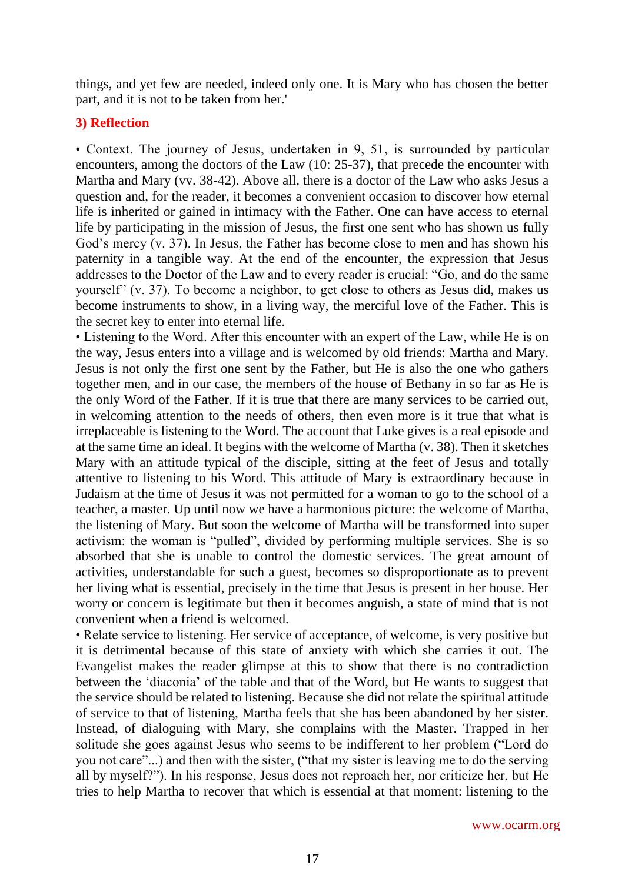things, and yet few are needed, indeed only one. It is Mary who has chosen the better part, and it is not to be taken from her.'

#### **3) Reflection**

• Context. The journey of Jesus, undertaken in 9, 51, is surrounded by particular encounters, among the doctors of the Law (10: 25-37), that precede the encounter with Martha and Mary (vv. 38-42). Above all, there is a doctor of the Law who asks Jesus a question and, for the reader, it becomes a convenient occasion to discover how eternal life is inherited or gained in intimacy with the Father. One can have access to eternal life by participating in the mission of Jesus, the first one sent who has shown us fully God's mercy (v. 37). In Jesus, the Father has become close to men and has shown his paternity in a tangible way. At the end of the encounter, the expression that Jesus addresses to the Doctor of the Law and to every reader is crucial: "Go, and do the same yourself" (v. 37). To become a neighbor, to get close to others as Jesus did, makes us become instruments to show, in a living way, the merciful love of the Father. This is the secret key to enter into eternal life.

• Listening to the Word. After this encounter with an expert of the Law, while He is on the way, Jesus enters into a village and is welcomed by old friends: Martha and Mary. Jesus is not only the first one sent by the Father, but He is also the one who gathers together men, and in our case, the members of the house of Bethany in so far as He is the only Word of the Father. If it is true that there are many services to be carried out, in welcoming attention to the needs of others, then even more is it true that what is irreplaceable is listening to the Word. The account that Luke gives is a real episode and at the same time an ideal. It begins with the welcome of Martha (v. 38). Then it sketches Mary with an attitude typical of the disciple, sitting at the feet of Jesus and totally attentive to listening to his Word. This attitude of Mary is extraordinary because in Judaism at the time of Jesus it was not permitted for a woman to go to the school of a teacher, a master. Up until now we have a harmonious picture: the welcome of Martha, the listening of Mary. But soon the welcome of Martha will be transformed into super activism: the woman is "pulled", divided by performing multiple services. She is so absorbed that she is unable to control the domestic services. The great amount of activities, understandable for such a guest, becomes so disproportionate as to prevent her living what is essential, precisely in the time that Jesus is present in her house. Her worry or concern is legitimate but then it becomes anguish, a state of mind that is not convenient when a friend is welcomed.

• Relate service to listening. Her service of acceptance, of welcome, is very positive but it is detrimental because of this state of anxiety with which she carries it out. The Evangelist makes the reader glimpse at this to show that there is no contradiction between the 'diaconia' of the table and that of the Word, but He wants to suggest that the service should be related to listening. Because she did not relate the spiritual attitude of service to that of listening, Martha feels that she has been abandoned by her sister. Instead, of dialoguing with Mary, she complains with the Master. Trapped in her solitude she goes against Jesus who seems to be indifferent to her problem ("Lord do you not care"...) and then with the sister, ("that my sister is leaving me to do the serving all by myself?"). In his response, Jesus does not reproach her, nor criticize her, but He tries to help Martha to recover that which is essential at that moment: listening to the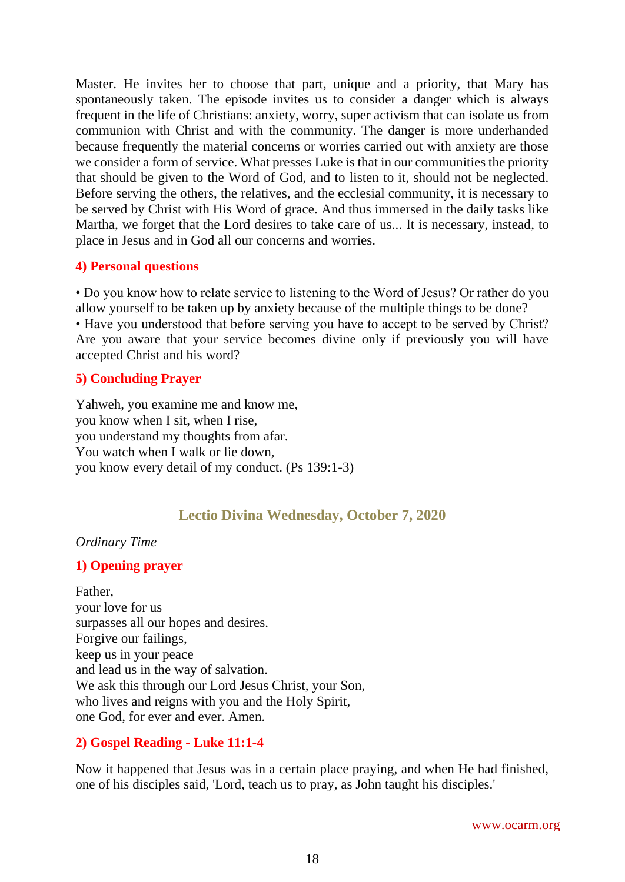Master. He invites her to choose that part, unique and a priority, that Mary has spontaneously taken. The episode invites us to consider a danger which is always frequent in the life of Christians: anxiety, worry, super activism that can isolate us from communion with Christ and with the community. The danger is more underhanded because frequently the material concerns or worries carried out with anxiety are those we consider a form of service. What presses Luke is that in our communities the priority that should be given to the Word of God, and to listen to it, should not be neglected. Before serving the others, the relatives, and the ecclesial community, it is necessary to be served by Christ with His Word of grace. And thus immersed in the daily tasks like Martha, we forget that the Lord desires to take care of us... It is necessary, instead, to place in Jesus and in God all our concerns and worries.

# **4) Personal questions**

• Do you know how to relate service to listening to the Word of Jesus? Or rather do you allow yourself to be taken up by anxiety because of the multiple things to be done? • Have you understood that before serving you have to accept to be served by Christ? Are you aware that your service becomes divine only if previously you will have accepted Christ and his word?

# **5) Concluding Prayer**

Yahweh, you examine me and know me, you know when I sit, when I rise, you understand my thoughts from afar. You watch when I walk or lie down, you know every detail of my conduct. (Ps 139:1-3)

# **Lectio Divina Wednesday, October 7, 2020**

<span id="page-17-0"></span>*Ordinary Time*

# **1) Opening prayer**

Father, your love for us surpasses all our hopes and desires. Forgive our failings, keep us in your peace and lead us in the way of salvation. We ask this through our Lord Jesus Christ, your Son, who lives and reigns with you and the Holy Spirit, one God, for ever and ever. Amen.

# **2) Gospel Reading - Luke 11:1-4**

Now it happened that Jesus was in a certain place praying, and when He had finished, one of his disciples said, 'Lord, teach us to pray, as John taught his disciples.'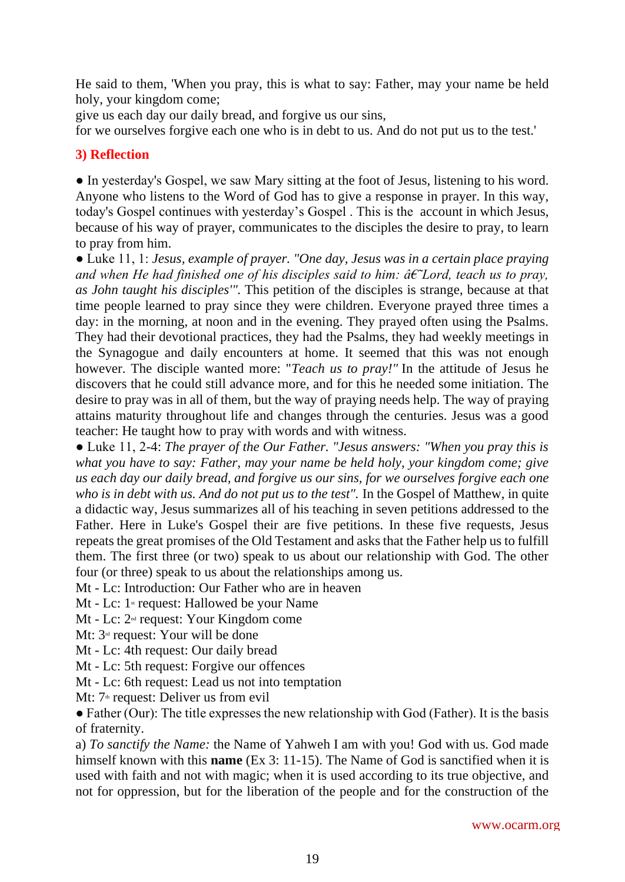He said to them, 'When you pray, this is what to say: Father, may your name be held holy, your kingdom come;

give us each day our daily bread, and forgive us our sins,

for we ourselves forgive each one who is in debt to us. And do not put us to the test.'

# **3) Reflection**

● In yesterday's Gospel, we saw Mary sitting at the foot of Jesus, listening to his word. Anyone who listens to the Word of God has to give a response in prayer. In this way, today's Gospel continues with yesterday's Gospel . This is the account in which Jesus, because of his way of prayer, communicates to the disciples the desire to pray, to learn to pray from him.

● Luke 11, 1: *Jesus, example of prayer. "One day, Jesus was in a certain place praying*  and when He had finished one of his disciples said to him:  $\hat{a}\hat{\epsilon}$  Lord, teach us to pray, *as John taught his disciples'".* This petition of the disciples is strange, because at that time people learned to pray since they were children. Everyone prayed three times a day: in the morning, at noon and in the evening. They prayed often using the Psalms. They had their devotional practices, they had the Psalms, they had weekly meetings in the Synagogue and daily encounters at home. It seemed that this was not enough however. The disciple wanted more: "*Teach us to pray!"* In the attitude of Jesus he discovers that he could still advance more, and for this he needed some initiation. The desire to pray was in all of them, but the way of praying needs help. The way of praying attains maturity throughout life and changes through the centuries. Jesus was a good teacher: He taught how to pray with words and with witness.

● Luke 11, 2-4: *The prayer of the Our Father. "Jesus answers: "When you pray this is what you have to say: Father, may your name be held holy, your kingdom come; give us each day our daily bread, and forgive us our sins, for we ourselves forgive each one who is in debt with us. And do not put us to the test".* In the Gospel of Matthew, in quite a didactic way, Jesus summarizes all of his teaching in seven petitions addressed to the Father. Here in Luke's Gospel their are five petitions. In these five requests, Jesus repeats the great promises of the Old Testament and asks that the Father help us to fulfill them. The first three (or two) speak to us about our relationship with God. The other four (or three) speak to us about the relationships among us.

Mt - Lc: Introduction: Our Father who are in heaven

 $Mt - Lc: 1$ <sup>st</sup> request: Hallowed be your Name

Mt - Lc:  $2<sup>nd</sup>$  request: Your Kingdom come

Mt:  $3<sup>rd</sup>$  request: Your will be done

Mt - Lc: 4th request: Our daily bread

Mt - Lc: 5th request: Forgive our offences

Mt - Lc: 6th request: Lead us not into temptation

Mt:  $7<sup>th</sup>$  request: Deliver us from evil

● Father (Our): The title expresses the new relationship with God (Father). It is the basis of fraternity.

a) *To sanctify the Name:* the Name of Yahweh I am with you! God with us. God made himself known with this **name** (Ex 3: 11-15). The Name of God is sanctified when it is used with faith and not with magic; when it is used according to its true objective, and not for oppression, but for the liberation of the people and for the construction of the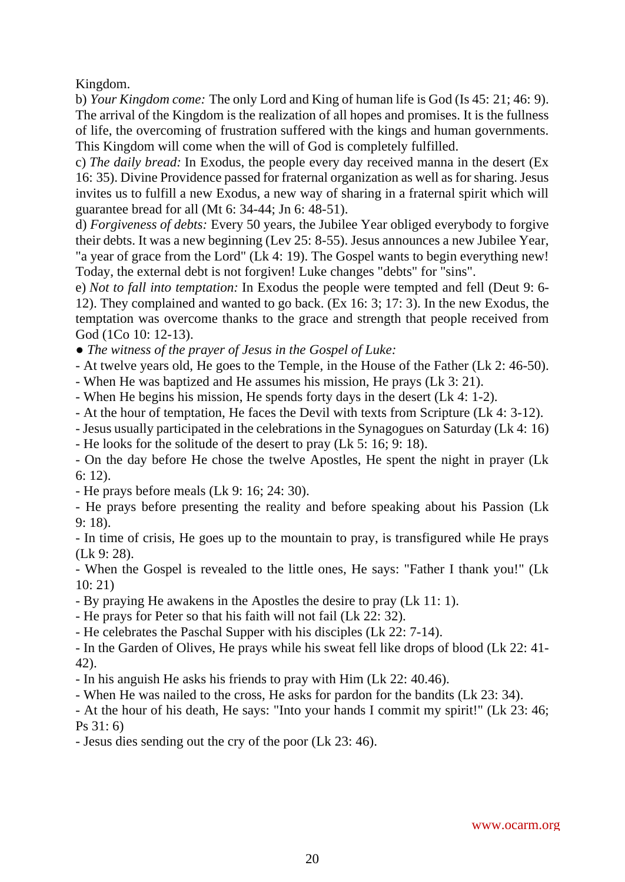Kingdom.

b) *Your Kingdom come:* The only Lord and King of human life is God (Is 45: 21; 46: 9). The arrival of the Kingdom is the realization of all hopes and promises. It is the fullness of life, the overcoming of frustration suffered with the kings and human governments. This Kingdom will come when the will of God is completely fulfilled.

c) *The daily bread:* In Exodus, the people every day received manna in the desert (Ex 16: 35). Divine Providence passed for fraternal organization as well as for sharing. Jesus invites us to fulfill a new Exodus, a new way of sharing in a fraternal spirit which will guarantee bread for all (Mt 6: 34-44; Jn 6: 48-51).

d) *Forgiveness of debts:* Every 50 years, the Jubilee Year obliged everybody to forgive their debts. It was a new beginning (Lev 25: 8-55). Jesus announces a new Jubilee Year, "a year of grace from the Lord" (Lk 4: 19). The Gospel wants to begin everything new! Today, the external debt is not forgiven! Luke changes "debts" for "sins".

e) *Not to fall into temptation:* In Exodus the people were tempted and fell (Deut 9: 6- 12). They complained and wanted to go back. (Ex 16: 3; 17: 3). In the new Exodus, the temptation was overcome thanks to the grace and strength that people received from God (1Co 10: 12-13).

● *The witness of the prayer of Jesus in the Gospel of Luke:*

- At twelve years old, He goes to the Temple, in the House of the Father (Lk 2: 46-50).

- When He was baptized and He assumes his mission, He prays (Lk 3: 21).

- When He begins his mission, He spends forty days in the desert (Lk 4: 1-2).

- At the hour of temptation, He faces the Devil with texts from Scripture (Lk 4: 3-12).

- Jesus usually participated in the celebrations in the Synagogues on Saturday (Lk 4: 16)

- He looks for the solitude of the desert to pray (Lk 5: 16; 9: 18).

- On the day before He chose the twelve Apostles, He spent the night in prayer (Lk 6: 12).

- He prays before meals (Lk 9: 16; 24: 30).

- He prays before presenting the reality and before speaking about his Passion (Lk 9: 18).

- In time of crisis, He goes up to the mountain to pray, is transfigured while He prays (Lk 9: 28).

- When the Gospel is revealed to the little ones, He says: "Father I thank you!" (Lk 10: 21)

- By praying He awakens in the Apostles the desire to pray (Lk 11: 1).

- He prays for Peter so that his faith will not fail (Lk 22: 32).

- He celebrates the Paschal Supper with his disciples (Lk 22: 7-14).

- In the Garden of Olives, He prays while his sweat fell like drops of blood (Lk 22: 41- 42).

- In his anguish He asks his friends to pray with Him (Lk 22: 40.46).

- When He was nailed to the cross, He asks for pardon for the bandits (Lk 23: 34).

- At the hour of his death, He says: "Into your hands I commit my spirit!" (Lk 23: 46; Ps 31: 6)

- Jesus dies sending out the cry of the poor (Lk 23: 46).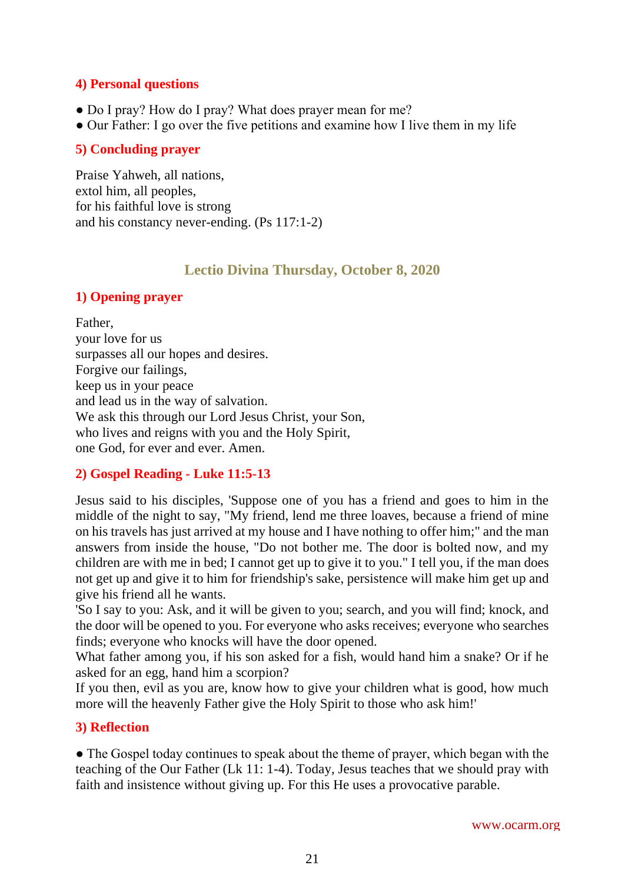# **4) Personal questions**

- Do I pray? How do I pray? What does prayer mean for me?
- Our Father: I go over the five petitions and examine how I live them in my life

#### **5) Concluding prayer**

Praise Yahweh, all nations, extol him, all peoples, for his faithful love is strong and his constancy never-ending. (Ps 117:1-2)

# **Lectio Divina Thursday, October 8, 2020**

# <span id="page-20-0"></span>**1) Opening prayer**

Father, your love for us surpasses all our hopes and desires. Forgive our failings, keep us in your peace and lead us in the way of salvation. We ask this through our Lord Jesus Christ, your Son, who lives and reigns with you and the Holy Spirit, one God, for ever and ever. Amen.

# **2) Gospel Reading - Luke 11:5-13**

Jesus said to his disciples, 'Suppose one of you has a friend and goes to him in the middle of the night to say, "My friend, lend me three loaves, because a friend of mine on his travels has just arrived at my house and I have nothing to offer him;" and the man answers from inside the house, "Do not bother me. The door is bolted now, and my children are with me in bed; I cannot get up to give it to you." I tell you, if the man does not get up and give it to him for friendship's sake, persistence will make him get up and give his friend all he wants.

'So I say to you: Ask, and it will be given to you; search, and you will find; knock, and the door will be opened to you. For everyone who asks receives; everyone who searches finds; everyone who knocks will have the door opened.

What father among you, if his son asked for a fish, would hand him a snake? Or if he asked for an egg, hand him a scorpion?

If you then, evil as you are, know how to give your children what is good, how much more will the heavenly Father give the Holy Spirit to those who ask him!'

#### **3) Reflection**

• The Gospel today continues to speak about the theme of prayer, which began with the teaching of the Our Father (Lk 11: 1-4). Today, Jesus teaches that we should pray with faith and insistence without giving up. For this He uses a provocative parable.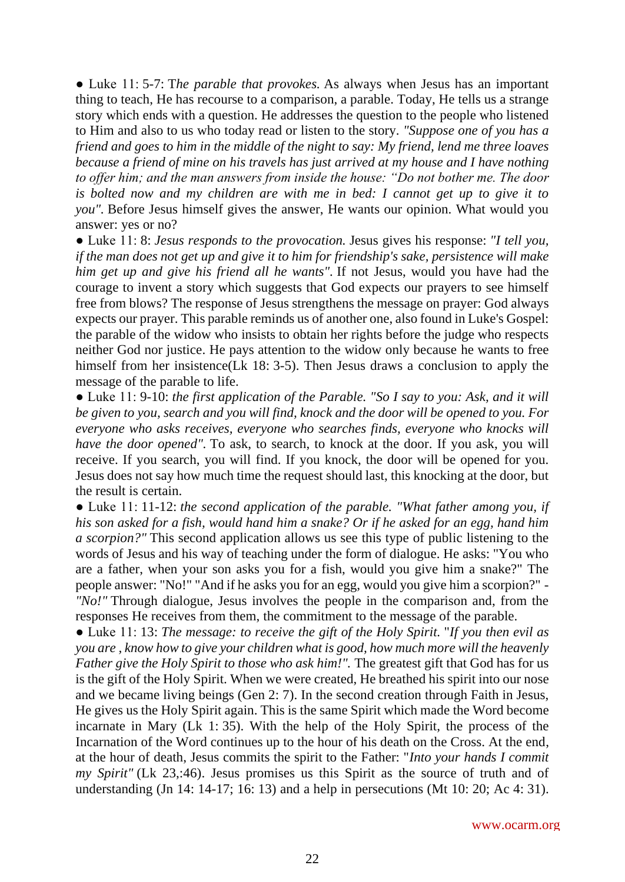● Luke 11: 5-7: T*he parable that provokes.* As always when Jesus has an important thing to teach, He has recourse to a comparison, a parable. Today, He tells us a strange story which ends with a question. He addresses the question to the people who listened to Him and also to us who today read or listen to the story. *"Suppose one of you has a friend and goes to him in the middle of the night to say: My friend, lend me three loaves because a friend of mine on his travels has just arrived at my house and I have nothing to offer him; and the man answers from inside the house: "Do not bother me. The door is bolted now and my children are with me in bed: I cannot get up to give it to you".* Before Jesus himself gives the answer, He wants our opinion. What would you answer: yes or no?

● Luke 11: 8: *Jesus responds to the provocation.* Jesus gives his response: *"I tell you, if the man does not get up and give it to him for friendship's sake, persistence will make him get up and give his friend all he wants".* If not Jesus, would you have had the courage to invent a story which suggests that God expects our prayers to see himself free from blows? The response of Jesus strengthens the message on prayer: God always expects our prayer. This parable reminds us of another one, also found in Luke's Gospel: the parable of the widow who insists to obtain her rights before the judge who respects neither God nor justice. He pays attention to the widow only because he wants to free himself from her insistence(Lk 18: 3-5). Then Jesus draws a conclusion to apply the message of the parable to life.

● Luke 11: 9-10: *the first application of the Parable. "So I say to you: Ask, and it will be given to you, search and you will find, knock and the door will be opened to you. For everyone who asks receives, everyone who searches finds, everyone who knocks will have the door opened".* To ask, to search, to knock at the door. If you ask, you will receive. If you search, you will find. If you knock, the door will be opened for you. Jesus does not say how much time the request should last, this knocking at the door, but the result is certain.

● Luke 11: 11-12: *the second application of the parable. "What father among you, if his son asked for a fish, would hand him a snake? Or if he asked for an egg, hand him a scorpion?"* This second application allows us see this type of public listening to the words of Jesus and his way of teaching under the form of dialogue. He asks: "You who are a father, when your son asks you for a fish, would you give him a snake?" The people answer: "No!" "And if he asks you for an egg, would you give him a scorpion?" *- "No!"* Through dialogue, Jesus involves the people in the comparison and, from the responses He receives from them, the commitment to the message of the parable.

● Luke 11: 13: *The message: to receive the gift of the Holy Spirit.* "*If you then evil as you are , know how to give your children what is good, how much more will the heavenly Father give the Holy Spirit to those who ask him!".* The greatest gift that God has for us is the gift of the Holy Spirit. When we were created, He breathed his spirit into our nose and we became living beings (Gen 2: 7). In the second creation through Faith in Jesus, He gives us the Holy Spirit again. This is the same Spirit which made the Word become incarnate in Mary (Lk 1: 35). With the help of the Holy Spirit, the process of the Incarnation of the Word continues up to the hour of his death on the Cross. At the end, at the hour of death, Jesus commits the spirit to the Father: "*Into your hands I commit my Spirit"* (Lk 23,:46). Jesus promises us this Spirit as the source of truth and of understanding (Jn 14: 14-17; 16: 13) and a help in persecutions (Mt 10: 20; Ac 4: 31).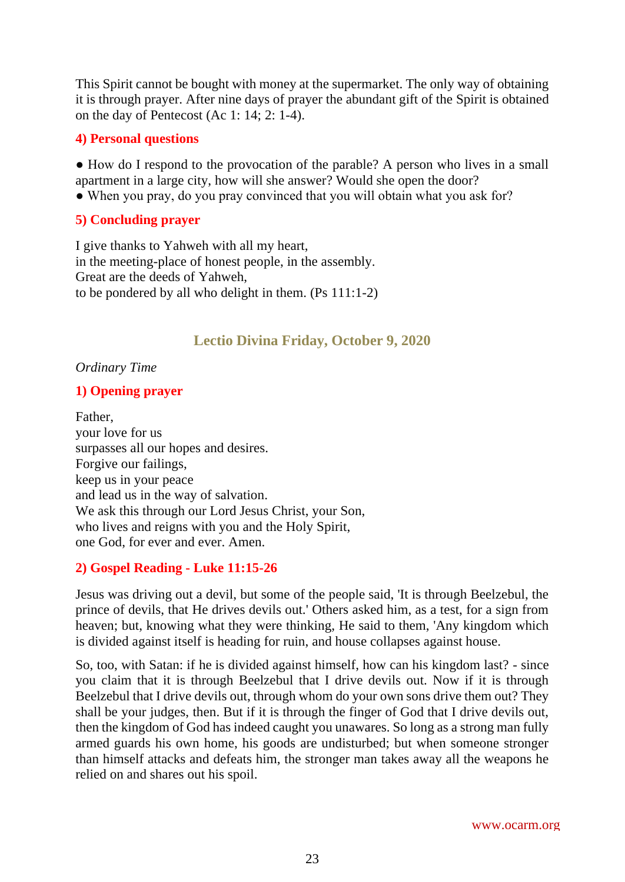This Spirit cannot be bought with money at the supermarket. The only way of obtaining it is through prayer. After nine days of prayer the abundant gift of the Spirit is obtained on the day of Pentecost (Ac 1: 14; 2: 1-4).

#### **4) Personal questions**

● How do I respond to the provocation of the parable? A person who lives in a small apartment in a large city, how will she answer? Would she open the door?

# • When you pray, do you pray convinced that you will obtain what you ask for?

# **5) Concluding prayer**

I give thanks to Yahweh with all my heart, in the meeting-place of honest people, in the assembly. Great are the deeds of Yahweh, to be pondered by all who delight in them. (Ps 111:1-2)

# **Lectio Divina Friday, October 9, 2020**

#### <span id="page-22-0"></span>*Ordinary Time*

# **1) Opening prayer**

Father, your love for us surpasses all our hopes and desires. Forgive our failings, keep us in your peace and lead us in the way of salvation. We ask this through our Lord Jesus Christ, your Son, who lives and reigns with you and the Holy Spirit, one God, for ever and ever. Amen.

# **2) Gospel Reading - Luke 11:15-26**

Jesus was driving out a devil, but some of the people said, 'It is through Beelzebul, the prince of devils, that He drives devils out.' Others asked him, as a test, for a sign from heaven; but, knowing what they were thinking, He said to them, 'Any kingdom which is divided against itself is heading for ruin, and house collapses against house.

So, too, with Satan: if he is divided against himself, how can his kingdom last? - since you claim that it is through Beelzebul that I drive devils out. Now if it is through Beelzebul that I drive devils out, through whom do your own sons drive them out? They shall be your judges, then. But if it is through the finger of God that I drive devils out, then the kingdom of God has indeed caught you unawares. So long as a strong man fully armed guards his own home, his goods are undisturbed; but when someone stronger than himself attacks and defeats him, the stronger man takes away all the weapons he relied on and shares out his spoil.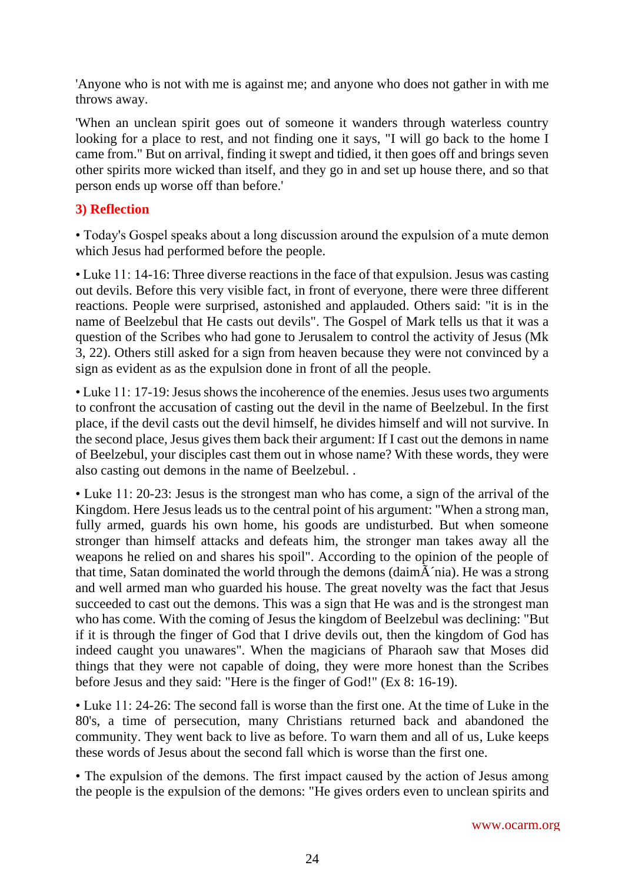'Anyone who is not with me is against me; and anyone who does not gather in with me throws away.

'When an unclean spirit goes out of someone it wanders through waterless country looking for a place to rest, and not finding one it says, "I will go back to the home I came from." But on arrival, finding it swept and tidied, it then goes off and brings seven other spirits more wicked than itself, and they go in and set up house there, and so that person ends up worse off than before.'

# **3) Reflection**

• Today's Gospel speaks about a long discussion around the expulsion of a mute demon which Jesus had performed before the people.

• Luke 11: 14-16: Three diverse reactions in the face of that expulsion. Jesus was casting out devils. Before this very visible fact, in front of everyone, there were three different reactions. People were surprised, astonished and applauded. Others said: "it is in the name of Beelzebul that He casts out devils". The Gospel of Mark tells us that it was a question of the Scribes who had gone to Jerusalem to control the activity of Jesus (Mk 3, 22). Others still asked for a sign from heaven because they were not convinced by a sign as evident as as the expulsion done in front of all the people.

• Luke 11: 17-19: Jesus shows the incoherence of the enemies. Jesus uses two arguments to confront the accusation of casting out the devil in the name of Beelzebul. In the first place, if the devil casts out the devil himself, he divides himself and will not survive. In the second place, Jesus gives them back their argument: If I cast out the demons in name of Beelzebul, your disciples cast them out in whose name? With these words, they were also casting out demons in the name of Beelzebul. .

• Luke 11: 20-23: Jesus is the strongest man who has come, a sign of the arrival of the Kingdom. Here Jesus leads us to the central point of his argument: "When a strong man, fully armed, guards his own home, his goods are undisturbed. But when someone stronger than himself attacks and defeats him, the stronger man takes away all the weapons he relied on and shares his spoil". According to the opinion of the people of that time, Satan dominated the world through the demons (daim $\tilde{A}$  nia). He was a strong and well armed man who guarded his house. The great novelty was the fact that Jesus succeeded to cast out the demons. This was a sign that He was and is the strongest man who has come. With the coming of Jesus the kingdom of Beelzebul was declining: "But if it is through the finger of God that I drive devils out, then the kingdom of God has indeed caught you unawares". When the magicians of Pharaoh saw that Moses did things that they were not capable of doing, they were more honest than the Scribes before Jesus and they said: "Here is the finger of God!" (Ex 8: 16-19).

• Luke 11: 24-26: The second fall is worse than the first one. At the time of Luke in the 80's, a time of persecution, many Christians returned back and abandoned the community. They went back to live as before. To warn them and all of us, Luke keeps these words of Jesus about the second fall which is worse than the first one.

• The expulsion of the demons. The first impact caused by the action of Jesus among the people is the expulsion of the demons: "He gives orders even to unclean spirits and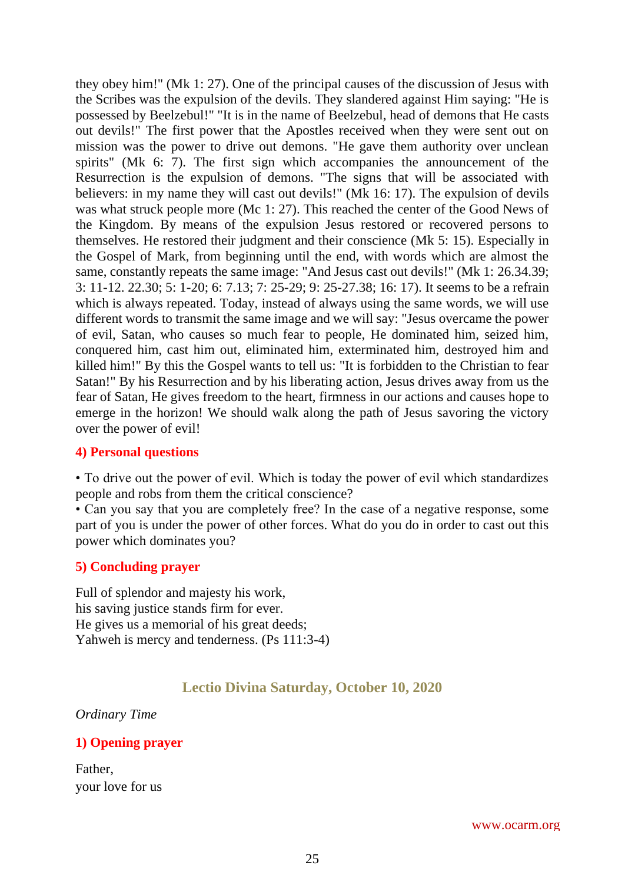they obey him!" (Mk 1: 27). One of the principal causes of the discussion of Jesus with the Scribes was the expulsion of the devils. They slandered against Him saying: "He is possessed by Beelzebul!" "It is in the name of Beelzebul, head of demons that He casts out devils!" The first power that the Apostles received when they were sent out on mission was the power to drive out demons. "He gave them authority over unclean spirits" (Mk 6: 7). The first sign which accompanies the announcement of the Resurrection is the expulsion of demons. "The signs that will be associated with believers: in my name they will cast out devils!" (Mk 16: 17). The expulsion of devils was what struck people more (Mc 1: 27). This reached the center of the Good News of the Kingdom. By means of the expulsion Jesus restored or recovered persons to themselves. He restored their judgment and their conscience (Mk 5: 15). Especially in the Gospel of Mark, from beginning until the end, with words which are almost the same, constantly repeats the same image: "And Jesus cast out devils!" (Mk 1: 26.34.39; 3: 11-12. 22.30; 5: 1-20; 6: 7.13; 7: 25-29; 9: 25-27.38; 16: 17). It seems to be a refrain which is always repeated. Today, instead of always using the same words, we will use different words to transmit the same image and we will say: "Jesus overcame the power of evil, Satan, who causes so much fear to people, He dominated him, seized him, conquered him, cast him out, eliminated him, exterminated him, destroyed him and killed him!" By this the Gospel wants to tell us: "It is forbidden to the Christian to fear Satan!" By his Resurrection and by his liberating action, Jesus drives away from us the fear of Satan, He gives freedom to the heart, firmness in our actions and causes hope to emerge in the horizon! We should walk along the path of Jesus savoring the victory over the power of evil!

#### **4) Personal questions**

• To drive out the power of evil. Which is today the power of evil which standardizes people and robs from them the critical conscience?

• Can you say that you are completely free? In the case of a negative response, some part of you is under the power of other forces. What do you do in order to cast out this power which dominates you?

# **5) Concluding prayer**

Full of splendor and majesty his work, his saving justice stands firm for ever. He gives us a memorial of his great deeds; Yahweh is mercy and tenderness. (Ps 111:3-4)

# **Lectio Divina Saturday, October 10, 2020**

<span id="page-24-0"></span>*Ordinary Time*

# **1) Opening prayer**

Father, your love for us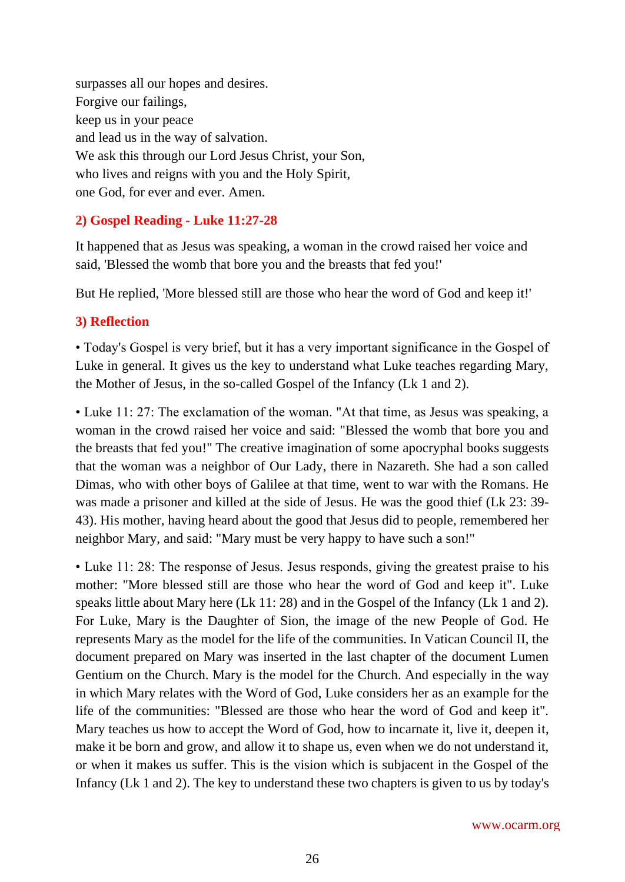surpasses all our hopes and desires. Forgive our failings, keep us in your peace and lead us in the way of salvation. We ask this through our Lord Jesus Christ, your Son, who lives and reigns with you and the Holy Spirit, one God, for ever and ever. Amen.

# **2) Gospel Reading - Luke 11:27-28**

It happened that as Jesus was speaking, a woman in the crowd raised her voice and said, 'Blessed the womb that bore you and the breasts that fed you!'

But He replied, 'More blessed still are those who hear the word of God and keep it!'

# **3) Reflection**

• Today's Gospel is very brief, but it has a very important significance in the Gospel of Luke in general. It gives us the key to understand what Luke teaches regarding Mary, the Mother of Jesus, in the so-called Gospel of the Infancy (Lk 1 and 2).

• Luke 11: 27: The exclamation of the woman. "At that time, as Jesus was speaking, a woman in the crowd raised her voice and said: "Blessed the womb that bore you and the breasts that fed you!" The creative imagination of some apocryphal books suggests that the woman was a neighbor of Our Lady, there in Nazareth. She had a son called Dimas, who with other boys of Galilee at that time, went to war with the Romans. He was made a prisoner and killed at the side of Jesus. He was the good thief (Lk 23: 39- 43). His mother, having heard about the good that Jesus did to people, remembered her neighbor Mary, and said: "Mary must be very happy to have such a son!"

• Luke 11: 28: The response of Jesus. Jesus responds, giving the greatest praise to his mother: "More blessed still are those who hear the word of God and keep it". Luke speaks little about Mary here (Lk 11: 28) and in the Gospel of the Infancy (Lk 1 and 2). For Luke, Mary is the Daughter of Sion, the image of the new People of God. He represents Mary as the model for the life of the communities. In Vatican Council II, the document prepared on Mary was inserted in the last chapter of the document Lumen Gentium on the Church. Mary is the model for the Church. And especially in the way in which Mary relates with the Word of God, Luke considers her as an example for the life of the communities: "Blessed are those who hear the word of God and keep it". Mary teaches us how to accept the Word of God, how to incarnate it, live it, deepen it, make it be born and grow, and allow it to shape us, even when we do not understand it, or when it makes us suffer. This is the vision which is subjacent in the Gospel of the Infancy (Lk 1 and 2). The key to understand these two chapters is given to us by today's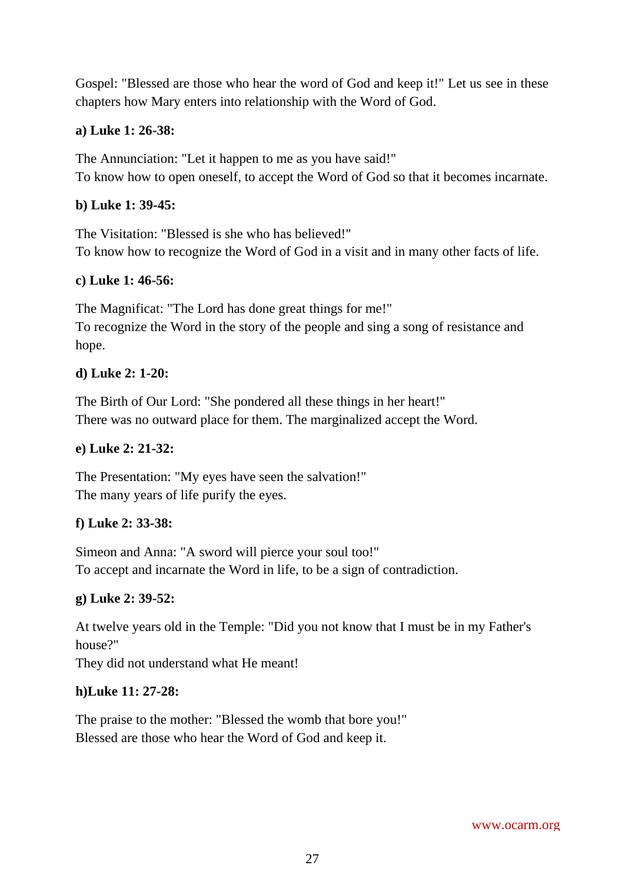Gospel: "Blessed are those who hear the word of God and keep it!" Let us see in these chapters how Mary enters into relationship with the Word of God.

# **a) Luke 1: 26-38:**

The Annunciation: "Let it happen to me as you have said!" To know how to open oneself, to accept the Word of God so that it becomes incarnate.

# **b) Luke 1: 39-45:**

The Visitation: "Blessed is she who has believed!" To know how to recognize the Word of God in a visit and in many other facts of life.

# **c) Luke 1: 46-56:**

The Magnificat: "The Lord has done great things for me!" To recognize the Word in the story of the people and sing a song of resistance and hope.

# **d) Luke 2: 1-20:**

The Birth of Our Lord: "She pondered all these things in her heart!" There was no outward place for them. The marginalized accept the Word.

# **e) Luke 2: 21-32:**

The Presentation: "My eyes have seen the salvation!" The many years of life purify the eyes.

# **f) Luke 2: 33-38:**

Simeon and Anna: "A sword will pierce your soul too!" To accept and incarnate the Word in life, to be a sign of contradiction.

# **g) Luke 2: 39-52:**

At twelve years old in the Temple: "Did you not know that I must be in my Father's house?"

They did not understand what He meant!

# **h)Luke 11: 27-28:**

The praise to the mother: "Blessed the womb that bore you!" Blessed are those who hear the Word of God and keep it.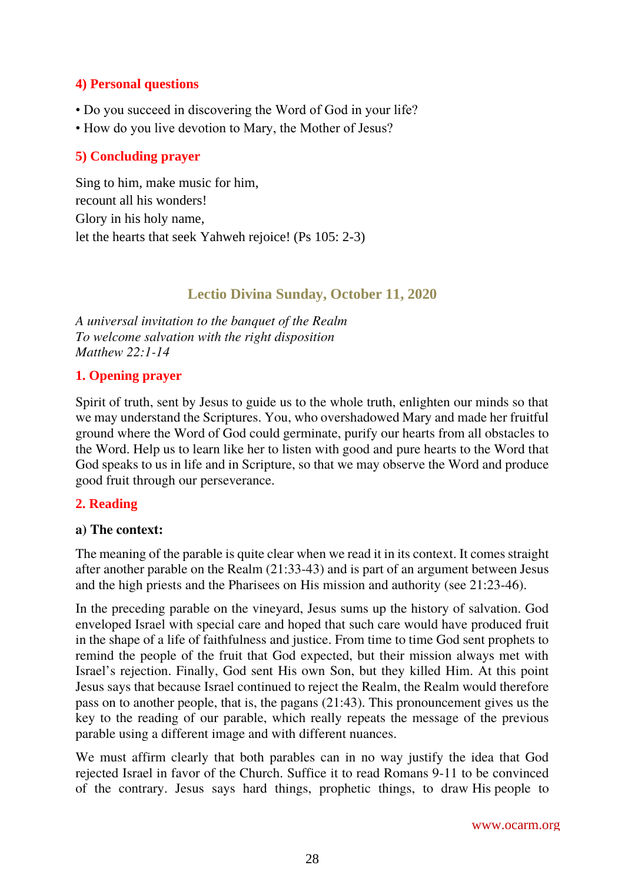# **4) Personal questions**

- Do you succeed in discovering the Word of God in your life?
- How do you live devotion to Mary, the Mother of Jesus?

# **5) Concluding prayer**

Sing to him, make music for him, recount all his wonders! Glory in his holy name, let the hearts that seek Yahweh rejoice! (Ps 105: 2-3)

# **Lectio Divina Sunday, October 11, 2020**

<span id="page-27-0"></span>*A universal invitation to the banquet of the Realm To welcome salvation with the right disposition Matthew 22:1-14*

# **1. Opening prayer**

Spirit of truth, sent by Jesus to guide us to the whole truth, enlighten our minds so that we may understand the Scriptures. You, who overshadowed Mary and made her fruitful ground where the Word of God could germinate, purify our hearts from all obstacles to the Word. Help us to learn like her to listen with good and pure hearts to the Word that God speaks to us in life and in Scripture, so that we may observe the Word and produce good fruit through our perseverance.

# **2. Reading**

# **a) The context:**

The meaning of the parable is quite clear when we read it in its context. It comes straight after another parable on the Realm (21:33-43) and is part of an argument between Jesus and the high priests and the Pharisees on His mission and authority (see 21:23-46).

In the preceding parable on the vineyard, Jesus sums up the history of salvation. God enveloped Israel with special care and hoped that such care would have produced fruit in the shape of a life of faithfulness and justice. From time to time God sent prophets to remind the people of the fruit that God expected, but their mission always met with Israel's rejection. Finally, God sent His own Son, but they killed Him. At this point Jesus says that because Israel continued to reject the Realm, the Realm would therefore pass on to another people, that is, the pagans (21:43). This pronouncement gives us the key to the reading of our parable, which really repeats the message of the previous parable using a different image and with different nuances.

We must affirm clearly that both parables can in no way justify the idea that God rejected Israel in favor of the Church. Suffice it to read Romans 9-11 to be convinced of the contrary. Jesus says hard things, prophetic things, to draw His people to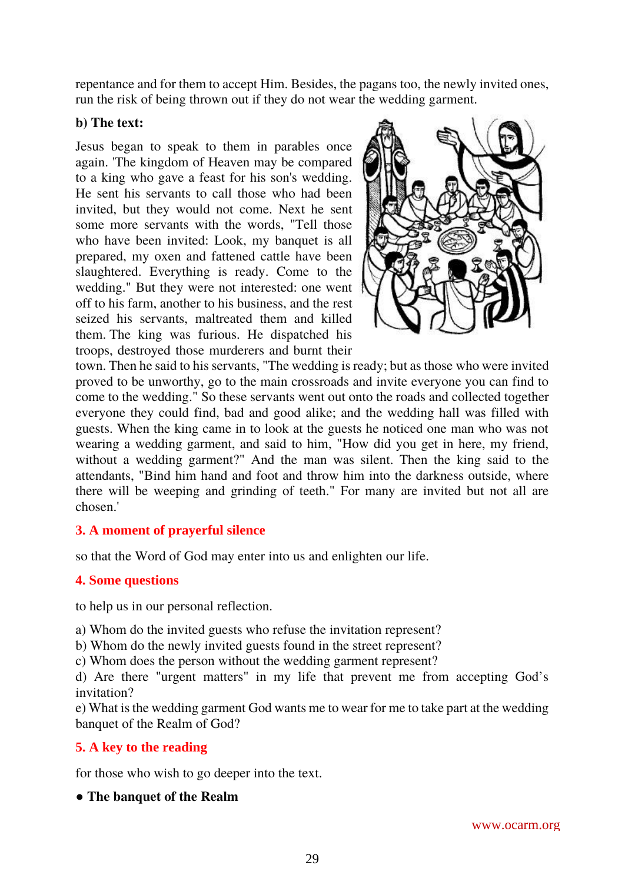repentance and for them to accept Him. Besides, the pagans too, the newly invited ones, run the risk of being thrown out if they do not wear the wedding garment.

#### **b) The text:**

Jesus began to speak to them in parables once again. 'The kingdom of Heaven may be compared to a king who gave a feast for his son's wedding. He sent his servants to call those who had been invited, but they would not come. Next he sent some more servants with the words, "Tell those who have been invited: Look, my banquet is all prepared, my oxen and fattened cattle have been slaughtered. Everything is ready. Come to the wedding." But they were not interested: one went off to his farm, another to his business, and the rest seized his servants, maltreated them and killed them. The king was furious. He dispatched his troops, destroyed those murderers and burnt their



town. Then he said to his servants, "The wedding is ready; but as those who were invited proved to be unworthy, go to the main crossroads and invite everyone you can find to come to the wedding." So these servants went out onto the roads and collected together everyone they could find, bad and good alike; and the wedding hall was filled with guests. When the king came in to look at the guests he noticed one man who was not wearing a wedding garment, and said to him, "How did you get in here, my friend, without a wedding garment?" And the man was silent. Then the king said to the attendants, "Bind him hand and foot and throw him into the darkness outside, where there will be weeping and grinding of teeth." For many are invited but not all are chosen.'

# **3. A moment of prayerful silence**

so that the Word of God may enter into us and enlighten our life.

# **4. Some questions**

to help us in our personal reflection.

a) Whom do the invited guests who refuse the invitation represent?

b) Whom do the newly invited guests found in the street represent?

c) Whom does the person without the wedding garment represent?

d) Are there "urgent matters" in my life that prevent me from accepting God's invitation?

e) What is the wedding garment God wants me to wear for me to take part at the wedding banquet of the Realm of God?

# **5. A key to the reading**

for those who wish to go deeper into the text.

# **● The banquet of the Realm**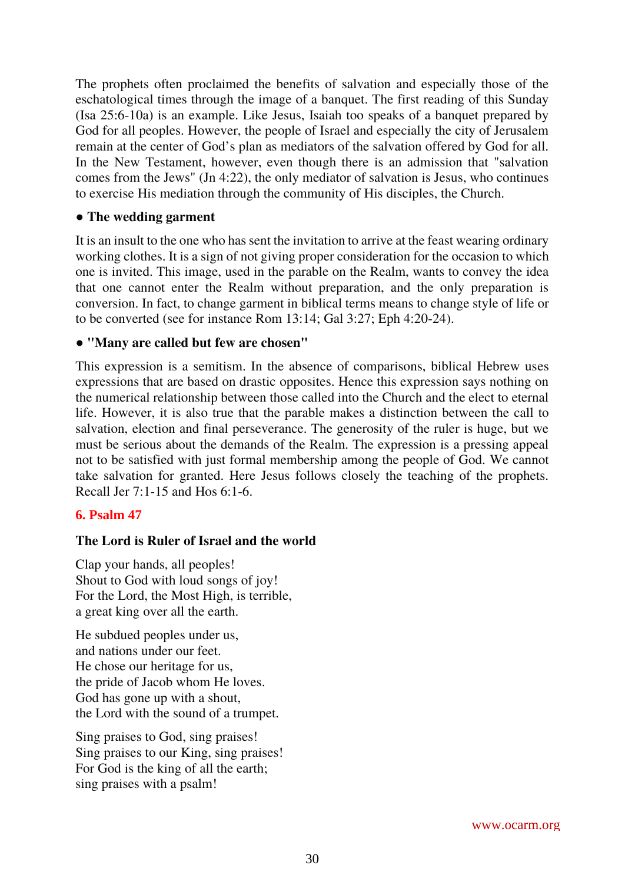The prophets often proclaimed the benefits of salvation and especially those of the eschatological times through the image of a banquet. The first reading of this Sunday (Isa 25:6-10a) is an example. Like Jesus, Isaiah too speaks of a banquet prepared by God for all peoples. However, the people of Israel and especially the city of Jerusalem remain at the center of God's plan as mediators of the salvation offered by God for all. In the New Testament, however, even though there is an admission that "salvation comes from the Jews" (Jn 4:22), the only mediator of salvation is Jesus, who continues to exercise His mediation through the community of His disciples, the Church.

#### **● The wedding garment**

It is an insult to the one who has sent the invitation to arrive at the feast wearing ordinary working clothes. It is a sign of not giving proper consideration for the occasion to which one is invited. This image, used in the parable on the Realm, wants to convey the idea that one cannot enter the Realm without preparation, and the only preparation is conversion. In fact, to change garment in biblical terms means to change style of life or to be converted (see for instance Rom 13:14; Gal 3:27; Eph 4:20-24).

#### **● "Many are called but few are chosen"**

This expression is a semitism. In the absence of comparisons, biblical Hebrew uses expressions that are based on drastic opposites. Hence this expression says nothing on the numerical relationship between those called into the Church and the elect to eternal life. However, it is also true that the parable makes a distinction between the call to salvation, election and final perseverance. The generosity of the ruler is huge, but we must be serious about the demands of the Realm. The expression is a pressing appeal not to be satisfied with just formal membership among the people of God. We cannot take salvation for granted. Here Jesus follows closely the teaching of the prophets. Recall Jer 7:1-15 and Hos 6:1-6.

#### **6. Psalm 47**

#### **The Lord is Ruler of Israel and the world**

Clap your hands, all peoples! Shout to God with loud songs of joy! For the Lord, the Most High, is terrible, a great king over all the earth.

He subdued peoples under us, and nations under our feet. He chose our heritage for us, the pride of Jacob whom He loves. God has gone up with a shout, the Lord with the sound of a trumpet.

Sing praises to God, sing praises! Sing praises to our King, sing praises! For God is the king of all the earth; sing praises with a psalm!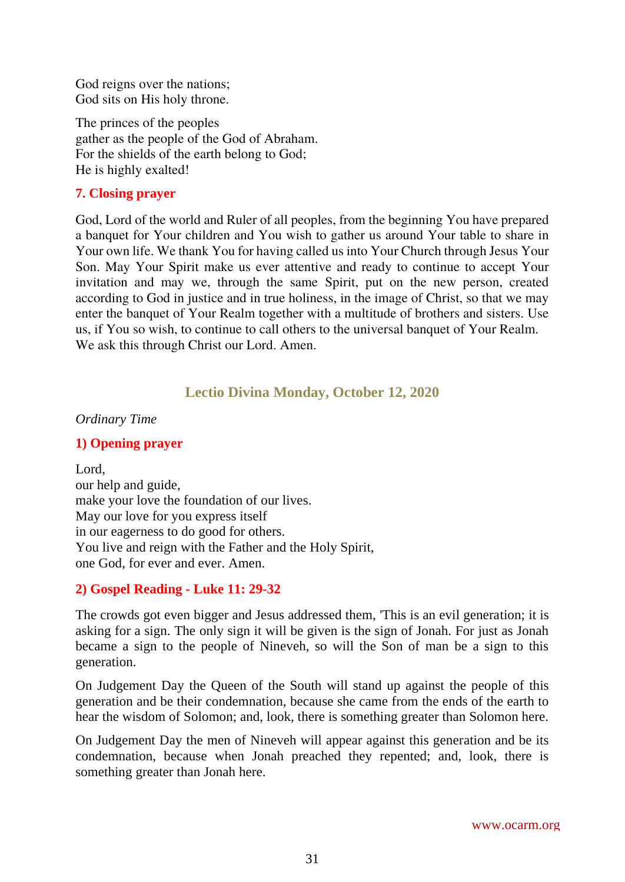God reigns over the nations; God sits on His holy throne.

The princes of the peoples gather as the people of the God of Abraham. For the shields of the earth belong to God; He is highly exalted!

#### **7. Closing prayer**

God, Lord of the world and Ruler of all peoples, from the beginning You have prepared a banquet for Your children and You wish to gather us around Your table to share in Your own life. We thank You for having called us into Your Church through Jesus Your Son. May Your Spirit make us ever attentive and ready to continue to accept Your invitation and may we, through the same Spirit, put on the new person, created according to God in justice and in true holiness, in the image of Christ, so that we may enter the banquet of Your Realm together with a multitude of brothers and sisters. Use us, if You so wish, to continue to call others to the universal banquet of Your Realm. We ask this through Christ our Lord. Amen.

# **Lectio Divina Monday, October 12, 2020**

#### <span id="page-30-0"></span>*Ordinary Time*

#### **1) Opening prayer**

Lord, our help and guide, make your love the foundation of our lives. May our love for you express itself in our eagerness to do good for others. You live and reign with the Father and the Holy Spirit, one God, for ever and ever. Amen.

#### **2) Gospel Reading - Luke 11: 29-32**

The crowds got even bigger and Jesus addressed them, 'This is an evil generation; it is asking for a sign. The only sign it will be given is the sign of Jonah. For just as Jonah became a sign to the people of Nineveh, so will the Son of man be a sign to this generation.

On Judgement Day the Queen of the South will stand up against the people of this generation and be their condemnation, because she came from the ends of the earth to hear the wisdom of Solomon; and, look, there is something greater than Solomon here.

On Judgement Day the men of Nineveh will appear against this generation and be its condemnation, because when Jonah preached they repented; and, look, there is something greater than Jonah here.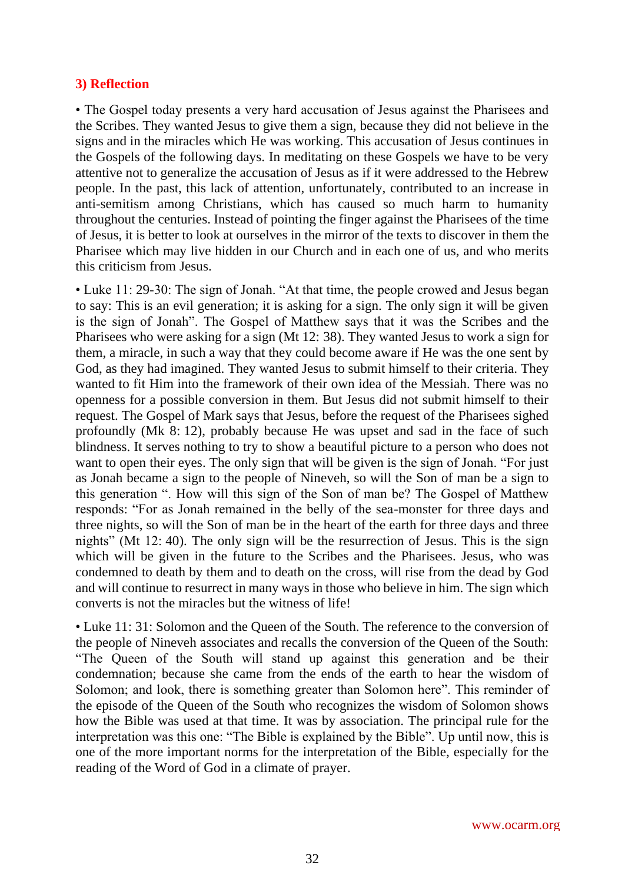#### **3) Reflection**

• The Gospel today presents a very hard accusation of Jesus against the Pharisees and the Scribes. They wanted Jesus to give them a sign, because they did not believe in the signs and in the miracles which He was working. This accusation of Jesus continues in the Gospels of the following days. In meditating on these Gospels we have to be very attentive not to generalize the accusation of Jesus as if it were addressed to the Hebrew people. In the past, this lack of attention, unfortunately, contributed to an increase in anti-semitism among Christians, which has caused so much harm to humanity throughout the centuries. Instead of pointing the finger against the Pharisees of the time of Jesus, it is better to look at ourselves in the mirror of the texts to discover in them the Pharisee which may live hidden in our Church and in each one of us, and who merits this criticism from Jesus.

• Luke 11: 29-30: The sign of Jonah. "At that time, the people crowed and Jesus began to say: This is an evil generation; it is asking for a sign. The only sign it will be given is the sign of Jonah". The Gospel of Matthew says that it was the Scribes and the Pharisees who were asking for a sign (Mt 12: 38). They wanted Jesus to work a sign for them, a miracle, in such a way that they could become aware if He was the one sent by God, as they had imagined. They wanted Jesus to submit himself to their criteria. They wanted to fit Him into the framework of their own idea of the Messiah. There was no openness for a possible conversion in them. But Jesus did not submit himself to their request. The Gospel of Mark says that Jesus, before the request of the Pharisees sighed profoundly (Mk 8: 12), probably because He was upset and sad in the face of such blindness. It serves nothing to try to show a beautiful picture to a person who does not want to open their eyes. The only sign that will be given is the sign of Jonah. "For just as Jonah became a sign to the people of Nineveh, so will the Son of man be a sign to this generation ". How will this sign of the Son of man be? The Gospel of Matthew responds: "For as Jonah remained in the belly of the sea-monster for three days and three nights, so will the Son of man be in the heart of the earth for three days and three nights" (Mt 12: 40). The only sign will be the resurrection of Jesus. This is the sign which will be given in the future to the Scribes and the Pharisees. Jesus, who was condemned to death by them and to death on the cross, will rise from the dead by God and will continue to resurrect in many ways in those who believe in him. The sign which converts is not the miracles but the witness of life!

• Luke 11: 31: Solomon and the Queen of the South. The reference to the conversion of the people of Nineveh associates and recalls the conversion of the Queen of the South: "The Queen of the South will stand up against this generation and be their condemnation; because she came from the ends of the earth to hear the wisdom of Solomon; and look, there is something greater than Solomon here". This reminder of the episode of the Queen of the South who recognizes the wisdom of Solomon shows how the Bible was used at that time. It was by association. The principal rule for the interpretation was this one: "The Bible is explained by the Bible". Up until now, this is one of the more important norms for the interpretation of the Bible, especially for the reading of the Word of God in a climate of prayer.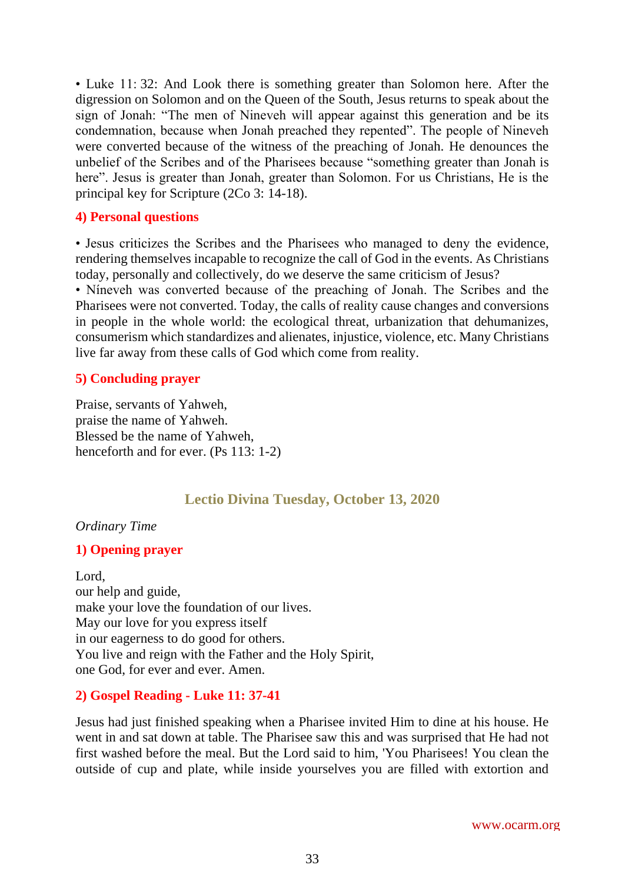• Luke 11: 32: And Look there is something greater than Solomon here. After the digression on Solomon and on the Queen of the South, Jesus returns to speak about the sign of Jonah: "The men of Nineveh will appear against this generation and be its condemnation, because when Jonah preached they repented". The people of Nineveh were converted because of the witness of the preaching of Jonah. He denounces the unbelief of the Scribes and of the Pharisees because "something greater than Jonah is here". Jesus is greater than Jonah, greater than Solomon. For us Christians, He is the principal key for Scripture (2Co 3: 14-18).

#### **4) Personal questions**

• Jesus criticizes the Scribes and the Pharisees who managed to deny the evidence, rendering themselves incapable to recognize the call of God in the events. As Christians today, personally and collectively, do we deserve the same criticism of Jesus? • Níneveh was converted because of the preaching of Jonah. The Scribes and the Pharisees were not converted. Today, the calls of reality cause changes and conversions in people in the whole world: the ecological threat, urbanization that dehumanizes, consumerism which standardizes and alienates, injustice, violence, etc. Many Christians live far away from these calls of God which come from reality.

#### **5) Concluding prayer**

Praise, servants of Yahweh, praise the name of Yahweh. Blessed be the name of Yahweh, henceforth and for ever. (Ps 113: 1-2)

#### **Lectio Divina Tuesday, October 13, 2020**

#### <span id="page-32-0"></span>*Ordinary Time*

#### **1) Opening prayer**

Lord, our help and guide, make your love the foundation of our lives. May our love for you express itself in our eagerness to do good for others. You live and reign with the Father and the Holy Spirit, one God, for ever and ever. Amen.

#### **2) Gospel Reading - Luke 11: 37-41**

Jesus had just finished speaking when a Pharisee invited Him to dine at his house. He went in and sat down at table. The Pharisee saw this and was surprised that He had not first washed before the meal. But the Lord said to him, 'You Pharisees! You clean the outside of cup and plate, while inside yourselves you are filled with extortion and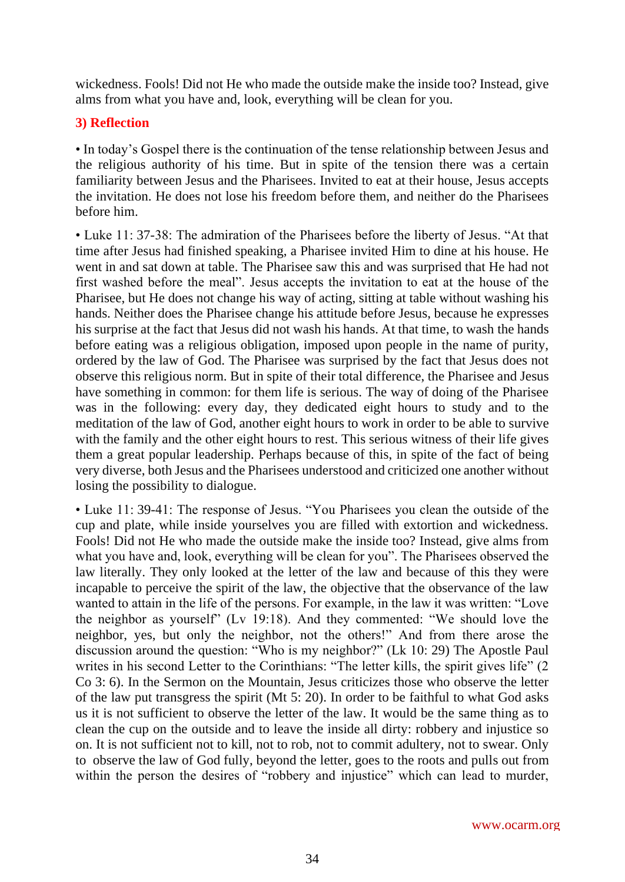wickedness. Fools! Did not He who made the outside make the inside too? Instead, give alms from what you have and, look, everything will be clean for you.

#### **3) Reflection**

• In today's Gospel there is the continuation of the tense relationship between Jesus and the religious authority of his time. But in spite of the tension there was a certain familiarity between Jesus and the Pharisees. Invited to eat at their house, Jesus accepts the invitation. He does not lose his freedom before them, and neither do the Pharisees before him.

• Luke 11: 37-38: The admiration of the Pharisees before the liberty of Jesus. "At that time after Jesus had finished speaking, a Pharisee invited Him to dine at his house. He went in and sat down at table. The Pharisee saw this and was surprised that He had not first washed before the meal". Jesus accepts the invitation to eat at the house of the Pharisee, but He does not change his way of acting, sitting at table without washing his hands. Neither does the Pharisee change his attitude before Jesus, because he expresses his surprise at the fact that Jesus did not wash his hands. At that time, to wash the hands before eating was a religious obligation, imposed upon people in the name of purity, ordered by the law of God. The Pharisee was surprised by the fact that Jesus does not observe this religious norm. But in spite of their total difference, the Pharisee and Jesus have something in common: for them life is serious. The way of doing of the Pharisee was in the following: every day, they dedicated eight hours to study and to the meditation of the law of God, another eight hours to work in order to be able to survive with the family and the other eight hours to rest. This serious witness of their life gives them a great popular leadership. Perhaps because of this, in spite of the fact of being very diverse, both Jesus and the Pharisees understood and criticized one another without losing the possibility to dialogue.

• Luke 11: 39-41: The response of Jesus. "You Pharisees you clean the outside of the cup and plate, while inside yourselves you are filled with extortion and wickedness. Fools! Did not He who made the outside make the inside too? Instead, give alms from what you have and, look, everything will be clean for you". The Pharisees observed the law literally. They only looked at the letter of the law and because of this they were incapable to perceive the spirit of the law, the objective that the observance of the law wanted to attain in the life of the persons. For example, in the law it was written: "Love the neighbor as yourself" (Lv 19:18). And they commented: "We should love the neighbor, yes, but only the neighbor, not the others!" And from there arose the discussion around the question: "Who is my neighbor?" (Lk 10: 29) The Apostle Paul writes in his second Letter to the Corinthians: "The letter kills, the spirit gives life" (2) Co 3: 6). In the Sermon on the Mountain, Jesus criticizes those who observe the letter of the law put transgress the spirit (Mt 5: 20). In order to be faithful to what God asks us it is not sufficient to observe the letter of the law. It would be the same thing as to clean the cup on the outside and to leave the inside all dirty: robbery and injustice so on. It is not sufficient not to kill, not to rob, not to commit adultery, not to swear. Only to observe the law of God fully, beyond the letter, goes to the roots and pulls out from within the person the desires of "robbery and injustice" which can lead to murder,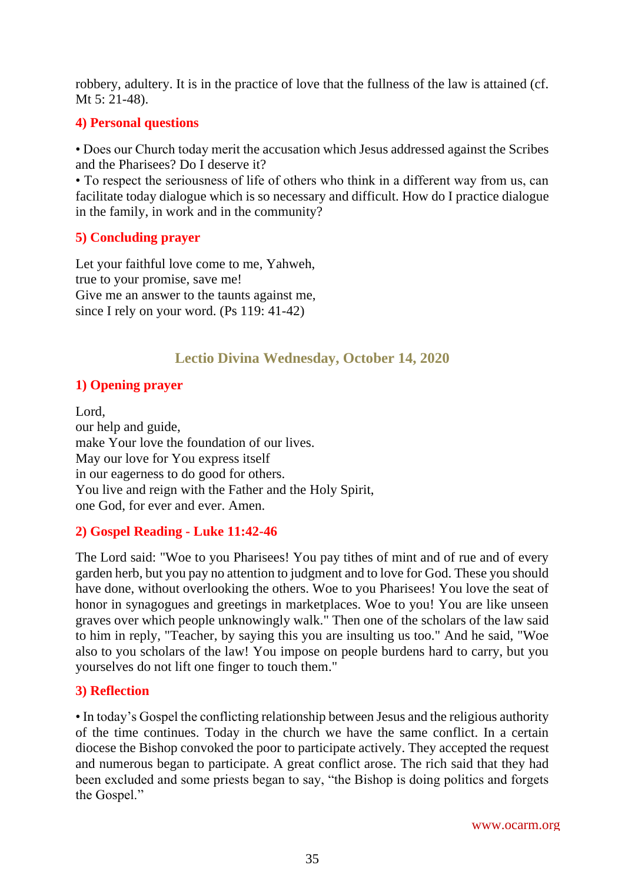robbery, adultery. It is in the practice of love that the fullness of the law is attained (cf. Mt 5: 21-48).

# **4) Personal questions**

• Does our Church today merit the accusation which Jesus addressed against the Scribes and the Pharisees? Do I deserve it?

• To respect the seriousness of life of others who think in a different way from us, can facilitate today dialogue which is so necessary and difficult. How do I practice dialogue in the family, in work and in the community?

# **5) Concluding prayer**

Let your faithful love come to me, Yahweh, true to your promise, save me! Give me an answer to the taunts against me, since I rely on your word. (Ps 119: 41-42)

# **Lectio Divina Wednesday, October 14, 2020**

# <span id="page-34-0"></span>**1) Opening prayer**

Lord, our help and guide, make Your love the foundation of our lives. May our love for You express itself in our eagerness to do good for others. You live and reign with the Father and the Holy Spirit, one God, for ever and ever. Amen.

# **2) Gospel Reading - Luke 11:42-46**

The Lord said: "Woe to you Pharisees! You pay tithes of mint and of rue and of every garden herb, but you pay no attention to judgment and to love for God. These you should have done, without overlooking the others. Woe to you Pharisees! You love the seat of honor in synagogues and greetings in marketplaces. Woe to you! You are like unseen graves over which people unknowingly walk." Then one of the scholars of the law said to him in reply, "Teacher, by saying this you are insulting us too." And he said, "Woe also to you scholars of the law! You impose on people burdens hard to carry, but you yourselves do not lift one finger to touch them."

#### **3) Reflection**

• In today's Gospel the conflicting relationship between Jesus and the religious authority of the time continues. Today in the church we have the same conflict. In a certain diocese the Bishop convoked the poor to participate actively. They accepted the request and numerous began to participate. A great conflict arose. The rich said that they had been excluded and some priests began to say, "the Bishop is doing politics and forgets the Gospel."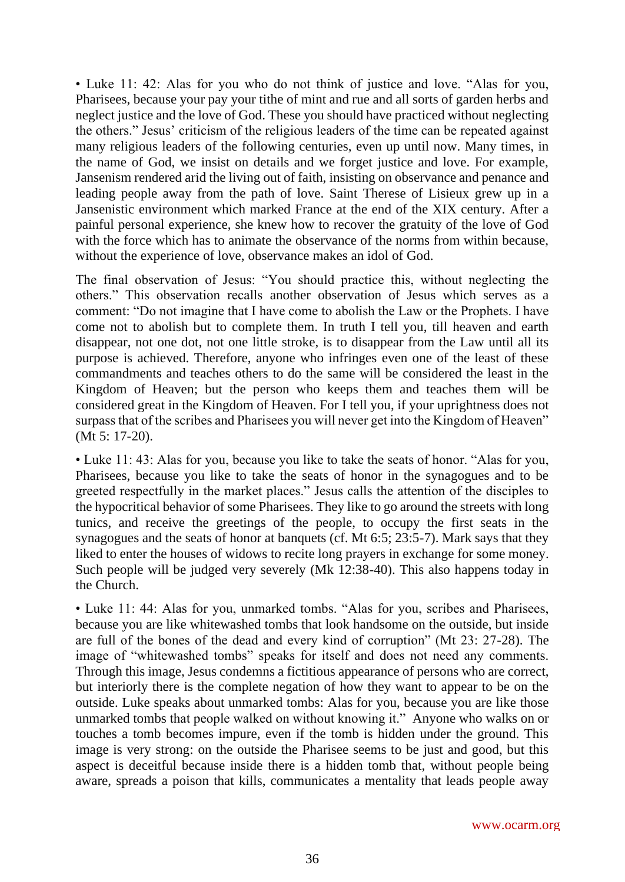• Luke 11: 42: Alas for you who do not think of justice and love. "Alas for you, Pharisees, because your pay your tithe of mint and rue and all sorts of garden herbs and neglect justice and the love of God. These you should have practiced without neglecting the others." Jesus' criticism of the religious leaders of the time can be repeated against many religious leaders of the following centuries, even up until now. Many times, in the name of God, we insist on details and we forget justice and love. For example, Jansenism rendered arid the living out of faith, insisting on observance and penance and leading people away from the path of love. Saint Therese of Lisieux grew up in a Jansenistic environment which marked France at the end of the XIX century. After a painful personal experience, she knew how to recover the gratuity of the love of God with the force which has to animate the observance of the norms from within because, without the experience of love, observance makes an idol of God.

The final observation of Jesus: "You should practice this, without neglecting the others." This observation recalls another observation of Jesus which serves as a comment: "Do not imagine that I have come to abolish the Law or the Prophets. I have come not to abolish but to complete them. In truth I tell you, till heaven and earth disappear, not one dot, not one little stroke, is to disappear from the Law until all its purpose is achieved. Therefore, anyone who infringes even one of the least of these commandments and teaches others to do the same will be considered the least in the Kingdom of Heaven; but the person who keeps them and teaches them will be considered great in the Kingdom of Heaven. For I tell you, if your uprightness does not surpass that of the scribes and Pharisees you will never get into the Kingdom of Heaven" (Mt 5: 17-20).

• Luke 11: 43: Alas for you, because you like to take the seats of honor. "Alas for you, Pharisees, because you like to take the seats of honor in the synagogues and to be greeted respectfully in the market places." Jesus calls the attention of the disciples to the hypocritical behavior of some Pharisees. They like to go around the streets with long tunics, and receive the greetings of the people, to occupy the first seats in the synagogues and the seats of honor at banquets (cf. Mt 6:5; 23:5-7). Mark says that they liked to enter the houses of widows to recite long prayers in exchange for some money. Such people will be judged very severely (Mk 12:38-40). This also happens today in the Church.

• Luke 11: 44: Alas for you, unmarked tombs. "Alas for you, scribes and Pharisees, because you are like whitewashed tombs that look handsome on the outside, but inside are full of the bones of the dead and every kind of corruption" (Mt 23: 27-28). The image of "whitewashed tombs" speaks for itself and does not need any comments. Through this image, Jesus condemns a fictitious appearance of persons who are correct, but interiorly there is the complete negation of how they want to appear to be on the outside. Luke speaks about unmarked tombs: Alas for you, because you are like those unmarked tombs that people walked on without knowing it." Anyone who walks on or touches a tomb becomes impure, even if the tomb is hidden under the ground. This image is very strong: on the outside the Pharisee seems to be just and good, but this aspect is deceitful because inside there is a hidden tomb that, without people being aware, spreads a poison that kills, communicates a mentality that leads people away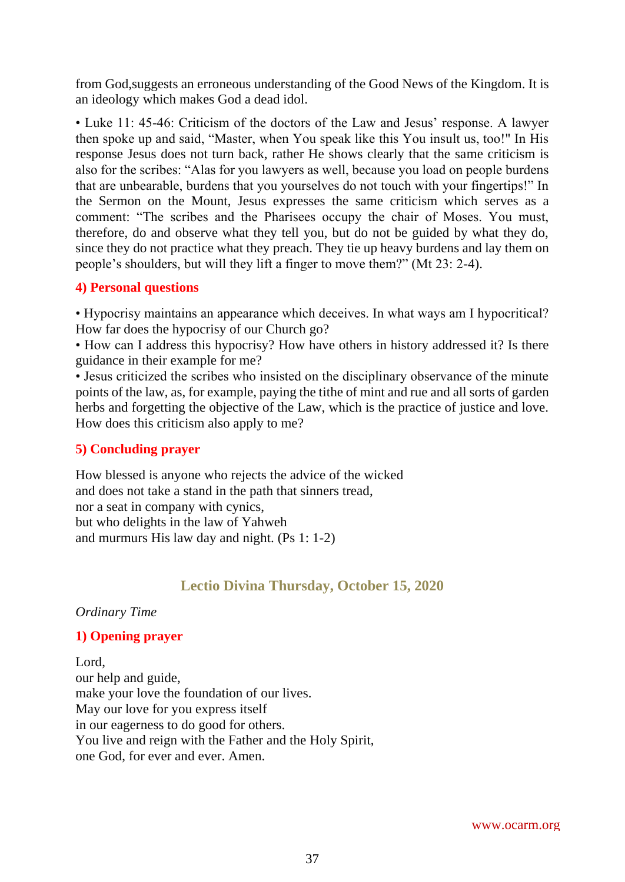from God,suggests an erroneous understanding of the Good News of the Kingdom. It is an ideology which makes God a dead idol.

• Luke 11: 45-46: Criticism of the doctors of the Law and Jesus' response. A lawyer then spoke up and said, "Master, when You speak like this You insult us, too!" In His response Jesus does not turn back, rather He shows clearly that the same criticism is also for the scribes: "Alas for you lawyers as well, because you load on people burdens that are unbearable, burdens that you yourselves do not touch with your fingertips!" In the Sermon on the Mount, Jesus expresses the same criticism which serves as a comment: "The scribes and the Pharisees occupy the chair of Moses. You must, therefore, do and observe what they tell you, but do not be guided by what they do, since they do not practice what they preach. They tie up heavy burdens and lay them on people's shoulders, but will they lift a finger to move them?" (Mt 23: 2-4).

#### **4) Personal questions**

• Hypocrisy maintains an appearance which deceives. In what ways am I hypocritical? How far does the hypocrisy of our Church go?

• How can I address this hypocrisy? How have others in history addressed it? Is there guidance in their example for me?

• Jesus criticized the scribes who insisted on the disciplinary observance of the minute points of the law, as, for example, paying the tithe of mint and rue and all sorts of garden herbs and forgetting the objective of the Law, which is the practice of justice and love. How does this criticism also apply to me?

## **5) Concluding prayer**

How blessed is anyone who rejects the advice of the wicked and does not take a stand in the path that sinners tread, nor a seat in company with cynics, but who delights in the law of Yahweh and murmurs His law day and night. (Ps 1: 1-2)

# **Lectio Divina Thursday, October 15, 2020**

#### *Ordinary Time*

## **1) Opening prayer**

Lord, our help and guide, make your love the foundation of our lives. May our love for you express itself in our eagerness to do good for others. You live and reign with the Father and the Holy Spirit, one God, for ever and ever. Amen.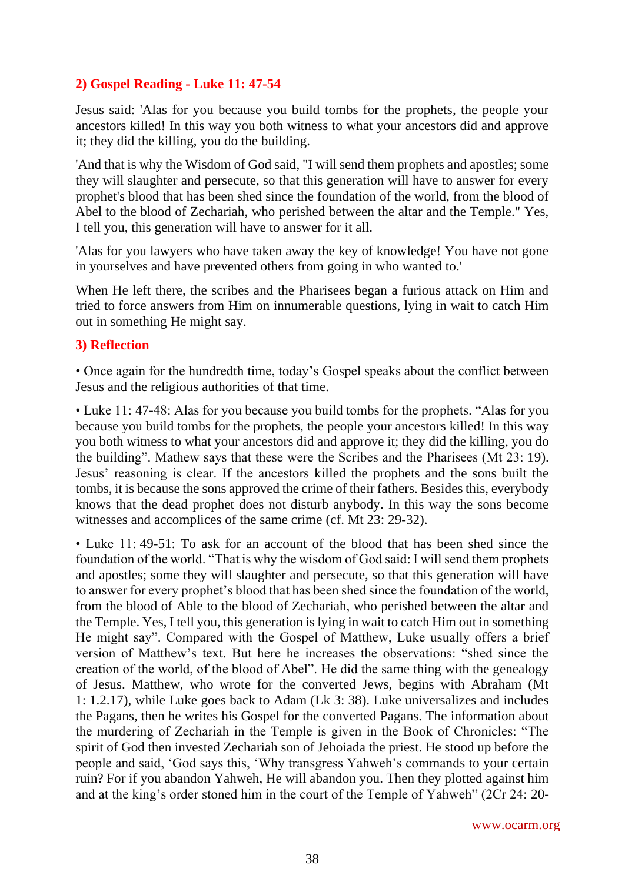# **2) Gospel Reading - Luke 11: 47-54**

Jesus said: 'Alas for you because you build tombs for the prophets, the people your ancestors killed! In this way you both witness to what your ancestors did and approve it; they did the killing, you do the building.

'And that is why the Wisdom of God said, "I will send them prophets and apostles; some they will slaughter and persecute, so that this generation will have to answer for every prophet's blood that has been shed since the foundation of the world, from the blood of Abel to the blood of Zechariah, who perished between the altar and the Temple." Yes, I tell you, this generation will have to answer for it all.

'Alas for you lawyers who have taken away the key of knowledge! You have not gone in yourselves and have prevented others from going in who wanted to.'

When He left there, the scribes and the Pharisees began a furious attack on Him and tried to force answers from Him on innumerable questions, lying in wait to catch Him out in something He might say.

#### **3) Reflection**

• Once again for the hundredth time, today's Gospel speaks about the conflict between Jesus and the religious authorities of that time.

• Luke 11: 47-48: Alas for you because you build tombs for the prophets. "Alas for you because you build tombs for the prophets, the people your ancestors killed! In this way you both witness to what your ancestors did and approve it; they did the killing, you do the building". Mathew says that these were the Scribes and the Pharisees (Mt 23: 19). Jesus' reasoning is clear. If the ancestors killed the prophets and the sons built the tombs, it is because the sons approved the crime of their fathers. Besides this, everybody knows that the dead prophet does not disturb anybody. In this way the sons become witnesses and accomplices of the same crime (cf. Mt 23: 29-32).

• Luke 11: 49-51: To ask for an account of the blood that has been shed since the foundation of the world. "That is why the wisdom of God said: I will send them prophets and apostles; some they will slaughter and persecute, so that this generation will have to answer for every prophet's blood that has been shed since the foundation of the world, from the blood of Able to the blood of Zechariah, who perished between the altar and the Temple. Yes, I tell you, this generation is lying in wait to catch Him out in something He might say". Compared with the Gospel of Matthew, Luke usually offers a brief version of Matthew's text. But here he increases the observations: "shed since the creation of the world, of the blood of Abel". He did the same thing with the genealogy of Jesus. Matthew, who wrote for the converted Jews, begins with Abraham (Mt 1: 1.2.17), while Luke goes back to Adam (Lk 3: 38). Luke universalizes and includes the Pagans, then he writes his Gospel for the converted Pagans. The information about the murdering of Zechariah in the Temple is given in the Book of Chronicles: "The spirit of God then invested Zechariah son of Jehoiada the priest. He stood up before the people and said, 'God says this, 'Why transgress Yahweh's commands to your certain ruin? For if you abandon Yahweh, He will abandon you. Then they plotted against him and at the king's order stoned him in the court of the Temple of Yahweh" (2Cr 24: 20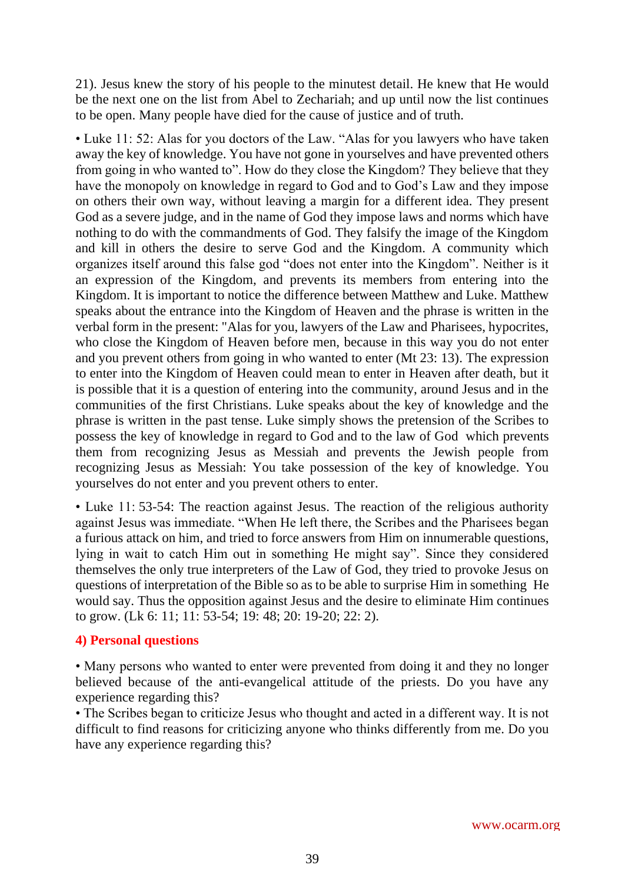21). Jesus knew the story of his people to the minutest detail. He knew that He would be the next one on the list from Abel to Zechariah; and up until now the list continues to be open. Many people have died for the cause of justice and of truth.

• Luke 11: 52: Alas for you doctors of the Law. "Alas for you lawyers who have taken away the key of knowledge. You have not gone in yourselves and have prevented others from going in who wanted to". How do they close the Kingdom? They believe that they have the monopoly on knowledge in regard to God and to God's Law and they impose on others their own way, without leaving a margin for a different idea. They present God as a severe judge, and in the name of God they impose laws and norms which have nothing to do with the commandments of God. They falsify the image of the Kingdom and kill in others the desire to serve God and the Kingdom. A community which organizes itself around this false god "does not enter into the Kingdom". Neither is it an expression of the Kingdom, and prevents its members from entering into the Kingdom. It is important to notice the difference between Matthew and Luke. Matthew speaks about the entrance into the Kingdom of Heaven and the phrase is written in the verbal form in the present: "Alas for you, lawyers of the Law and Pharisees, hypocrites, who close the Kingdom of Heaven before men, because in this way you do not enter and you prevent others from going in who wanted to enter (Mt 23: 13). The expression to enter into the Kingdom of Heaven could mean to enter in Heaven after death, but it is possible that it is a question of entering into the community, around Jesus and in the communities of the first Christians. Luke speaks about the key of knowledge and the phrase is written in the past tense. Luke simply shows the pretension of the Scribes to possess the key of knowledge in regard to God and to the law of God which prevents them from recognizing Jesus as Messiah and prevents the Jewish people from recognizing Jesus as Messiah: You take possession of the key of knowledge. You yourselves do not enter and you prevent others to enter.

• Luke 11: 53-54: The reaction against Jesus. The reaction of the religious authority against Jesus was immediate. "When He left there, the Scribes and the Pharisees began a furious attack on him, and tried to force answers from Him on innumerable questions, lying in wait to catch Him out in something He might say". Since they considered themselves the only true interpreters of the Law of God, they tried to provoke Jesus on questions of interpretation of the Bible so as to be able to surprise Him in something He would say. Thus the opposition against Jesus and the desire to eliminate Him continues to grow. (Lk 6: 11; 11: 53-54; 19: 48; 20: 19-20; 22: 2).

## **4) Personal questions**

• Many persons who wanted to enter were prevented from doing it and they no longer believed because of the anti-evangelical attitude of the priests. Do you have any experience regarding this?

• The Scribes began to criticize Jesus who thought and acted in a different way. It is not difficult to find reasons for criticizing anyone who thinks differently from me. Do you have any experience regarding this?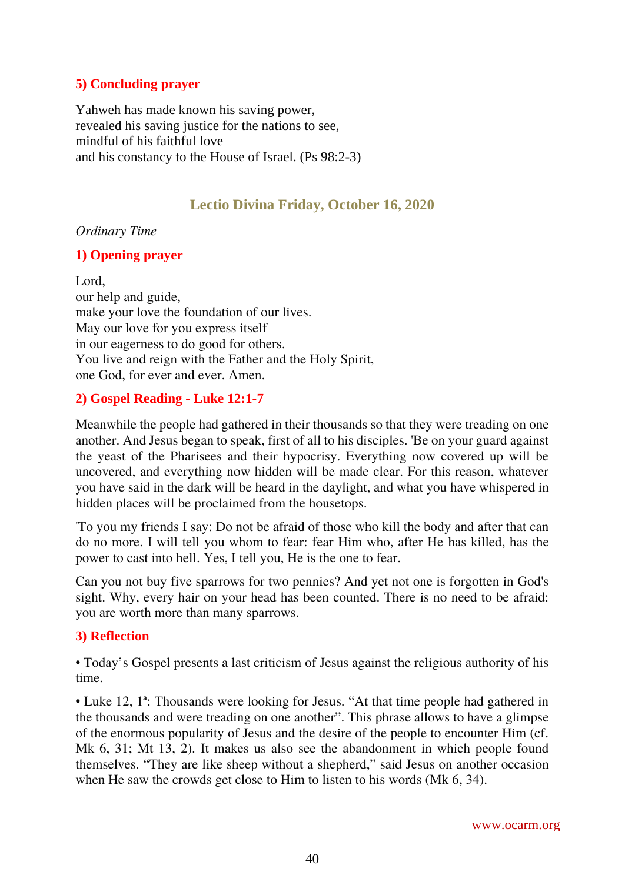## **5) Concluding prayer**

Yahweh has made known his saving power, revealed his saving justice for the nations to see. mindful of his faithful love and his constancy to the House of Israel. (Ps 98:2-3)

## **Lectio Divina Friday, October 16, 2020**

#### *Ordinary Time*

#### **1) Opening prayer**

Lord, our help and guide, make your love the foundation of our lives. May our love for you express itself in our eagerness to do good for others. You live and reign with the Father and the Holy Spirit, one God, for ever and ever. Amen.

#### **2) Gospel Reading - Luke 12:1-7**

Meanwhile the people had gathered in their thousands so that they were treading on one another. And Jesus began to speak, first of all to his disciples. 'Be on your guard against the yeast of the Pharisees and their hypocrisy. Everything now covered up will be uncovered, and everything now hidden will be made clear. For this reason, whatever you have said in the dark will be heard in the daylight, and what you have whispered in hidden places will be proclaimed from the housetops.

'To you my friends I say: Do not be afraid of those who kill the body and after that can do no more. I will tell you whom to fear: fear Him who, after He has killed, has the power to cast into hell. Yes, I tell you, He is the one to fear.

Can you not buy five sparrows for two pennies? And yet not one is forgotten in God's sight. Why, every hair on your head has been counted. There is no need to be afraid: you are worth more than many sparrows.

#### **3) Reflection**

• Today's Gospel presents a last criticism of Jesus against the religious authority of his time.

• Luke 12, 1<sup>ª</sup>: Thousands were looking for Jesus. "At that time people had gathered in the thousands and were treading on one another". This phrase allows to have a glimpse of the enormous popularity of Jesus and the desire of the people to encounter Him (cf. Mk 6, 31; Mt 13, 2). It makes us also see the abandonment in which people found themselves. "They are like sheep without a shepherd," said Jesus on another occasion when He saw the crowds get close to Him to listen to his words (Mk 6, 34).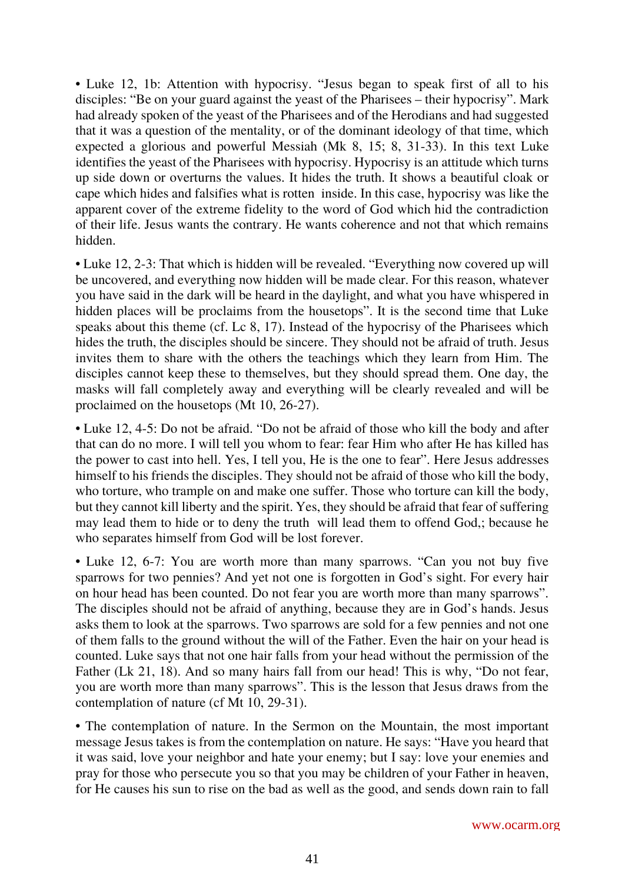• Luke 12, 1b: Attention with hypocrisy. "Jesus began to speak first of all to his disciples: "Be on your guard against the yeast of the Pharisees – their hypocrisy". Mark had already spoken of the yeast of the Pharisees and of the Herodians and had suggested that it was a question of the mentality, or of the dominant ideology of that time, which expected a glorious and powerful Messiah (Mk 8, 15; 8, 31-33). In this text Luke identifies the yeast of the Pharisees with hypocrisy. Hypocrisy is an attitude which turns up side down or overturns the values. It hides the truth. It shows a beautiful cloak or cape which hides and falsifies what is rotten inside. In this case, hypocrisy was like the apparent cover of the extreme fidelity to the word of God which hid the contradiction of their life. Jesus wants the contrary. He wants coherence and not that which remains hidden.

• Luke 12, 2-3: That which is hidden will be revealed. "Everything now covered up will be uncovered, and everything now hidden will be made clear. For this reason, whatever you have said in the dark will be heard in the daylight, and what you have whispered in hidden places will be proclaims from the housetops". It is the second time that Luke speaks about this theme (cf. Lc 8, 17). Instead of the hypocrisy of the Pharisees which hides the truth, the disciples should be sincere. They should not be afraid of truth. Jesus invites them to share with the others the teachings which they learn from Him. The disciples cannot keep these to themselves, but they should spread them. One day, the masks will fall completely away and everything will be clearly revealed and will be proclaimed on the housetops (Mt 10, 26-27).

• Luke 12, 4-5: Do not be afraid. "Do not be afraid of those who kill the body and after that can do no more. I will tell you whom to fear: fear Him who after He has killed has the power to cast into hell. Yes, I tell you, He is the one to fear". Here Jesus addresses himself to his friends the disciples. They should not be afraid of those who kill the body, who torture, who trample on and make one suffer. Those who torture can kill the body, but they cannot kill liberty and the spirit. Yes, they should be afraid that fear of suffering may lead them to hide or to deny the truth will lead them to offend God,; because he who separates himself from God will be lost forever.

• Luke 12, 6-7: You are worth more than many sparrows. "Can you not buy five sparrows for two pennies? And yet not one is forgotten in God's sight. For every hair on hour head has been counted. Do not fear you are worth more than many sparrows". The disciples should not be afraid of anything, because they are in God's hands. Jesus asks them to look at the sparrows. Two sparrows are sold for a few pennies and not one of them falls to the ground without the will of the Father. Even the hair on your head is counted. Luke says that not one hair falls from your head without the permission of the Father (Lk 21, 18). And so many hairs fall from our head! This is why, "Do not fear, you are worth more than many sparrows". This is the lesson that Jesus draws from the contemplation of nature (cf Mt 10, 29-31).

• The contemplation of nature. In the Sermon on the Mountain, the most important message Jesus takes is from the contemplation on nature. He says: "Have you heard that it was said, love your neighbor and hate your enemy; but I say: love your enemies and pray for those who persecute you so that you may be children of your Father in heaven, for He causes his sun to rise on the bad as well as the good, and sends down rain to fall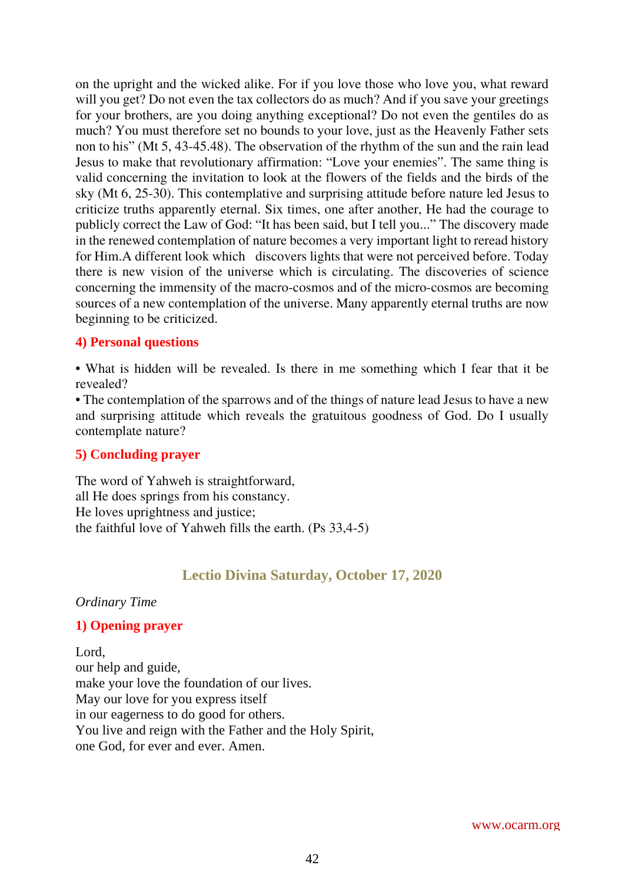on the upright and the wicked alike. For if you love those who love you, what reward will you get? Do not even the tax collectors do as much? And if you save your greetings for your brothers, are you doing anything exceptional? Do not even the gentiles do as much? You must therefore set no bounds to your love, just as the Heavenly Father sets non to his" (Mt 5, 43-45.48). The observation of the rhythm of the sun and the rain lead Jesus to make that revolutionary affirmation: "Love your enemies". The same thing is valid concerning the invitation to look at the flowers of the fields and the birds of the sky (Mt 6, 25-30). This contemplative and surprising attitude before nature led Jesus to criticize truths apparently eternal. Six times, one after another, He had the courage to publicly correct the Law of God: "It has been said, but I tell you..." The discovery made in the renewed contemplation of nature becomes a very important light to reread history for Him.A different look which discovers lights that were not perceived before. Today there is new vision of the universe which is circulating. The discoveries of science concerning the immensity of the macro-cosmos and of the micro-cosmos are becoming sources of a new contemplation of the universe. Many apparently eternal truths are now beginning to be criticized.

#### **4) Personal questions**

• What is hidden will be revealed. Is there in me something which I fear that it be revealed?

• The contemplation of the sparrows and of the things of nature lead Jesus to have a new and surprising attitude which reveals the gratuitous goodness of God. Do I usually contemplate nature?

#### **5) Concluding prayer**

The word of Yahweh is straightforward, all He does springs from his constancy. He loves uprightness and justice; the faithful love of Yahweh fills the earth. (Ps 33,4-5)

#### **Lectio Divina Saturday, October 17, 2020**

#### *Ordinary Time*

#### **1) Opening prayer**

Lord, our help and guide, make your love the foundation of our lives. May our love for you express itself in our eagerness to do good for others. You live and reign with the Father and the Holy Spirit, one God, for ever and ever. Amen.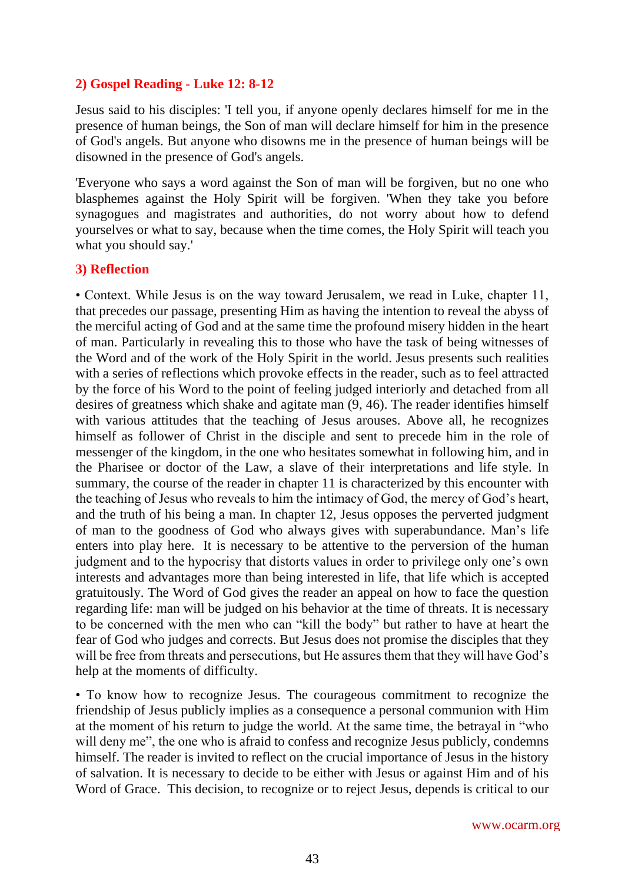## **2) Gospel Reading - Luke 12: 8-12**

Jesus said to his disciples: 'I tell you, if anyone openly declares himself for me in the presence of human beings, the Son of man will declare himself for him in the presence of God's angels. But anyone who disowns me in the presence of human beings will be disowned in the presence of God's angels.

'Everyone who says a word against the Son of man will be forgiven, but no one who blasphemes against the Holy Spirit will be forgiven. 'When they take you before synagogues and magistrates and authorities, do not worry about how to defend yourselves or what to say, because when the time comes, the Holy Spirit will teach you what you should say.'

#### **3) Reflection**

• Context. While Jesus is on the way toward Jerusalem, we read in Luke, chapter 11, that precedes our passage, presenting Him as having the intention to reveal the abyss of the merciful acting of God and at the same time the profound misery hidden in the heart of man. Particularly in revealing this to those who have the task of being witnesses of the Word and of the work of the Holy Spirit in the world. Jesus presents such realities with a series of reflections which provoke effects in the reader, such as to feel attracted by the force of his Word to the point of feeling judged interiorly and detached from all desires of greatness which shake and agitate man (9, 46). The reader identifies himself with various attitudes that the teaching of Jesus arouses. Above all, he recognizes himself as follower of Christ in the disciple and sent to precede him in the role of messenger of the kingdom, in the one who hesitates somewhat in following him, and in the Pharisee or doctor of the Law, a slave of their interpretations and life style. In summary, the course of the reader in chapter 11 is characterized by this encounter with the teaching of Jesus who reveals to him the intimacy of God, the mercy of God's heart, and the truth of his being a man. In chapter 12, Jesus opposes the perverted judgment of man to the goodness of God who always gives with superabundance. Man's life enters into play here. It is necessary to be attentive to the perversion of the human judgment and to the hypocrisy that distorts values in order to privilege only one's own interests and advantages more than being interested in life, that life which is accepted gratuitously. The Word of God gives the reader an appeal on how to face the question regarding life: man will be judged on his behavior at the time of threats. It is necessary to be concerned with the men who can "kill the body" but rather to have at heart the fear of God who judges and corrects. But Jesus does not promise the disciples that they will be free from threats and persecutions, but He assures them that they will have God's help at the moments of difficulty.

• To know how to recognize Jesus. The courageous commitment to recognize the friendship of Jesus publicly implies as a consequence a personal communion with Him at the moment of his return to judge the world. At the same time, the betrayal in "who will deny me", the one who is afraid to confess and recognize Jesus publicly, condemns himself. The reader is invited to reflect on the crucial importance of Jesus in the history of salvation. It is necessary to decide to be either with Jesus or against Him and of his Word of Grace. This decision, to recognize or to reject Jesus, depends is critical to our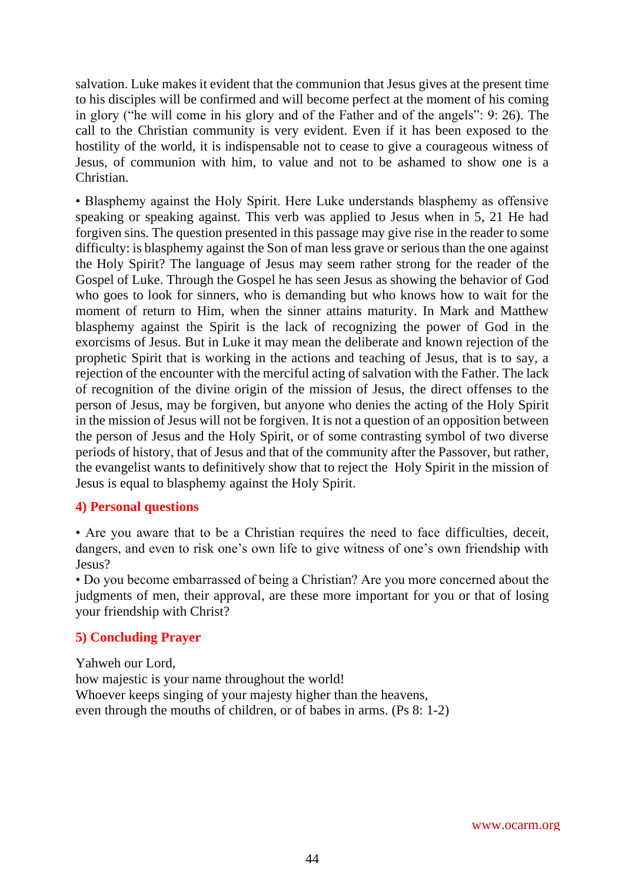salvation. Luke makes it evident that the communion that Jesus gives at the present time to his disciples will be confirmed and will become perfect at the moment of his coming in glory ("he will come in his glory and of the Father and of the angels": 9: 26). The call to the Christian community is very evident. Even if it has been exposed to the hostility of the world, it is indispensable not to cease to give a courageous witness of Jesus, of communion with him, to value and not to be ashamed to show one is a Christian.

• Blasphemy against the Holy Spirit. Here Luke understands blasphemy as offensive speaking or speaking against. This verb was applied to Jesus when in 5, 21 He had forgiven sins. The question presented in this passage may give rise in the reader to some difficulty: is blasphemy against the Son of man less grave or serious than the one against the Holy Spirit? The language of Jesus may seem rather strong for the reader of the Gospel of Luke. Through the Gospel he has seen Jesus as showing the behavior of God who goes to look for sinners, who is demanding but who knows how to wait for the moment of return to Him, when the sinner attains maturity. In Mark and Matthew blasphemy against the Spirit is the lack of recognizing the power of God in the exorcisms of Jesus. But in Luke it may mean the deliberate and known rejection of the prophetic Spirit that is working in the actions and teaching of Jesus, that is to say, a rejection of the encounter with the merciful acting of salvation with the Father. The lack of recognition of the divine origin of the mission of Jesus, the direct offenses to the person of Jesus, may be forgiven, but anyone who denies the acting of the Holy Spirit in the mission of Jesus will not be forgiven. It is not a question of an opposition between the person of Jesus and the Holy Spirit, or of some contrasting symbol of two diverse periods of history, that of Jesus and that of the community after the Passover, but rather, the evangelist wants to definitively show that to reject the Holy Spirit in the mission of Jesus is equal to blasphemy against the Holy Spirit.

#### **4) Personal questions**

• Are you aware that to be a Christian requires the need to face difficulties, deceit, dangers, and even to risk one's own life to give witness of one's own friendship with Jesus?

• Do you become embarrassed of being a Christian? Are you more concerned about the judgments of men, their approval, are these more important for you or that of losing your friendship with Christ?

## **5) Concluding Prayer**

Yahweh our Lord, how majestic is your name throughout the world! Whoever keeps singing of your majesty higher than the heavens, even through the mouths of children, or of babes in arms. (Ps 8: 1-2)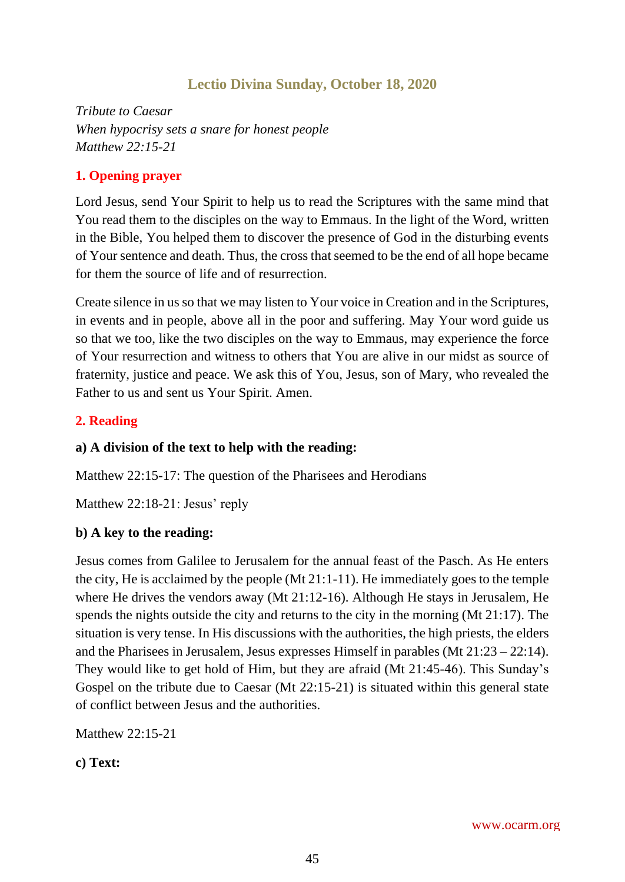# **Lectio Divina Sunday, October 18, 2020**

*Tribute to Caesar When hypocrisy sets a snare for honest people Matthew 22:15-21*

## **1. Opening prayer**

Lord Jesus, send Your Spirit to help us to read the Scriptures with the same mind that You read them to the disciples on the way to Emmaus. In the light of the Word, written in the Bible, You helped them to discover the presence of God in the disturbing events of Your sentence and death. Thus, the cross that seemed to be the end of all hope became for them the source of life and of resurrection.

Create silence in us so that we may listen to Your voice in Creation and in the Scriptures, in events and in people, above all in the poor and suffering. May Your word guide us so that we too, like the two disciples on the way to Emmaus, may experience the force of Your resurrection and witness to others that You are alive in our midst as source of fraternity, justice and peace. We ask this of You, Jesus, son of Mary, who revealed the Father to us and sent us Your Spirit. Amen.

## **2. Reading**

## **a) A division of the text to help with the reading:**

Matthew 22:15-17: The question of the Pharisees and Herodians

Matthew 22:18-21: Jesus' reply

## **b) A key to the reading:**

Jesus comes from Galilee to Jerusalem for the annual feast of the Pasch. As He enters the city, He is acclaimed by the people (Mt 21:1-11). He immediately goes to the temple where He drives the vendors away (Mt 21:12-16). Although He stays in Jerusalem, He spends the nights outside the city and returns to the city in the morning (Mt 21:17). The situation is very tense. In His discussions with the authorities, the high priests, the elders and the Pharisees in Jerusalem, Jesus expresses Himself in parables (Mt 21:23 – 22:14). They would like to get hold of Him, but they are afraid (Mt 21:45-46). This Sunday's Gospel on the tribute due to Caesar (Mt 22:15-21) is situated within this general state of conflict between Jesus and the authorities.

Matthew 22:15-21

**c) Text:**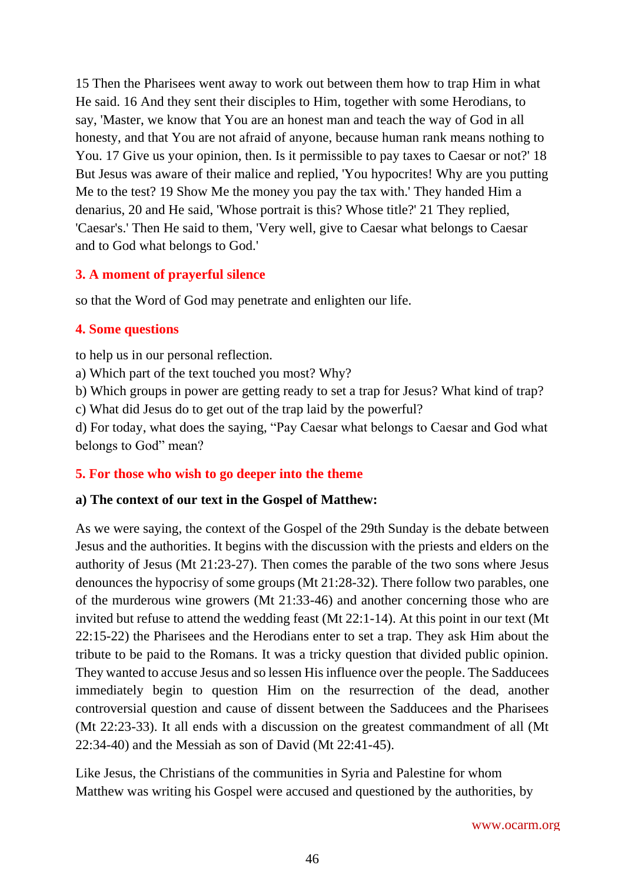15 Then the Pharisees went away to work out between them how to trap Him in what He said. 16 And they sent their disciples to Him, together with some Herodians, to say, 'Master, we know that You are an honest man and teach the way of God in all honesty, and that You are not afraid of anyone, because human rank means nothing to You. 17 Give us your opinion, then. Is it permissible to pay taxes to Caesar or not?' 18 But Jesus was aware of their malice and replied, 'You hypocrites! Why are you putting Me to the test? 19 Show Me the money you pay the tax with.' They handed Him a denarius, 20 and He said, 'Whose portrait is this? Whose title?' 21 They replied, 'Caesar's.' Then He said to them, 'Very well, give to Caesar what belongs to Caesar and to God what belongs to God.'

# **3. A moment of prayerful silence**

so that the Word of God may penetrate and enlighten our life.

## **4. Some questions**

to help us in our personal reflection.

a) Which part of the text touched you most? Why?

b) Which groups in power are getting ready to set a trap for Jesus? What kind of trap?

c) What did Jesus do to get out of the trap laid by the powerful?

d) For today, what does the saying, "Pay Caesar what belongs to Caesar and God what belongs to God" mean?

## **5. For those who wish to go deeper into the theme**

#### **a) The context of our text in the Gospel of Matthew:**

As we were saying, the context of the Gospel of the 29th Sunday is the debate between Jesus and the authorities. It begins with the discussion with the priests and elders on the authority of Jesus (Mt 21:23-27). Then comes the parable of the two sons where Jesus denounces the hypocrisy of some groups (Mt 21:28-32). There follow two parables, one of the murderous wine growers (Mt 21:33-46) and another concerning those who are invited but refuse to attend the wedding feast (Mt 22:1-14). At this point in our text (Mt 22:15-22) the Pharisees and the Herodians enter to set a trap. They ask Him about the tribute to be paid to the Romans. It was a tricky question that divided public opinion. They wanted to accuse Jesus and so lessen His influence over the people. The Sadducees immediately begin to question Him on the resurrection of the dead, another controversial question and cause of dissent between the Sadducees and the Pharisees (Mt 22:23-33). It all ends with a discussion on the greatest commandment of all (Mt 22:34-40) and the Messiah as son of David (Mt 22:41-45).

Like Jesus, the Christians of the communities in Syria and Palestine for whom Matthew was writing his Gospel were accused and questioned by the authorities, by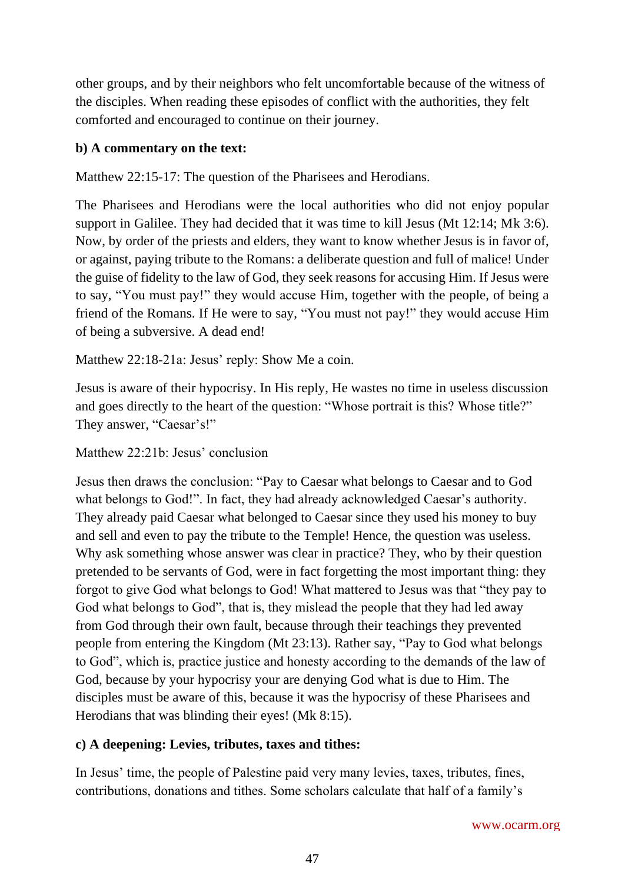other groups, and by their neighbors who felt uncomfortable because of the witness of the disciples. When reading these episodes of conflict with the authorities, they felt comforted and encouraged to continue on their journey.

# **b) A commentary on the text:**

Matthew 22:15-17: The question of the Pharisees and Herodians.

The Pharisees and Herodians were the local authorities who did not enjoy popular support in Galilee. They had decided that it was time to kill Jesus (Mt 12:14; Mk 3:6). Now, by order of the priests and elders, they want to know whether Jesus is in favor of, or against, paying tribute to the Romans: a deliberate question and full of malice! Under the guise of fidelity to the law of God, they seek reasons for accusing Him. If Jesus were to say, "You must pay!" they would accuse Him, together with the people, of being a friend of the Romans. If He were to say, "You must not pay!" they would accuse Him of being a subversive. A dead end!

Matthew 22:18-21a: Jesus' reply: Show Me a coin.

Jesus is aware of their hypocrisy. In His reply, He wastes no time in useless discussion and goes directly to the heart of the question: "Whose portrait is this? Whose title?" They answer, "Caesar's!"

Matthew 22:21b: Jesus' conclusion

Jesus then draws the conclusion: "Pay to Caesar what belongs to Caesar and to God what belongs to God!". In fact, they had already acknowledged Caesar's authority. They already paid Caesar what belonged to Caesar since they used his money to buy and sell and even to pay the tribute to the Temple! Hence, the question was useless. Why ask something whose answer was clear in practice? They, who by their question pretended to be servants of God, were in fact forgetting the most important thing: they forgot to give God what belongs to God! What mattered to Jesus was that "they pay to God what belongs to God", that is, they mislead the people that they had led away from God through their own fault, because through their teachings they prevented people from entering the Kingdom (Mt 23:13). Rather say, "Pay to God what belongs to God", which is, practice justice and honesty according to the demands of the law of God, because by your hypocrisy your are denying God what is due to Him. The disciples must be aware of this, because it was the hypocrisy of these Pharisees and Herodians that was blinding their eyes! (Mk 8:15).

# **c) A deepening: Levies, tributes, taxes and tithes:**

In Jesus' time, the people of Palestine paid very many levies, taxes, tributes, fines, contributions, donations and tithes. Some scholars calculate that half of a family's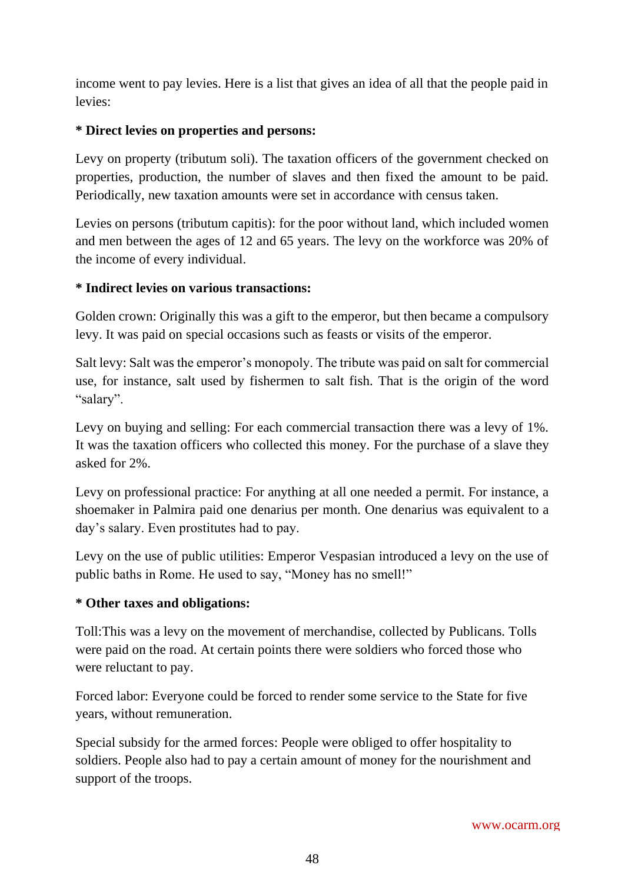income went to pay levies. Here is a list that gives an idea of all that the people paid in levies:

## **\* Direct levies on properties and persons:**

Levy on property (tributum soli). The taxation officers of the government checked on properties, production, the number of slaves and then fixed the amount to be paid. Periodically, new taxation amounts were set in accordance with census taken.

Levies on persons (tributum capitis): for the poor without land, which included women and men between the ages of 12 and 65 years. The levy on the workforce was 20% of the income of every individual.

## **\* Indirect levies on various transactions:**

Golden crown: Originally this was a gift to the emperor, but then became a compulsory levy. It was paid on special occasions such as feasts or visits of the emperor.

Salt levy: Salt was the emperor's monopoly. The tribute was paid on salt for commercial use, for instance, salt used by fishermen to salt fish. That is the origin of the word "salary".

Levy on buying and selling: For each commercial transaction there was a levy of 1%. It was the taxation officers who collected this money. For the purchase of a slave they asked for 2%.

Levy on professional practice: For anything at all one needed a permit. For instance, a shoemaker in Palmira paid one denarius per month. One denarius was equivalent to a day's salary. Even prostitutes had to pay.

Levy on the use of public utilities: Emperor Vespasian introduced a levy on the use of public baths in Rome. He used to say, "Money has no smell!"

# **\* Other taxes and obligations:**

Toll:This was a levy on the movement of merchandise, collected by Publicans. Tolls were paid on the road. At certain points there were soldiers who forced those who were reluctant to pay.

Forced labor: Everyone could be forced to render some service to the State for five years, without remuneration.

Special subsidy for the armed forces: People were obliged to offer hospitality to soldiers. People also had to pay a certain amount of money for the nourishment and support of the troops.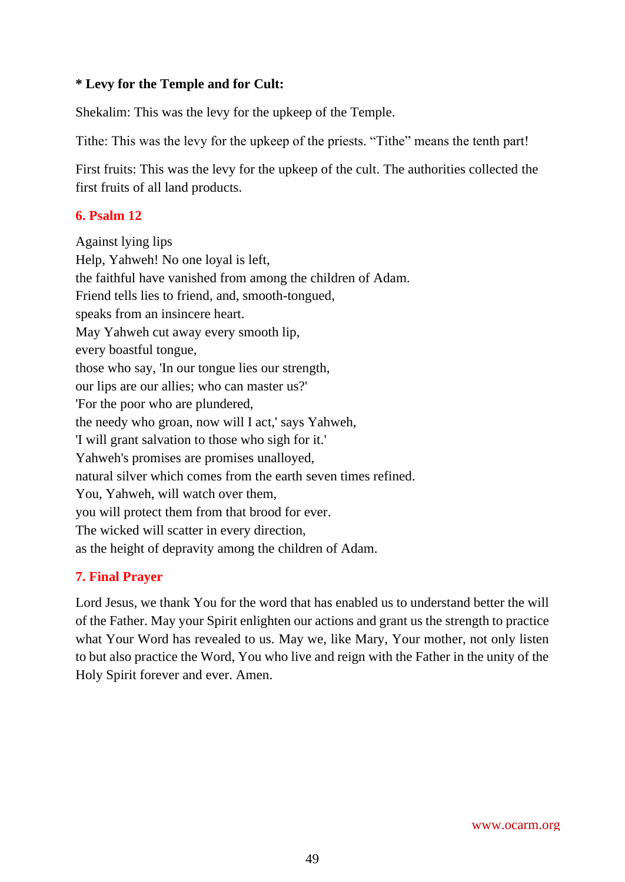## **\* Levy for the Temple and for Cult:**

Shekalim: This was the levy for the upkeep of the Temple.

Tithe: This was the levy for the upkeep of the priests. "Tithe" means the tenth part!

First fruits: This was the levy for the upkeep of the cult. The authorities collected the first fruits of all land products.

#### **6. Psalm 12**

Against lying lips Help, Yahweh! No one loyal is left, the faithful have vanished from among the children of Adam. Friend tells lies to friend, and, smooth-tongued, speaks from an insincere heart. May Yahweh cut away every smooth lip, every boastful tongue, those who say, 'In our tongue lies our strength, our lips are our allies; who can master us?' 'For the poor who are plundered, the needy who groan, now will I act,' says Yahweh, 'I will grant salvation to those who sigh for it.' Yahweh's promises are promises unalloyed, natural silver which comes from the earth seven times refined. You, Yahweh, will watch over them, you will protect them from that brood for ever. The wicked will scatter in every direction, as the height of depravity among the children of Adam.

## **7. Final Prayer**

Lord Jesus, we thank You for the word that has enabled us to understand better the will of the Father. May your Spirit enlighten our actions and grant us the strength to practice what Your Word has revealed to us. May we, like Mary, Your mother, not only listen to but also practice the Word, You who live and reign with the Father in the unity of the Holy Spirit forever and ever. Amen.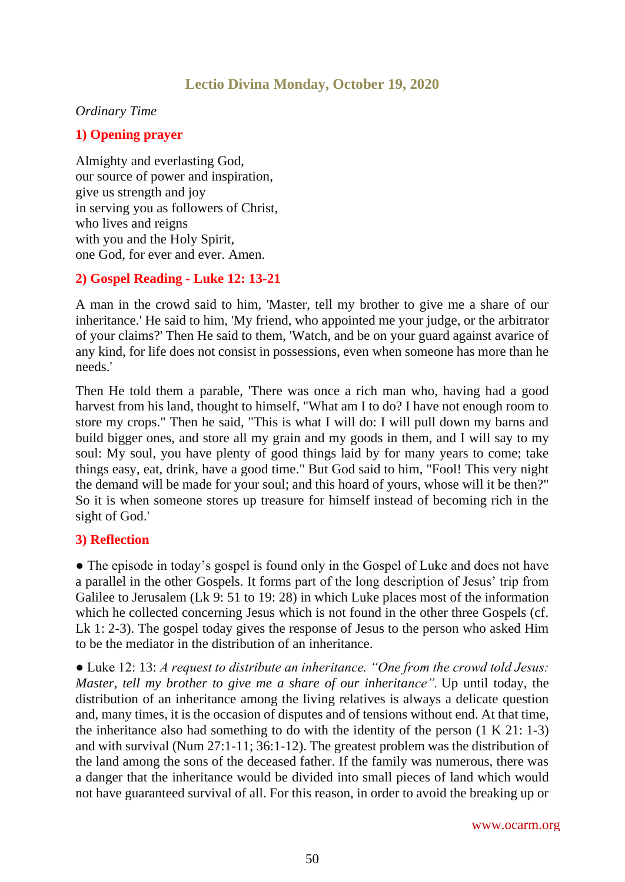# **Lectio Divina Monday, October 19, 2020**

*Ordinary Time*

#### **1) Opening prayer**

Almighty and everlasting God, our source of power and inspiration, give us strength and joy in serving you as followers of Christ, who lives and reigns with you and the Holy Spirit, one God, for ever and ever. Amen.

## **2) Gospel Reading - Luke 12: 13-21**

A man in the crowd said to him, 'Master, tell my brother to give me a share of our inheritance.' He said to him, 'My friend, who appointed me your judge, or the arbitrator of your claims?' Then He said to them, 'Watch, and be on your guard against avarice of any kind, for life does not consist in possessions, even when someone has more than he needs.'

Then He told them a parable, 'There was once a rich man who, having had a good harvest from his land, thought to himself, "What am I to do? I have not enough room to store my crops." Then he said, "This is what I will do: I will pull down my barns and build bigger ones, and store all my grain and my goods in them, and I will say to my soul: My soul, you have plenty of good things laid by for many years to come; take things easy, eat, drink, have a good time." But God said to him, "Fool! This very night the demand will be made for your soul; and this hoard of yours, whose will it be then?" So it is when someone stores up treasure for himself instead of becoming rich in the sight of God.'

#### **3) Reflection**

• The episode in today's gospel is found only in the Gospel of Luke and does not have a parallel in the other Gospels. It forms part of the long description of Jesus' trip from Galilee to Jerusalem (Lk 9: 51 to 19: 28) in which Luke places most of the information which he collected concerning Jesus which is not found in the other three Gospels (cf. Lk 1: 2-3). The gospel today gives the response of Jesus to the person who asked Him to be the mediator in the distribution of an inheritance.

● Luke 12: 13: *A request to distribute an inheritance. "One from the crowd told Jesus: Master, tell my brother to give me a share of our inheritance".* Up until today, the distribution of an inheritance among the living relatives is always a delicate question and, many times, it is the occasion of disputes and of tensions without end. At that time, the inheritance also had something to do with the identity of the person (1 K 21: 1-3) and with survival (Num 27:1-11; 36:1-12). The greatest problem was the distribution of the land among the sons of the deceased father. If the family was numerous, there was a danger that the inheritance would be divided into small pieces of land which would not have guaranteed survival of all. For this reason, in order to avoid the breaking up or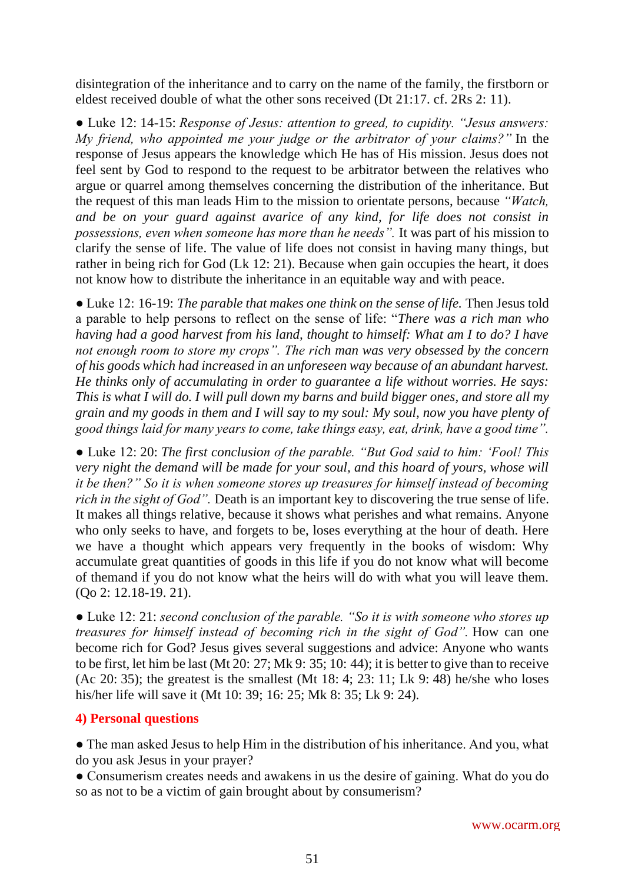disintegration of the inheritance and to carry on the name of the family, the firstborn or eldest received double of what the other sons received (Dt 21:17. cf. 2Rs 2: 11).

● Luke 12: 14-15: *Response of Jesus: attention to greed, to cupidity. "Jesus answers: My friend, who appointed me your judge or the arbitrator of your claims?"* In the response of Jesus appears the knowledge which He has of His mission. Jesus does not feel sent by God to respond to the request to be arbitrator between the relatives who argue or quarrel among themselves concerning the distribution of the inheritance. But the request of this man leads Him to the mission to orientate persons, because *"Watch, and be on your guard against avarice of any kind, for life does not consist in possessions, even when someone has more than he needs".* It was part of his mission to clarify the sense of life. The value of life does not consist in having many things, but rather in being rich for God (Lk 12: 21). Because when gain occupies the heart, it does not know how to distribute the inheritance in an equitable way and with peace.

● Luke 12: 16-19: *The parable that makes one think on the sense of life.* Then Jesus told a parable to help persons to reflect on the sense of life: "*There was a rich man who having had a good harvest from his land, thought to himself: What am I to do? I have not enough room to store my crops". The rich man was very obsessed by the concern of his goods which had increased in an unforeseen way because of an abundant harvest. He thinks only of accumulating in order to guarantee a life without worries. He says: This is what I will do. I will pull down my barns and build bigger ones, and store all my grain and my goods in them and I will say to my soul: My soul, now you have plenty of good things laid for many years to come, take things easy, eat, drink, have a good time".*

● Luke 12: 20: *The first conclusion of the parable. "But God said to him: 'Fool! This very night the demand will be made for your soul, and this hoard of yours, whose will it be then?" So it is when someone stores up treasures for himself instead of becoming rich in the sight of God"*. Death is an important key to discovering the true sense of life. It makes all things relative, because it shows what perishes and what remains. Anyone who only seeks to have, and forgets to be, loses everything at the hour of death. Here we have a thought which appears very frequently in the books of wisdom: Why accumulate great quantities of goods in this life if you do not know what will become of themand if you do not know what the heirs will do with what you will leave them. (Qo 2: 12.18-19. 21).

● Luke 12: 21: *second conclusion of the parable. "So it is with someone who stores up treasures for himself instead of becoming rich in the sight of God".* How can one become rich for God? Jesus gives several suggestions and advice: Anyone who wants to be first, let him be last (Mt 20: 27; Mk 9: 35; 10: 44); it is better to give than to receive (Ac 20: 35); the greatest is the smallest (Mt 18: 4; 23: 11; Lk 9: 48) he/she who loses his/her life will save it (Mt 10: 39; 16: 25; Mk 8: 35; Lk 9: 24).

## **4) Personal questions**

● The man asked Jesus to help Him in the distribution of his inheritance. And you, what do you ask Jesus in your prayer?

● Consumerism creates needs and awakens in us the desire of gaining. What do you do so as not to be a victim of gain brought about by consumerism?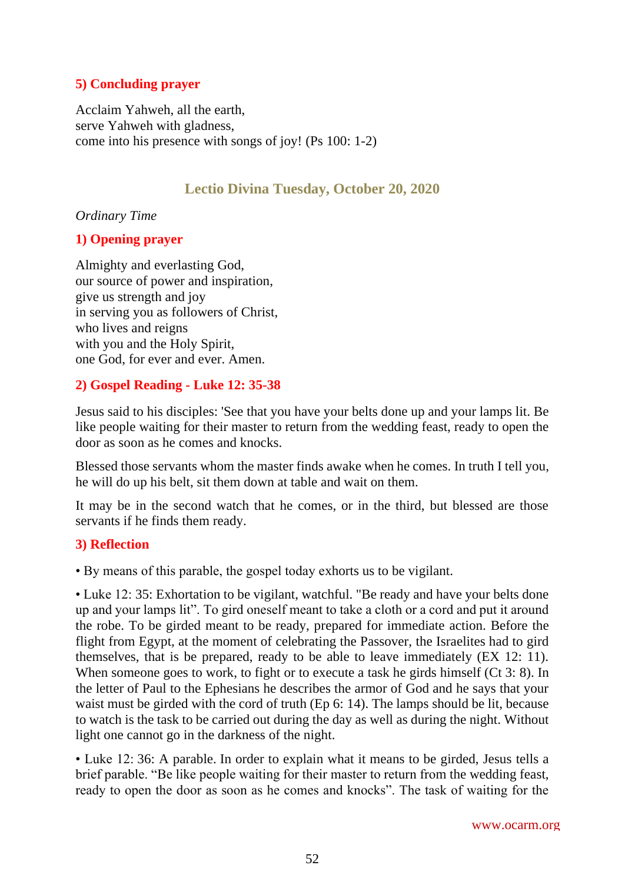# **5) Concluding prayer**

Acclaim Yahweh, all the earth, serve Yahweh with gladness, come into his presence with songs of joy! (Ps 100: 1-2)

# **Lectio Divina Tuesday, October 20, 2020**

*Ordinary Time*

## **1) Opening prayer**

Almighty and everlasting God, our source of power and inspiration, give us strength and joy in serving you as followers of Christ, who lives and reigns with you and the Holy Spirit, one God, for ever and ever. Amen.

## **2) Gospel Reading - Luke 12: 35-38**

Jesus said to his disciples: 'See that you have your belts done up and your lamps lit. Be like people waiting for their master to return from the wedding feast, ready to open the door as soon as he comes and knocks.

Blessed those servants whom the master finds awake when he comes. In truth I tell you, he will do up his belt, sit them down at table and wait on them.

It may be in the second watch that he comes, or in the third, but blessed are those servants if he finds them ready.

## **3) Reflection**

• By means of this parable, the gospel today exhorts us to be vigilant.

• Luke 12: 35: Exhortation to be vigilant, watchful. "Be ready and have your belts done up and your lamps lit". To gird oneself meant to take a cloth or a cord and put it around the robe. To be girded meant to be ready, prepared for immediate action. Before the flight from Egypt, at the moment of celebrating the Passover, the Israelites had to gird themselves, that is be prepared, ready to be able to leave immediately (EX 12: 11). When someone goes to work, to fight or to execute a task he girds himself (Ct 3: 8). In the letter of Paul to the Ephesians he describes the armor of God and he says that your waist must be girded with the cord of truth (Ep 6: 14). The lamps should be lit, because to watch is the task to be carried out during the day as well as during the night. Without light one cannot go in the darkness of the night.

• Luke 12: 36: A parable. In order to explain what it means to be girded, Jesus tells a brief parable. "Be like people waiting for their master to return from the wedding feast, ready to open the door as soon as he comes and knocks". The task of waiting for the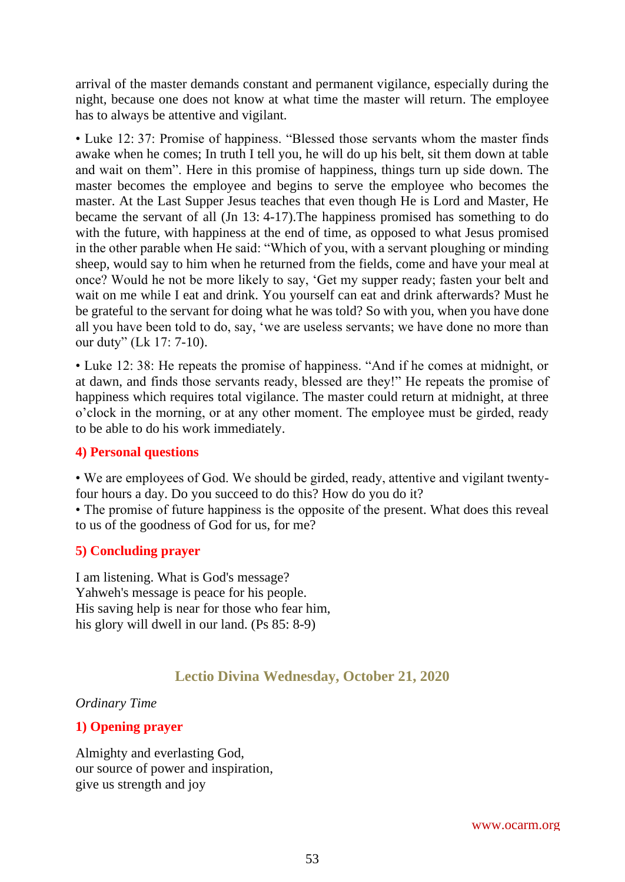arrival of the master demands constant and permanent vigilance, especially during the night, because one does not know at what time the master will return. The employee has to always be attentive and vigilant.

• Luke 12: 37: Promise of happiness. "Blessed those servants whom the master finds awake when he comes; In truth I tell you, he will do up his belt, sit them down at table and wait on them". Here in this promise of happiness, things turn up side down. The master becomes the employee and begins to serve the employee who becomes the master. At the Last Supper Jesus teaches that even though He is Lord and Master, He became the servant of all (Jn 13: 4-17).The happiness promised has something to do with the future, with happiness at the end of time, as opposed to what Jesus promised in the other parable when He said: "Which of you, with a servant ploughing or minding sheep, would say to him when he returned from the fields, come and have your meal at once? Would he not be more likely to say, 'Get my supper ready; fasten your belt and wait on me while I eat and drink. You yourself can eat and drink afterwards? Must he be grateful to the servant for doing what he was told? So with you, when you have done all you have been told to do, say, 'we are useless servants; we have done no more than our duty" (Lk 17: 7-10).

• Luke 12: 38: He repeats the promise of happiness. "And if he comes at midnight, or at dawn, and finds those servants ready, blessed are they!" He repeats the promise of happiness which requires total vigilance. The master could return at midnight, at three o'clock in the morning, or at any other moment. The employee must be girded, ready to be able to do his work immediately.

## **4) Personal questions**

• We are employees of God. We should be girded, ready, attentive and vigilant twentyfour hours a day. Do you succeed to do this? How do you do it?

• The promise of future happiness is the opposite of the present. What does this reveal to us of the goodness of God for us, for me?

## **5) Concluding prayer**

I am listening. What is God's message? Yahweh's message is peace for his people. His saving help is near for those who fear him, his glory will dwell in our land. (Ps 85: 8-9)

# **Lectio Divina Wednesday, October 21, 2020**

#### *Ordinary Time*

## **1) Opening prayer**

Almighty and everlasting God, our source of power and inspiration, give us strength and joy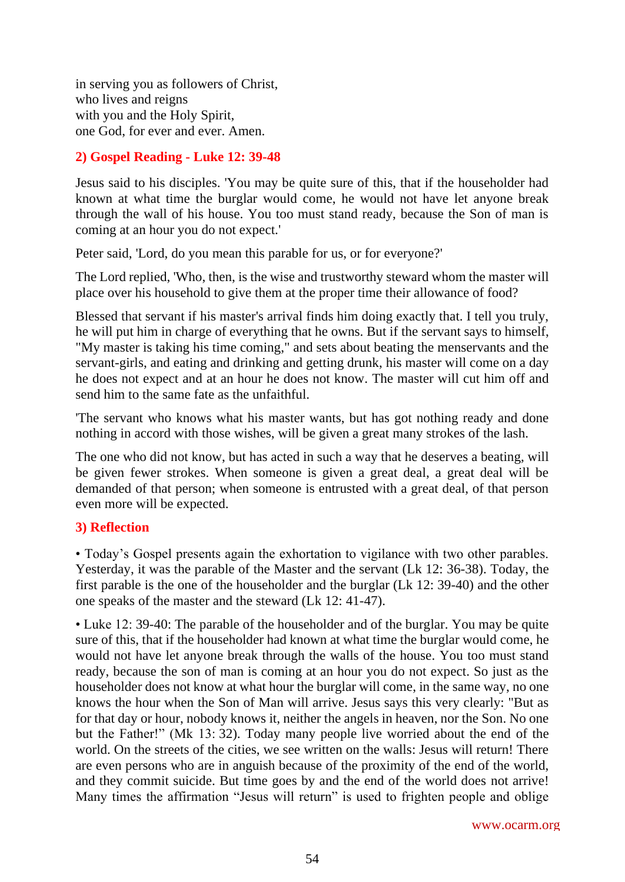in serving you as followers of Christ, who lives and reigns with you and the Holy Spirit, one God, for ever and ever. Amen.

## **2) Gospel Reading - Luke 12: 39-48**

Jesus said to his disciples. 'You may be quite sure of this, that if the householder had known at what time the burglar would come, he would not have let anyone break through the wall of his house. You too must stand ready, because the Son of man is coming at an hour you do not expect.'

Peter said, 'Lord, do you mean this parable for us, or for everyone?'

The Lord replied, 'Who, then, is the wise and trustworthy steward whom the master will place over his household to give them at the proper time their allowance of food?

Blessed that servant if his master's arrival finds him doing exactly that. I tell you truly, he will put him in charge of everything that he owns. But if the servant says to himself, "My master is taking his time coming," and sets about beating the menservants and the servant-girls, and eating and drinking and getting drunk, his master will come on a day he does not expect and at an hour he does not know. The master will cut him off and send him to the same fate as the unfaithful.

'The servant who knows what his master wants, but has got nothing ready and done nothing in accord with those wishes, will be given a great many strokes of the lash.

The one who did not know, but has acted in such a way that he deserves a beating, will be given fewer strokes. When someone is given a great deal, a great deal will be demanded of that person; when someone is entrusted with a great deal, of that person even more will be expected.

## **3) Reflection**

• Today's Gospel presents again the exhortation to vigilance with two other parables. Yesterday, it was the parable of the Master and the servant (Lk 12: 36-38). Today, the first parable is the one of the householder and the burglar (Lk 12: 39-40) and the other one speaks of the master and the steward (Lk 12: 41-47).

• Luke 12: 39-40: The parable of the householder and of the burglar. You may be quite sure of this, that if the householder had known at what time the burglar would come, he would not have let anyone break through the walls of the house. You too must stand ready, because the son of man is coming at an hour you do not expect. So just as the householder does not know at what hour the burglar will come, in the same way, no one knows the hour when the Son of Man will arrive. Jesus says this very clearly: "But as for that day or hour, nobody knows it, neither the angels in heaven, nor the Son. No one but the Father!" (Mk 13: 32). Today many people live worried about the end of the world. On the streets of the cities, we see written on the walls: Jesus will return! There are even persons who are in anguish because of the proximity of the end of the world, and they commit suicide. But time goes by and the end of the world does not arrive! Many times the affirmation "Jesus will return" is used to frighten people and oblige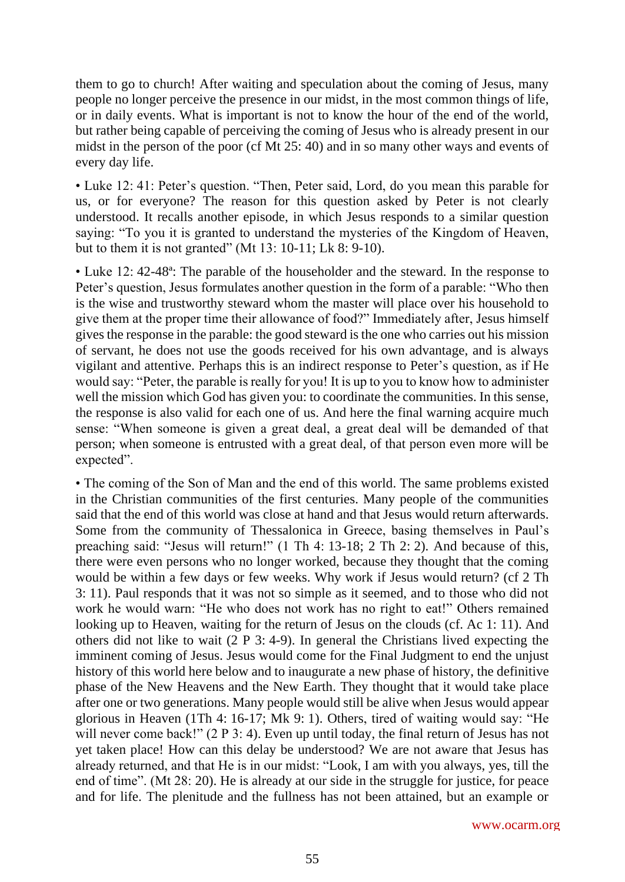them to go to church! After waiting and speculation about the coming of Jesus, many people no longer perceive the presence in our midst, in the most common things of life, or in daily events. What is important is not to know the hour of the end of the world, but rather being capable of perceiving the coming of Jesus who is already present in our midst in the person of the poor (cf Mt 25: 40) and in so many other ways and events of every day life.

• Luke 12: 41: Peter's question. "Then, Peter said, Lord, do you mean this parable for us, or for everyone? The reason for this question asked by Peter is not clearly understood. It recalls another episode, in which Jesus responds to a similar question saying: "To you it is granted to understand the mysteries of the Kingdom of Heaven, but to them it is not granted" (Mt 13: 10-11; Lk 8: 9-10).

• Luke 12: 42-48ª: The parable of the householder and the steward. In the response to Peter's question, Jesus formulates another question in the form of a parable: "Who then is the wise and trustworthy steward whom the master will place over his household to give them at the proper time their allowance of food?" Immediately after, Jesus himself gives the response in the parable: the good steward is the one who carries out his mission of servant, he does not use the goods received for his own advantage, and is always vigilant and attentive. Perhaps this is an indirect response to Peter's question, as if He would say: "Peter, the parable is really for you! It is up to you to know how to administer well the mission which God has given you: to coordinate the communities. In this sense, the response is also valid for each one of us. And here the final warning acquire much sense: "When someone is given a great deal, a great deal will be demanded of that person; when someone is entrusted with a great deal, of that person even more will be expected".

• The coming of the Son of Man and the end of this world. The same problems existed in the Christian communities of the first centuries. Many people of the communities said that the end of this world was close at hand and that Jesus would return afterwards. Some from the community of Thessalonica in Greece, basing themselves in Paul's preaching said: "Jesus will return!" (1 Th 4: 13-18; 2 Th 2: 2). And because of this, there were even persons who no longer worked, because they thought that the coming would be within a few days or few weeks. Why work if Jesus would return? (cf 2 Th 3: 11). Paul responds that it was not so simple as it seemed, and to those who did not work he would warn: "He who does not work has no right to eat!" Others remained looking up to Heaven, waiting for the return of Jesus on the clouds (cf. Ac 1: 11). And others did not like to wait (2 P 3: 4-9). In general the Christians lived expecting the imminent coming of Jesus. Jesus would come for the Final Judgment to end the unjust history of this world here below and to inaugurate a new phase of history, the definitive phase of the New Heavens and the New Earth. They thought that it would take place after one or two generations. Many people would still be alive when Jesus would appear glorious in Heaven (1Th 4: 16-17; Mk 9: 1). Others, tired of waiting would say: "He will never come back!" (2 P 3: 4). Even up until today, the final return of Jesus has not yet taken place! How can this delay be understood? We are not aware that Jesus has already returned, and that He is in our midst: "Look, I am with you always, yes, till the end of time". (Mt 28: 20). He is already at our side in the struggle for justice, for peace and for life. The plenitude and the fullness has not been attained, but an example or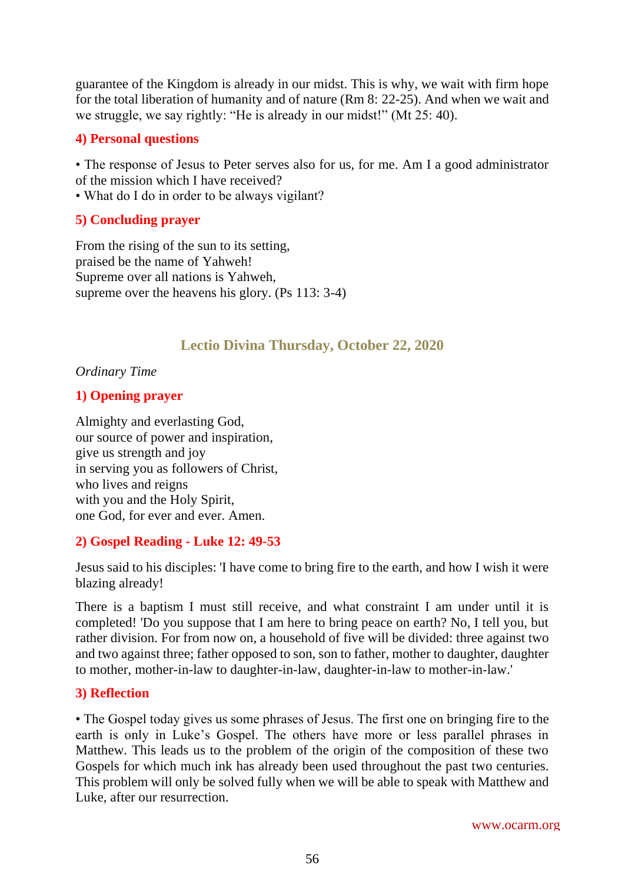guarantee of the Kingdom is already in our midst. This is why, we wait with firm hope for the total liberation of humanity and of nature (Rm 8: 22-25). And when we wait and we struggle, we say rightly: "He is already in our midst!" (Mt 25: 40).

## **4) Personal questions**

• The response of Jesus to Peter serves also for us, for me. Am I a good administrator of the mission which I have received?

• What do I do in order to be always vigilant?

## **5) Concluding prayer**

From the rising of the sun to its setting, praised be the name of Yahweh! Supreme over all nations is Yahweh, supreme over the heavens his glory. (Ps 113: 3-4)

# **Lectio Divina Thursday, October 22, 2020**

*Ordinary Time*

## **1) Opening prayer**

Almighty and everlasting God, our source of power and inspiration, give us strength and joy in serving you as followers of Christ, who lives and reigns with you and the Holy Spirit, one God, for ever and ever. Amen.

# **2) Gospel Reading - Luke 12: 49-53**

Jesus said to his disciples: 'I have come to bring fire to the earth, and how I wish it were blazing already!

There is a baptism I must still receive, and what constraint I am under until it is completed! 'Do you suppose that I am here to bring peace on earth? No, I tell you, but rather division. For from now on, a household of five will be divided: three against two and two against three; father opposed to son, son to father, mother to daughter, daughter to mother, mother-in-law to daughter-in-law, daughter-in-law to mother-in-law.'

## **3) Reflection**

• The Gospel today gives us some phrases of Jesus. The first one on bringing fire to the earth is only in Luke's Gospel. The others have more or less parallel phrases in Matthew. This leads us to the problem of the origin of the composition of these two Gospels for which much ink has already been used throughout the past two centuries. This problem will only be solved fully when we will be able to speak with Matthew and Luke, after our resurrection.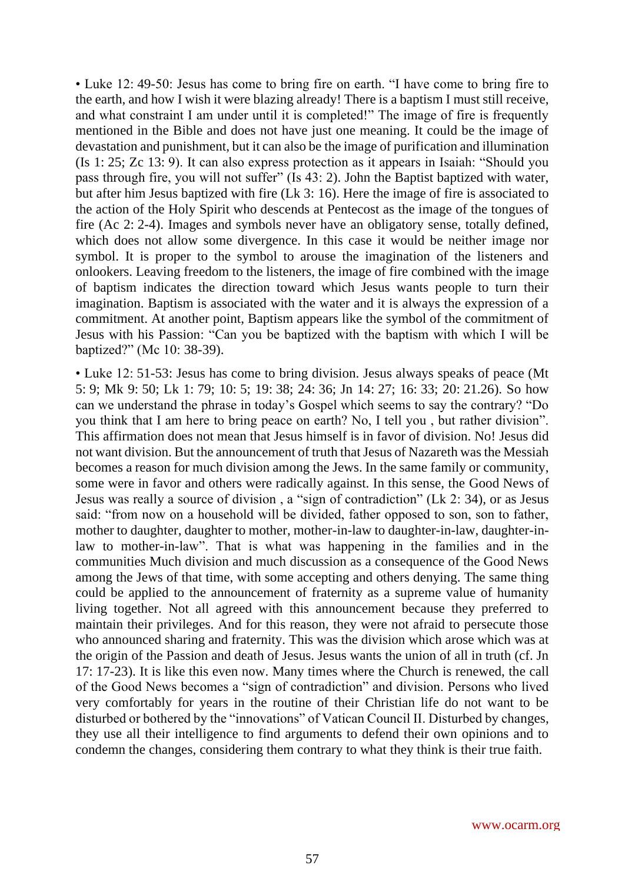• Luke 12: 49-50: Jesus has come to bring fire on earth. "I have come to bring fire to the earth, and how I wish it were blazing already! There is a baptism I must still receive, and what constraint I am under until it is completed!" The image of fire is frequently mentioned in the Bible and does not have just one meaning. It could be the image of devastation and punishment, but it can also be the image of purification and illumination (Is 1: 25; Zc 13: 9). It can also express protection as it appears in Isaiah: "Should you pass through fire, you will not suffer" (Is 43: 2). John the Baptist baptized with water, but after him Jesus baptized with fire (Lk 3: 16). Here the image of fire is associated to the action of the Holy Spirit who descends at Pentecost as the image of the tongues of fire (Ac 2: 2-4). Images and symbols never have an obligatory sense, totally defined, which does not allow some divergence. In this case it would be neither image nor symbol. It is proper to the symbol to arouse the imagination of the listeners and onlookers. Leaving freedom to the listeners, the image of fire combined with the image of baptism indicates the direction toward which Jesus wants people to turn their imagination. Baptism is associated with the water and it is always the expression of a commitment. At another point, Baptism appears like the symbol of the commitment of Jesus with his Passion: "Can you be baptized with the baptism with which I will be baptized?" (Mc 10: 38-39).

• Luke 12: 51-53: Jesus has come to bring division. Jesus always speaks of peace (Mt 5: 9; Mk 9: 50; Lk 1: 79; 10: 5; 19: 38; 24: 36; Jn 14: 27; 16: 33; 20: 21.26). So how can we understand the phrase in today's Gospel which seems to say the contrary? "Do you think that I am here to bring peace on earth? No, I tell you , but rather division". This affirmation does not mean that Jesus himself is in favor of division. No! Jesus did not want division. But the announcement of truth that Jesus of Nazareth was the Messiah becomes a reason for much division among the Jews. In the same family or community, some were in favor and others were radically against. In this sense, the Good News of Jesus was really a source of division , a "sign of contradiction" (Lk 2: 34), or as Jesus said: "from now on a household will be divided, father opposed to son, son to father, mother to daughter, daughter to mother, mother-in-law to daughter-in-law, daughter-inlaw to mother-in-law". That is what was happening in the families and in the communities Much division and much discussion as a consequence of the Good News among the Jews of that time, with some accepting and others denying. The same thing could be applied to the announcement of fraternity as a supreme value of humanity living together. Not all agreed with this announcement because they preferred to maintain their privileges. And for this reason, they were not afraid to persecute those who announced sharing and fraternity. This was the division which arose which was at the origin of the Passion and death of Jesus. Jesus wants the union of all in truth (cf. Jn 17: 17-23). It is like this even now. Many times where the Church is renewed, the call of the Good News becomes a "sign of contradiction" and division. Persons who lived very comfortably for years in the routine of their Christian life do not want to be disturbed or bothered by the "innovations" of Vatican Council II. Disturbed by changes, they use all their intelligence to find arguments to defend their own opinions and to condemn the changes, considering them contrary to what they think is their true faith.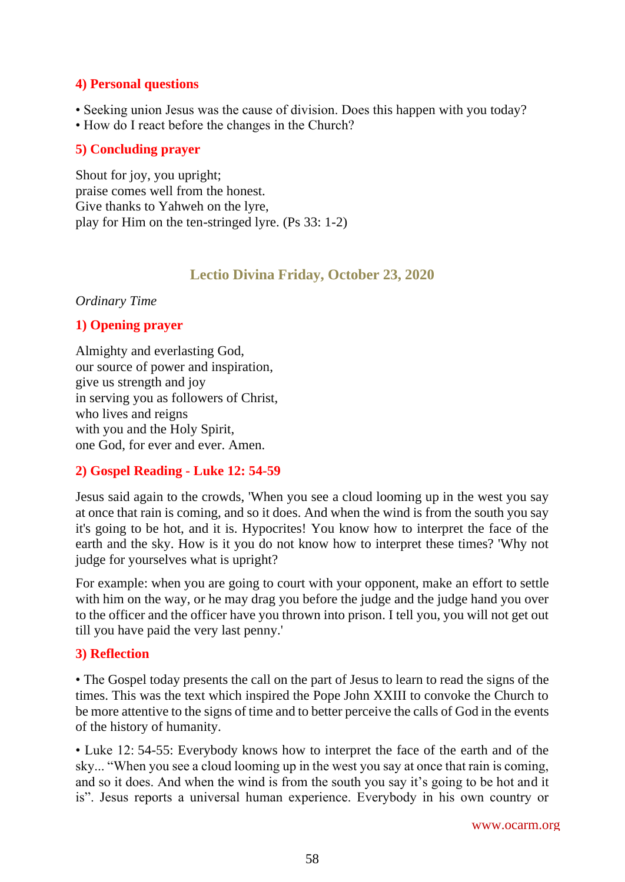## **4) Personal questions**

• Seeking union Jesus was the cause of division. Does this happen with you today?

• How do I react before the changes in the Church?

## **5) Concluding prayer**

Shout for joy, you upright; praise comes well from the honest. Give thanks to Yahweh on the lyre, play for Him on the ten-stringed lyre. (Ps 33: 1-2)

# **Lectio Divina Friday, October 23, 2020**

## *Ordinary Time*

# **1) Opening prayer**

Almighty and everlasting God, our source of power and inspiration, give us strength and joy in serving you as followers of Christ, who lives and reigns with you and the Holy Spirit, one God, for ever and ever. Amen.

# **2) Gospel Reading - Luke 12: 54-59**

Jesus said again to the crowds, 'When you see a cloud looming up in the west you say at once that rain is coming, and so it does. And when the wind is from the south you say it's going to be hot, and it is. Hypocrites! You know how to interpret the face of the earth and the sky. How is it you do not know how to interpret these times? 'Why not judge for yourselves what is upright?

For example: when you are going to court with your opponent, make an effort to settle with him on the way, or he may drag you before the judge and the judge hand you over to the officer and the officer have you thrown into prison. I tell you, you will not get out till you have paid the very last penny.'

# **3) Reflection**

• The Gospel today presents the call on the part of Jesus to learn to read the signs of the times. This was the text which inspired the Pope John XXIII to convoke the Church to be more attentive to the signs of time and to better perceive the calls of God in the events of the history of humanity.

• Luke 12: 54-55: Everybody knows how to interpret the face of the earth and of the sky... "When you see a cloud looming up in the west you say at once that rain is coming, and so it does. And when the wind is from the south you say it's going to be hot and it is". Jesus reports a universal human experience. Everybody in his own country or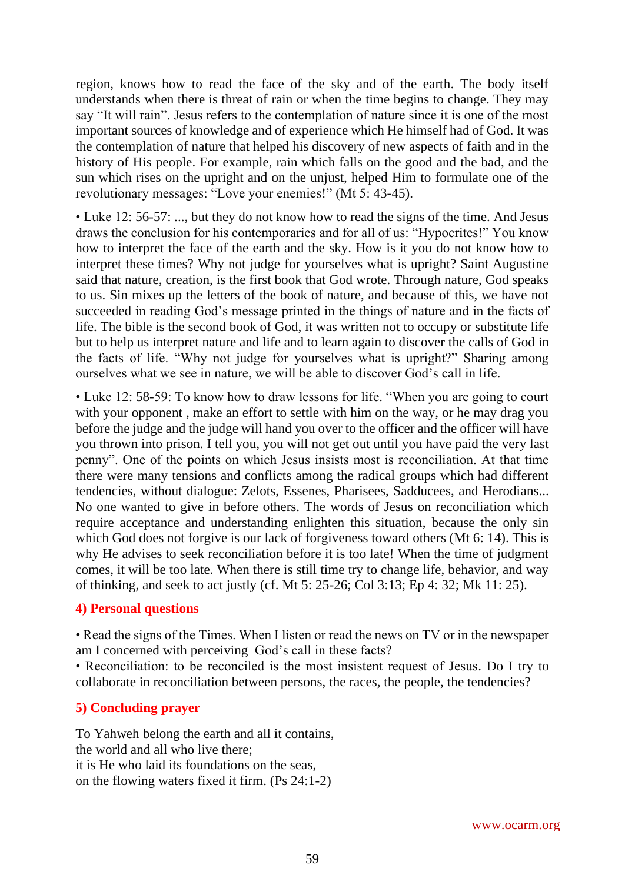region, knows how to read the face of the sky and of the earth. The body itself understands when there is threat of rain or when the time begins to change. They may say "It will rain". Jesus refers to the contemplation of nature since it is one of the most important sources of knowledge and of experience which He himself had of God. It was the contemplation of nature that helped his discovery of new aspects of faith and in the history of His people. For example, rain which falls on the good and the bad, and the sun which rises on the upright and on the unjust, helped Him to formulate one of the revolutionary messages: "Love your enemies!" (Mt 5: 43-45).

• Luke 12: 56-57: ..., but they do not know how to read the signs of the time. And Jesus draws the conclusion for his contemporaries and for all of us: "Hypocrites!" You know how to interpret the face of the earth and the sky. How is it you do not know how to interpret these times? Why not judge for yourselves what is upright? Saint Augustine said that nature, creation, is the first book that God wrote. Through nature, God speaks to us. Sin mixes up the letters of the book of nature, and because of this, we have not succeeded in reading God's message printed in the things of nature and in the facts of life. The bible is the second book of God, it was written not to occupy or substitute life but to help us interpret nature and life and to learn again to discover the calls of God in the facts of life. "Why not judge for yourselves what is upright?" Sharing among ourselves what we see in nature, we will be able to discover God's call in life.

• Luke 12: 58-59: To know how to draw lessons for life. "When you are going to court with your opponent , make an effort to settle with him on the way, or he may drag you before the judge and the judge will hand you over to the officer and the officer will have you thrown into prison. I tell you, you will not get out until you have paid the very last penny". One of the points on which Jesus insists most is reconciliation. At that time there were many tensions and conflicts among the radical groups which had different tendencies, without dialogue: Zelots, Essenes, Pharisees, Sadducees, and Herodians... No one wanted to give in before others. The words of Jesus on reconciliation which require acceptance and understanding enlighten this situation, because the only sin which God does not forgive is our lack of forgiveness toward others (Mt 6: 14). This is why He advises to seek reconciliation before it is too late! When the time of judgment comes, it will be too late. When there is still time try to change life, behavior, and way of thinking, and seek to act justly (cf. Mt 5: 25-26; Col 3:13; Ep 4: 32; Mk 11: 25).

#### **4) Personal questions**

• Read the signs of the Times. When I listen or read the news on TV or in the newspaper am I concerned with perceiving God's call in these facts?

• Reconciliation: to be reconciled is the most insistent request of Jesus. Do I try to collaborate in reconciliation between persons, the races, the people, the tendencies?

## **5) Concluding prayer**

To Yahweh belong the earth and all it contains, the world and all who live there; it is He who laid its foundations on the seas, on the flowing waters fixed it firm. (Ps 24:1-2)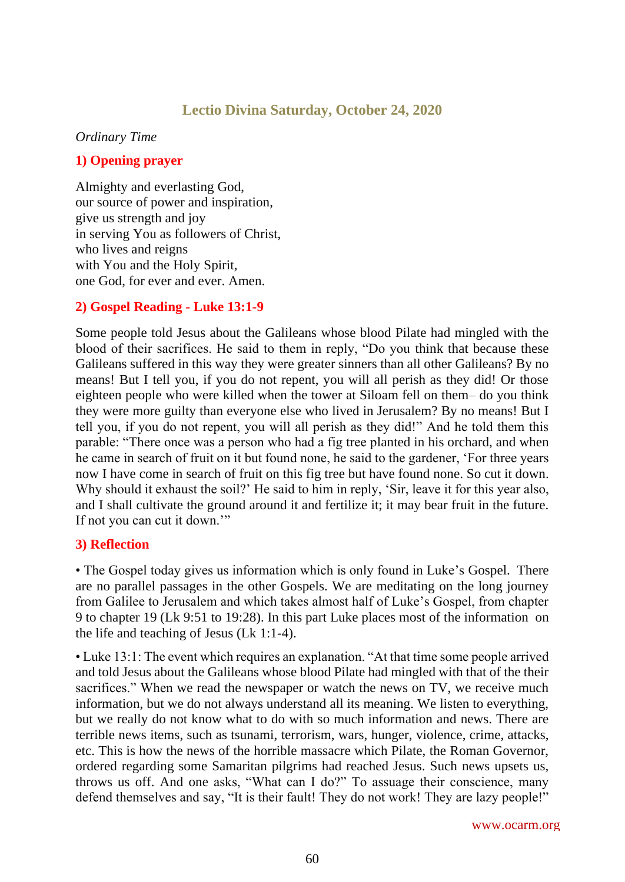## **Lectio Divina Saturday, October 24, 2020**

#### *Ordinary Time*

#### **1) Opening prayer**

Almighty and everlasting God, our source of power and inspiration, give us strength and joy in serving You as followers of Christ, who lives and reigns with You and the Holy Spirit, one God, for ever and ever. Amen.

#### **2) Gospel Reading - Luke 13:1-9**

Some people told Jesus about the Galileans whose blood Pilate had mingled with the blood of their sacrifices. He said to them in reply, "Do you think that because these Galileans suffered in this way they were greater sinners than all other Galileans? By no means! But I tell you, if you do not repent, you will all perish as they did! Or those eighteen people who were killed when the tower at Siloam fell on them– do you think they were more guilty than everyone else who lived in Jerusalem? By no means! But I tell you, if you do not repent, you will all perish as they did!" And he told them this parable: "There once was a person who had a fig tree planted in his orchard, and when he came in search of fruit on it but found none, he said to the gardener, 'For three years now I have come in search of fruit on this fig tree but have found none. So cut it down. Why should it exhaust the soil?' He said to him in reply, 'Sir, leave it for this year also, and I shall cultivate the ground around it and fertilize it; it may bear fruit in the future. If not you can cut it down."

#### **3) Reflection**

• The Gospel today gives us information which is only found in Luke's Gospel. There are no parallel passages in the other Gospels. We are meditating on the long journey from Galilee to Jerusalem and which takes almost half of Luke's Gospel, from chapter 9 to chapter 19 (Lk 9:51 to 19:28). In this part Luke places most of the information on the life and teaching of Jesus (Lk 1:1-4).

• Luke 13:1: The event which requires an explanation. "At that time some people arrived and told Jesus about the Galileans whose blood Pilate had mingled with that of the their sacrifices." When we read the newspaper or watch the news on TV, we receive much information, but we do not always understand all its meaning. We listen to everything, but we really do not know what to do with so much information and news. There are terrible news items, such as tsunami, terrorism, wars, hunger, violence, crime, attacks, etc. This is how the news of the horrible massacre which Pilate, the Roman Governor, ordered regarding some Samaritan pilgrims had reached Jesus. Such news upsets us, throws us off. And one asks, "What can I do?" To assuage their conscience, many defend themselves and say, "It is their fault! They do not work! They are lazy people!"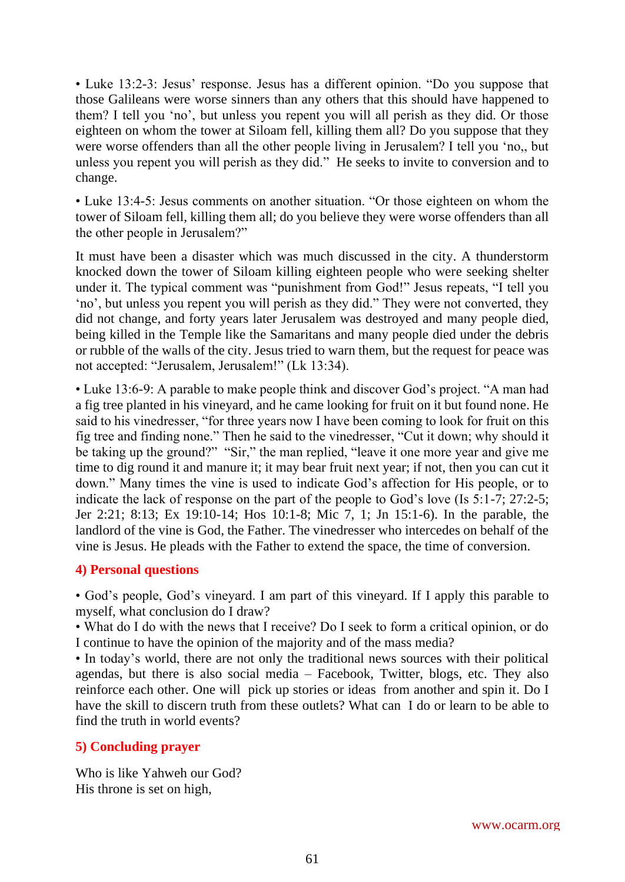• Luke 13:2-3: Jesus' response. Jesus has a different opinion. "Do you suppose that those Galileans were worse sinners than any others that this should have happened to them? I tell you 'no', but unless you repent you will all perish as they did. Or those eighteen on whom the tower at Siloam fell, killing them all? Do you suppose that they were worse offenders than all the other people living in Jerusalem? I tell you 'no,, but unless you repent you will perish as they did." He seeks to invite to conversion and to change.

• Luke 13:4-5: Jesus comments on another situation. "Or those eighteen on whom the tower of Siloam fell, killing them all; do you believe they were worse offenders than all the other people in Jerusalem?"

It must have been a disaster which was much discussed in the city. A thunderstorm knocked down the tower of Siloam killing eighteen people who were seeking shelter under it. The typical comment was "punishment from God!" Jesus repeats, "I tell you 'no', but unless you repent you will perish as they did." They were not converted, they did not change, and forty years later Jerusalem was destroyed and many people died, being killed in the Temple like the Samaritans and many people died under the debris or rubble of the walls of the city. Jesus tried to warn them, but the request for peace was not accepted: "Jerusalem, Jerusalem!" (Lk 13:34).

• Luke 13:6-9: A parable to make people think and discover God's project. "A man had a fig tree planted in his vineyard, and he came looking for fruit on it but found none. He said to his vinedresser, "for three years now I have been coming to look for fruit on this fig tree and finding none." Then he said to the vinedresser, "Cut it down; why should it be taking up the ground?" "Sir," the man replied, "leave it one more year and give me time to dig round it and manure it; it may bear fruit next year; if not, then you can cut it down." Many times the vine is used to indicate God's affection for His people, or to indicate the lack of response on the part of the people to God's love (Is 5:1-7; 27:2-5; Jer 2:21; 8:13; Ex 19:10-14; Hos 10:1-8; Mic 7, 1; Jn 15:1-6). In the parable, the landlord of the vine is God, the Father. The vinedresser who intercedes on behalf of the vine is Jesus. He pleads with the Father to extend the space, the time of conversion.

## **4) Personal questions**

• God's people, God's vineyard. I am part of this vineyard. If I apply this parable to myself, what conclusion do I draw?

• What do I do with the news that I receive? Do I seek to form a critical opinion, or do I continue to have the opinion of the majority and of the mass media?

• In today's world, there are not only the traditional news sources with their political agendas, but there is also social media – Facebook, Twitter, blogs, etc. They also reinforce each other. One will pick up stories or ideas from another and spin it. Do I have the skill to discern truth from these outlets? What can I do or learn to be able to find the truth in world events?

## **5) Concluding prayer**

Who is like Yahweh our God? His throne is set on high,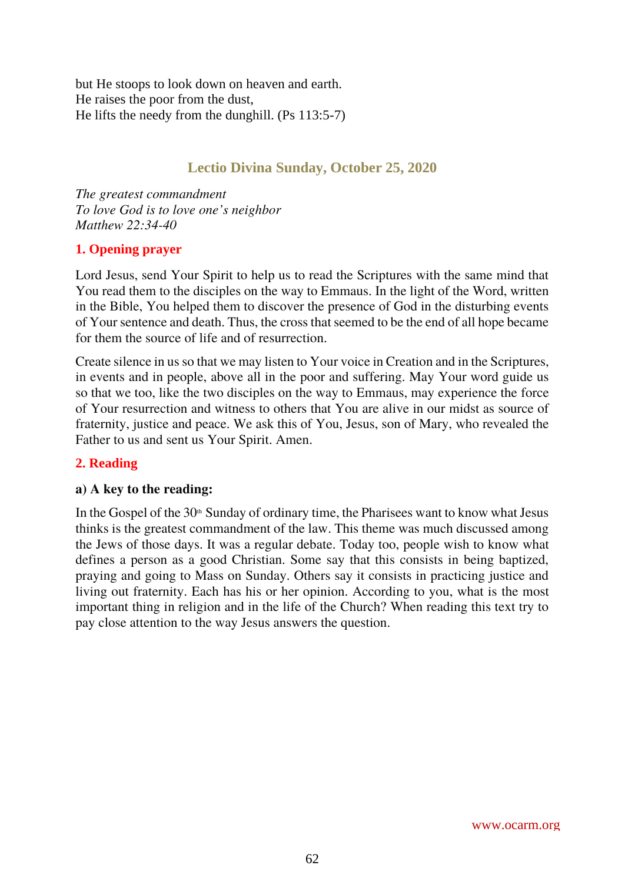but He stoops to look down on heaven and earth. He raises the poor from the dust, He lifts the needy from the dunghill. (Ps 113:5-7)

# **Lectio Divina Sunday, October 25, 2020**

*The greatest commandment To love God is to love one's neighbor Matthew 22:34-40*

## **1. Opening prayer**

Lord Jesus, send Your Spirit to help us to read the Scriptures with the same mind that You read them to the disciples on the way to Emmaus. In the light of the Word, written in the Bible, You helped them to discover the presence of God in the disturbing events of Your sentence and death. Thus, the cross that seemed to be the end of all hope became for them the source of life and of resurrection.

Create silence in us so that we may listen to Your voice in Creation and in the Scriptures, in events and in people, above all in the poor and suffering. May Your word guide us so that we too, like the two disciples on the way to Emmaus, may experience the force of Your resurrection and witness to others that You are alive in our midst as source of fraternity, justice and peace. We ask this of You, Jesus, son of Mary, who revealed the Father to us and sent us Your Spirit. Amen.

## **2. Reading**

#### **a) A key to the reading:**

In the Gospel of the  $30<sup>th</sup>$  Sunday of ordinary time, the Pharisees want to know what Jesus thinks is the greatest commandment of the law. This theme was much discussed among the Jews of those days. It was a regular debate. Today too, people wish to know what defines a person as a good Christian. Some say that this consists in being baptized, praying and going to Mass on Sunday. Others say it consists in practicing justice and living out fraternity. Each has his or her opinion. According to you, what is the most important thing in religion and in the life of the Church? When reading this text try to pay close attention to the way Jesus answers the question.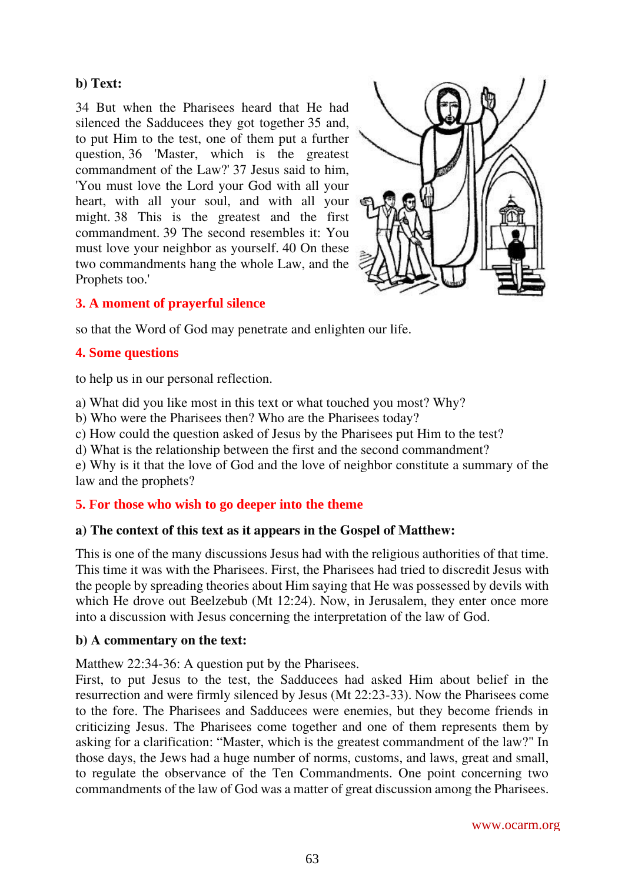## **b) Text:**

34 But when the Pharisees heard that He had silenced the Sadducees they got together 35 and, to put Him to the test, one of them put a further question, 36 'Master, which is the greatest commandment of the Law?' 37 Jesus said to him, 'You must love the Lord your God with all your heart, with all your soul, and with all your might. 38 This is the greatest and the first commandment. 39 The second resembles it: You must love your neighbor as yourself. 40 On these two commandments hang the whole Law, and the Prophets too.'



## **3. A moment of prayerful silence**

so that the Word of God may penetrate and enlighten our life.

#### **4. Some questions**

to help us in our personal reflection.

a) What did you like most in this text or what touched you most? Why?

b) Who were the Pharisees then? Who are the Pharisees today?

c) How could the question asked of Jesus by the Pharisees put Him to the test?

d) What is the relationship between the first and the second commandment?

e) Why is it that the love of God and the love of neighbor constitute a summary of the law and the prophets?

## **5. For those who wish to go deeper into the theme**

## **a) The context of this text as it appears in the Gospel of Matthew:**

This is one of the many discussions Jesus had with the religious authorities of that time. This time it was with the Pharisees. First, the Pharisees had tried to discredit Jesus with the people by spreading theories about Him saying that He was possessed by devils with which He drove out Beelzebub (Mt 12:24). Now, in Jerusalem, they enter once more into a discussion with Jesus concerning the interpretation of the law of God.

## **b) A commentary on the text:**

Matthew 22:34-36: A question put by the Pharisees.

First, to put Jesus to the test, the Sadducees had asked Him about belief in the resurrection and were firmly silenced by Jesus (Mt 22:23-33). Now the Pharisees come to the fore. The Pharisees and Sadducees were enemies, but they become friends in criticizing Jesus. The Pharisees come together and one of them represents them by asking for a clarification: "Master, which is the greatest commandment of the law?" In those days, the Jews had a huge number of norms, customs, and laws, great and small, to regulate the observance of the Ten Commandments. One point concerning two commandments of the law of God was a matter of great discussion among the Pharisees.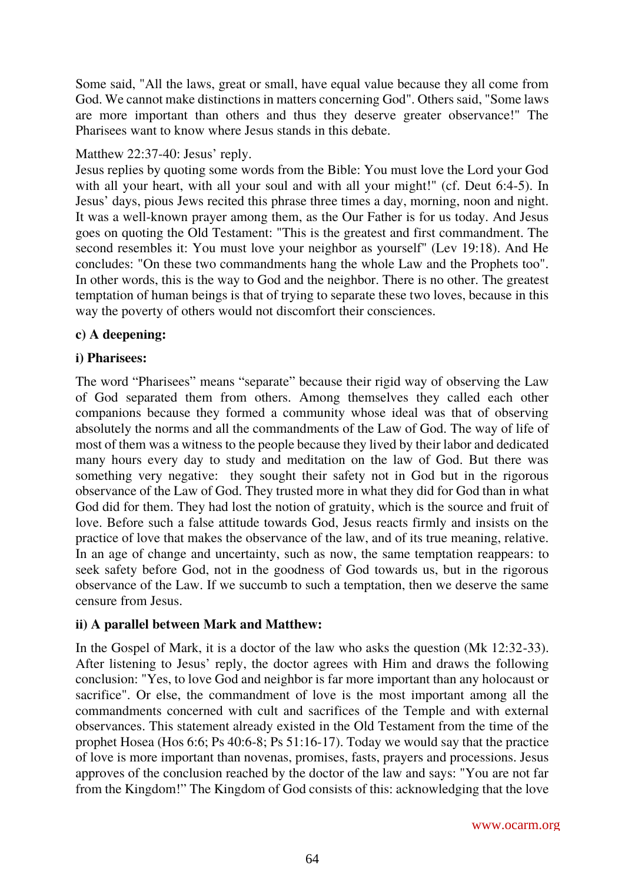Some said, "All the laws, great or small, have equal value because they all come from God. We cannot make distinctions in matters concerning God". Others said, "Some laws are more important than others and thus they deserve greater observance!" The Pharisees want to know where Jesus stands in this debate.

## Matthew 22:37-40: Jesus' reply.

Jesus replies by quoting some words from the Bible: You must love the Lord your God with all your heart, with all your soul and with all your might!" (cf. Deut 6:4-5). In Jesus' days, pious Jews recited this phrase three times a day, morning, noon and night. It was a well-known prayer among them, as the Our Father is for us today. And Jesus goes on quoting the Old Testament: "This is the greatest and first commandment. The second resembles it: You must love your neighbor as yourself" (Lev 19:18). And He concludes: "On these two commandments hang the whole Law and the Prophets too". In other words, this is the way to God and the neighbor. There is no other. The greatest temptation of human beings is that of trying to separate these two loves, because in this way the poverty of others would not discomfort their consciences.

## **c) A deepening:**

## **i) Pharisees:**

The word "Pharisees" means "separate" because their rigid way of observing the Law of God separated them from others. Among themselves they called each other companions because they formed a community whose ideal was that of observing absolutely the norms and all the commandments of the Law of God. The way of life of most of them was a witness to the people because they lived by their labor and dedicated many hours every day to study and meditation on the law of God. But there was something very negative: they sought their safety not in God but in the rigorous observance of the Law of God. They trusted more in what they did for God than in what God did for them. They had lost the notion of gratuity, which is the source and fruit of love. Before such a false attitude towards God, Jesus reacts firmly and insists on the practice of love that makes the observance of the law, and of its true meaning, relative. In an age of change and uncertainty, such as now, the same temptation reappears: to seek safety before God, not in the goodness of God towards us, but in the rigorous observance of the Law. If we succumb to such a temptation, then we deserve the same censure from Jesus.

## **ii) A parallel between Mark and Matthew:**

In the Gospel of Mark, it is a doctor of the law who asks the question (Mk 12:32-33). After listening to Jesus' reply, the doctor agrees with Him and draws the following conclusion: "Yes, to love God and neighbor is far more important than any holocaust or sacrifice". Or else, the commandment of love is the most important among all the commandments concerned with cult and sacrifices of the Temple and with external observances. This statement already existed in the Old Testament from the time of the prophet Hosea (Hos 6:6; Ps 40:6-8; Ps 51:16-17). Today we would say that the practice of love is more important than novenas, promises, fasts, prayers and processions. Jesus approves of the conclusion reached by the doctor of the law and says: "You are not far from the Kingdom!" The Kingdom of God consists of this: acknowledging that the love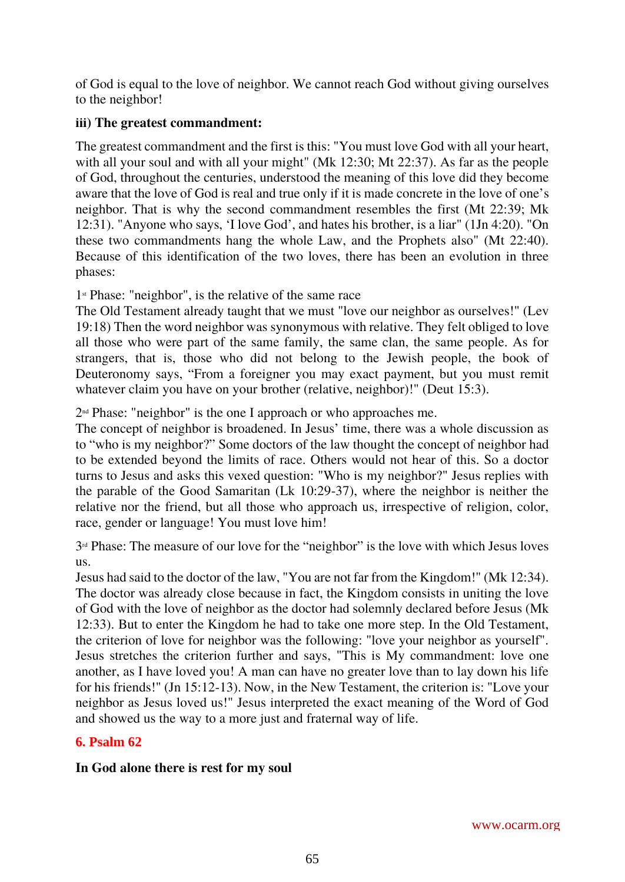of God is equal to the love of neighbor. We cannot reach God without giving ourselves to the neighbor!

#### **iii) The greatest commandment:**

The greatest commandment and the first is this: "You must love God with all your heart, with all your soul and with all your might" (Mk 12:30; Mt 22:37). As far as the people of God, throughout the centuries, understood the meaning of this love did they become aware that the love of God is real and true only if it is made concrete in the love of one's neighbor. That is why the second commandment resembles the first (Mt 22:39; Mk 12:31). "Anyone who says, 'I love God', and hates his brother, is a liar" (1Jn 4:20). "On these two commandments hang the whole Law, and the Prophets also" (Mt 22:40). Because of this identification of the two loves, there has been an evolution in three phases:

1 st Phase: "neighbor", is the relative of the same race

The Old Testament already taught that we must "love our neighbor as ourselves!" (Lev 19:18) Then the word neighbor was synonymous with relative. They felt obliged to love all those who were part of the same family, the same clan, the same people. As for strangers, that is, those who did not belong to the Jewish people, the book of Deuteronomy says, "From a foreigner you may exact payment, but you must remit whatever claim you have on your brother (relative, neighbor)!" (Deut 15:3).

2 nd Phase: "neighbor" is the one I approach or who approaches me.

The concept of neighbor is broadened. In Jesus' time, there was a whole discussion as to "who is my neighbor?" Some doctors of the law thought the concept of neighbor had to be extended beyond the limits of race. Others would not hear of this. So a doctor turns to Jesus and asks this vexed question: "Who is my neighbor?" Jesus replies with the parable of the Good Samaritan (Lk 10:29-37), where the neighbor is neither the relative nor the friend, but all those who approach us, irrespective of religion, color, race, gender or language! You must love him!

3 rd Phase: The measure of our love for the "neighbor" is the love with which Jesus loves us.

Jesus had said to the doctor of the law, "You are not far from the Kingdom!" (Mk 12:34). The doctor was already close because in fact, the Kingdom consists in uniting the love of God with the love of neighbor as the doctor had solemnly declared before Jesus (Mk 12:33). But to enter the Kingdom he had to take one more step. In the Old Testament, the criterion of love for neighbor was the following: "love your neighbor as yourself". Jesus stretches the criterion further and says, "This is My commandment: love one another, as I have loved you! A man can have no greater love than to lay down his life for his friends!" (Jn 15:12-13). Now, in the New Testament, the criterion is: "Love your neighbor as Jesus loved us!" Jesus interpreted the exact meaning of the Word of God and showed us the way to a more just and fraternal way of life.

## **6. Psalm 62**

#### **In God alone there is rest for my soul**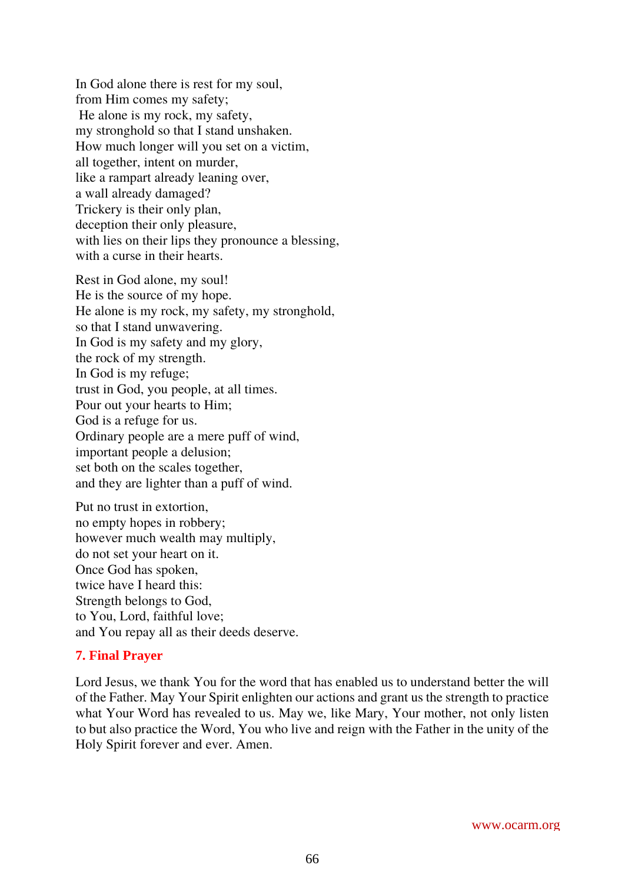In God alone there is rest for my soul, from Him comes my safety; He alone is my rock, my safety, my stronghold so that I stand unshaken. How much longer will you set on a victim, all together, intent on murder, like a rampart already leaning over, a wall already damaged? Trickery is their only plan, deception their only pleasure, with lies on their lips they pronounce a blessing, with a curse in their hearts.

Rest in God alone, my soul! He is the source of my hope. He alone is my rock, my safety, my stronghold, so that I stand unwavering. In God is my safety and my glory, the rock of my strength. In God is my refuge; trust in God, you people, at all times. Pour out your hearts to Him; God is a refuge for us. Ordinary people are a mere puff of wind, important people a delusion; set both on the scales together, and they are lighter than a puff of wind.

Put no trust in extortion, no empty hopes in robbery; however much wealth may multiply, do not set your heart on it. Once God has spoken, twice have I heard this: Strength belongs to God, to You, Lord, faithful love; and You repay all as their deeds deserve.

#### **7. Final Prayer**

Lord Jesus, we thank You for the word that has enabled us to understand better the will of the Father. May Your Spirit enlighten our actions and grant us the strength to practice what Your Word has revealed to us. May we, like Mary, Your mother, not only listen to but also practice the Word, You who live and reign with the Father in the unity of the Holy Spirit forever and ever. Amen.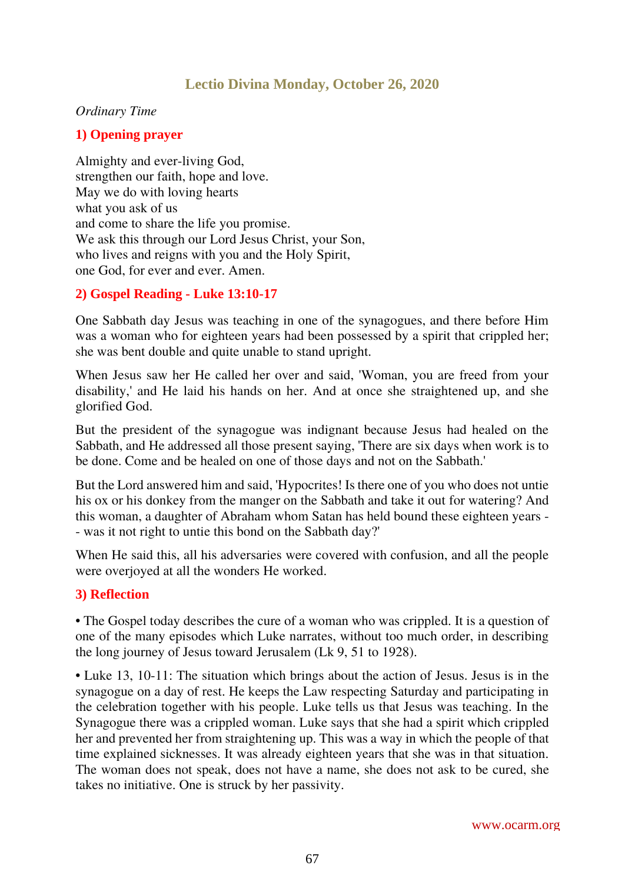# **Lectio Divina Monday, October 26, 2020**

#### *Ordinary Time*

#### **1) Opening prayer**

Almighty and ever-living God, strengthen our faith, hope and love. May we do with loving hearts what you ask of us and come to share the life you promise. We ask this through our Lord Jesus Christ, your Son, who lives and reigns with you and the Holy Spirit, one God, for ever and ever. Amen.

#### **2) Gospel Reading - Luke 13:10-17**

One Sabbath day Jesus was teaching in one of the synagogues, and there before Him was a woman who for eighteen years had been possessed by a spirit that crippled her; she was bent double and quite unable to stand upright.

When Jesus saw her He called her over and said, 'Woman, you are freed from your disability,' and He laid his hands on her. And at once she straightened up, and she glorified God.

But the president of the synagogue was indignant because Jesus had healed on the Sabbath, and He addressed all those present saying, 'There are six days when work is to be done. Come and be healed on one of those days and not on the Sabbath.'

But the Lord answered him and said, 'Hypocrites! Is there one of you who does not untie his ox or his donkey from the manger on the Sabbath and take it out for watering? And this woman, a daughter of Abraham whom Satan has held bound these eighteen years - - was it not right to untie this bond on the Sabbath day?'

When He said this, all his adversaries were covered with confusion, and all the people were overjoyed at all the wonders He worked.

## **3) Reflection**

• The Gospel today describes the cure of a woman who was crippled. It is a question of one of the many episodes which Luke narrates, without too much order, in describing the long journey of Jesus toward Jerusalem (Lk 9, 51 to 1928).

• Luke 13, 10-11: The situation which brings about the action of Jesus. Jesus is in the synagogue on a day of rest. He keeps the Law respecting Saturday and participating in the celebration together with his people. Luke tells us that Jesus was teaching. In the Synagogue there was a crippled woman. Luke says that she had a spirit which crippled her and prevented her from straightening up. This was a way in which the people of that time explained sicknesses. It was already eighteen years that she was in that situation. The woman does not speak, does not have a name, she does not ask to be cured, she takes no initiative. One is struck by her passivity.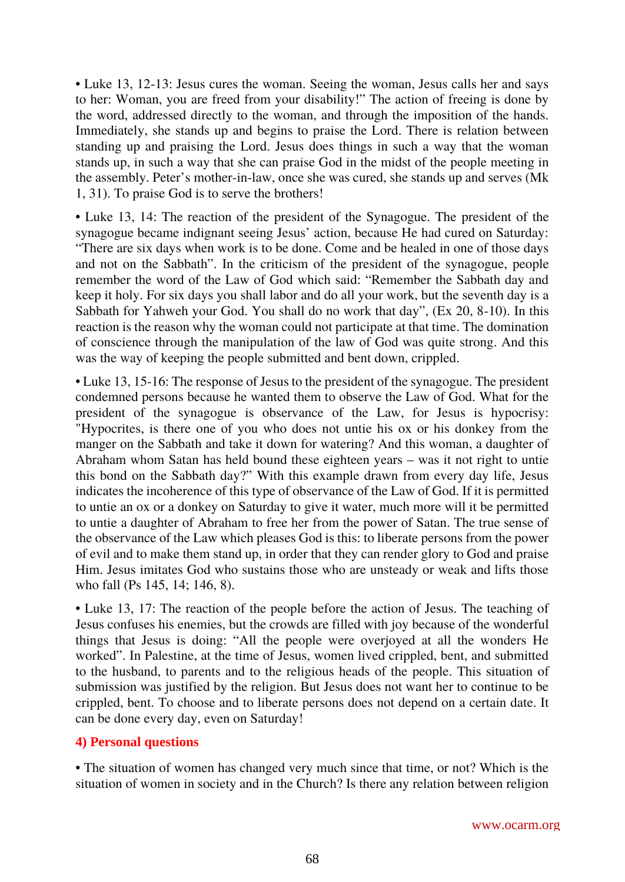• Luke 13, 12-13: Jesus cures the woman. Seeing the woman, Jesus calls her and says to her: Woman, you are freed from your disability!" The action of freeing is done by the word, addressed directly to the woman, and through the imposition of the hands. Immediately, she stands up and begins to praise the Lord. There is relation between standing up and praising the Lord. Jesus does things in such a way that the woman stands up, in such a way that she can praise God in the midst of the people meeting in the assembly. Peter's mother-in-law, once she was cured, she stands up and serves (Mk 1, 31). To praise God is to serve the brothers!

• Luke 13, 14: The reaction of the president of the Synagogue. The president of the synagogue became indignant seeing Jesus' action, because He had cured on Saturday: "There are six days when work is to be done. Come and be healed in one of those days and not on the Sabbath". In the criticism of the president of the synagogue, people remember the word of the Law of God which said: "Remember the Sabbath day and keep it holy. For six days you shall labor and do all your work, but the seventh day is a Sabbath for Yahweh your God. You shall do no work that day", (Ex 20, 8-10). In this reaction is the reason why the woman could not participate at that time. The domination of conscience through the manipulation of the law of God was quite strong. And this was the way of keeping the people submitted and bent down, crippled.

• Luke 13, 15-16: The response of Jesus to the president of the synagogue. The president condemned persons because he wanted them to observe the Law of God. What for the president of the synagogue is observance of the Law, for Jesus is hypocrisy: "Hypocrites, is there one of you who does not untie his ox or his donkey from the manger on the Sabbath and take it down for watering? And this woman, a daughter of Abraham whom Satan has held bound these eighteen years – was it not right to untie this bond on the Sabbath day?" With this example drawn from every day life, Jesus indicates the incoherence of this type of observance of the Law of God. If it is permitted to untie an ox or a donkey on Saturday to give it water, much more will it be permitted to untie a daughter of Abraham to free her from the power of Satan. The true sense of the observance of the Law which pleases God is this: to liberate persons from the power of evil and to make them stand up, in order that they can render glory to God and praise Him. Jesus imitates God who sustains those who are unsteady or weak and lifts those who fall (Ps 145, 14; 146, 8).

• Luke 13, 17: The reaction of the people before the action of Jesus. The teaching of Jesus confuses his enemies, but the crowds are filled with joy because of the wonderful things that Jesus is doing: "All the people were overjoyed at all the wonders He worked". In Palestine, at the time of Jesus, women lived crippled, bent, and submitted to the husband, to parents and to the religious heads of the people. This situation of submission was justified by the religion. But Jesus does not want her to continue to be crippled, bent. To choose and to liberate persons does not depend on a certain date. It can be done every day, even on Saturday!

#### **4) Personal questions**

• The situation of women has changed very much since that time, or not? Which is the situation of women in society and in the Church? Is there any relation between religion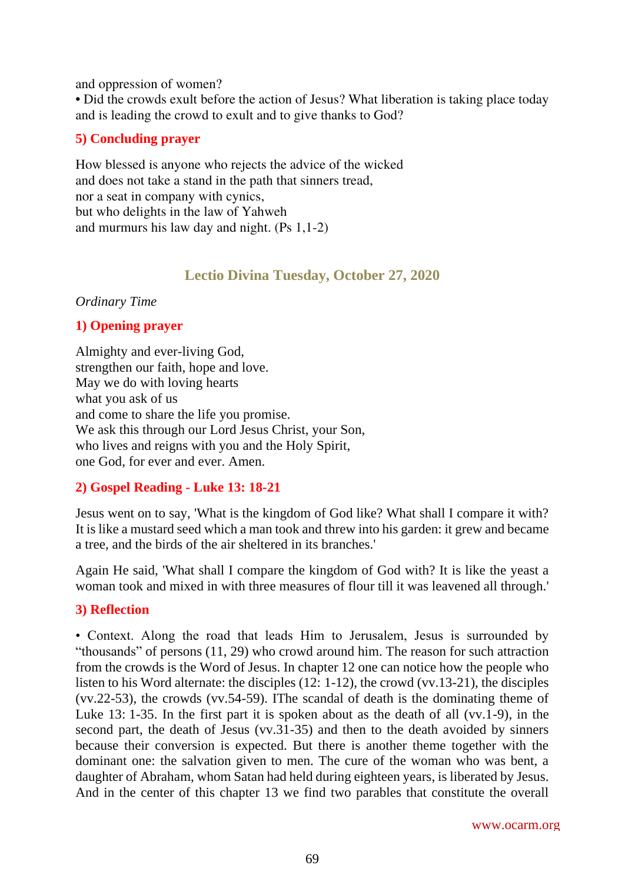and oppression of women?

• Did the crowds exult before the action of Jesus? What liberation is taking place today and is leading the crowd to exult and to give thanks to God?

## **5) Concluding prayer**

How blessed is anyone who rejects the advice of the wicked and does not take a stand in the path that sinners tread, nor a seat in company with cynics, but who delights in the law of Yahweh and murmurs his law day and night. (Ps 1,1-2)

## **Lectio Divina Tuesday, October 27, 2020**

#### *Ordinary Time*

## **1) Opening prayer**

Almighty and ever-living God, strengthen our faith, hope and love. May we do with loving hearts what you ask of us and come to share the life you promise. We ask this through our Lord Jesus Christ, your Son, who lives and reigns with you and the Holy Spirit, one God, for ever and ever. Amen.

## **2) Gospel Reading - Luke 13: 18-21**

Jesus went on to say, 'What is the kingdom of God like? What shall I compare it with? It is like a mustard seed which a man took and threw into his garden: it grew and became a tree, and the birds of the air sheltered in its branches.'

Again He said, 'What shall I compare the kingdom of God with? It is like the yeast a woman took and mixed in with three measures of flour till it was leavened all through.'

## **3) Reflection**

• Context. Along the road that leads Him to Jerusalem, Jesus is surrounded by "thousands" of persons (11, 29) who crowd around him. The reason for such attraction from the crowds is the Word of Jesus. In chapter 12 one can notice how the people who listen to his Word alternate: the disciples (12: 1-12), the crowd (vv.13-21), the disciples (vv.22-53), the crowds (vv.54-59). IThe scandal of death is the dominating theme of Luke 13: 1-35. In the first part it is spoken about as the death of all (vv.1-9), in the second part, the death of Jesus (vv.31-35) and then to the death avoided by sinners because their conversion is expected. But there is another theme together with the dominant one: the salvation given to men. The cure of the woman who was bent, a daughter of Abraham, whom Satan had held during eighteen years, is liberated by Jesus. And in the center of this chapter 13 we find two parables that constitute the overall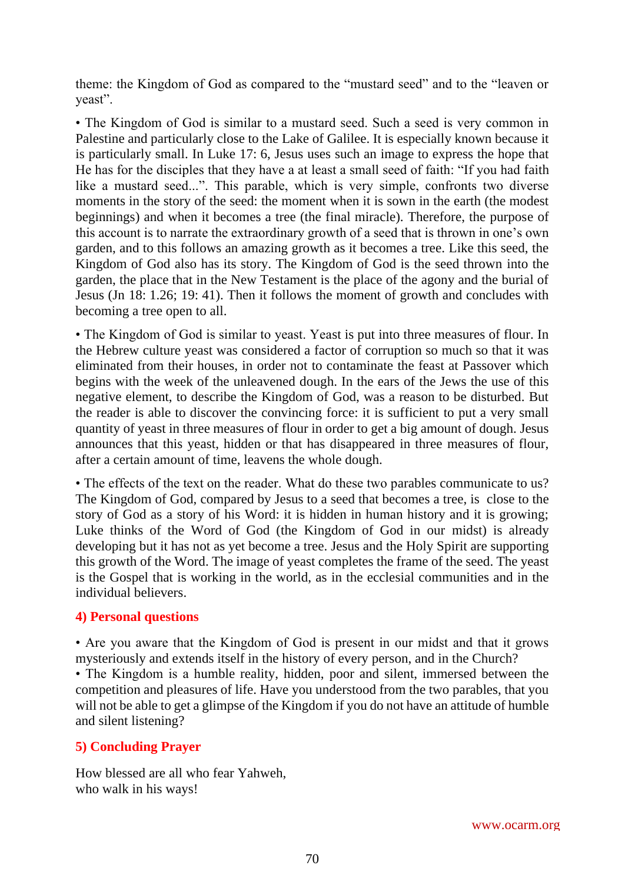theme: the Kingdom of God as compared to the "mustard seed" and to the "leaven or yeast".

• The Kingdom of God is similar to a mustard seed. Such a seed is very common in Palestine and particularly close to the Lake of Galilee. It is especially known because it is particularly small. In Luke 17: 6, Jesus uses such an image to express the hope that He has for the disciples that they have a at least a small seed of faith: "If you had faith like a mustard seed...". This parable, which is very simple, confronts two diverse moments in the story of the seed: the moment when it is sown in the earth (the modest beginnings) and when it becomes a tree (the final miracle). Therefore, the purpose of this account is to narrate the extraordinary growth of a seed that is thrown in one's own garden, and to this follows an amazing growth as it becomes a tree. Like this seed, the Kingdom of God also has its story. The Kingdom of God is the seed thrown into the garden, the place that in the New Testament is the place of the agony and the burial of Jesus (Jn 18: 1.26; 19: 41). Then it follows the moment of growth and concludes with becoming a tree open to all.

• The Kingdom of God is similar to yeast. Yeast is put into three measures of flour. In the Hebrew culture yeast was considered a factor of corruption so much so that it was eliminated from their houses, in order not to contaminate the feast at Passover which begins with the week of the unleavened dough. In the ears of the Jews the use of this negative element, to describe the Kingdom of God, was a reason to be disturbed. But the reader is able to discover the convincing force: it is sufficient to put a very small quantity of yeast in three measures of flour in order to get a big amount of dough. Jesus announces that this yeast, hidden or that has disappeared in three measures of flour, after a certain amount of time, leavens the whole dough.

• The effects of the text on the reader. What do these two parables communicate to us? The Kingdom of God, compared by Jesus to a seed that becomes a tree, is close to the story of God as a story of his Word: it is hidden in human history and it is growing; Luke thinks of the Word of God (the Kingdom of God in our midst) is already developing but it has not as yet become a tree. Jesus and the Holy Spirit are supporting this growth of the Word. The image of yeast completes the frame of the seed. The yeast is the Gospel that is working in the world, as in the ecclesial communities and in the individual believers.

## **4) Personal questions**

• Are you aware that the Kingdom of God is present in our midst and that it grows mysteriously and extends itself in the history of every person, and in the Church?

• The Kingdom is a humble reality, hidden, poor and silent, immersed between the competition and pleasures of life. Have you understood from the two parables, that you will not be able to get a glimpse of the Kingdom if you do not have an attitude of humble and silent listening?

## **5) Concluding Prayer**

How blessed are all who fear Yahweh, who walk in his ways!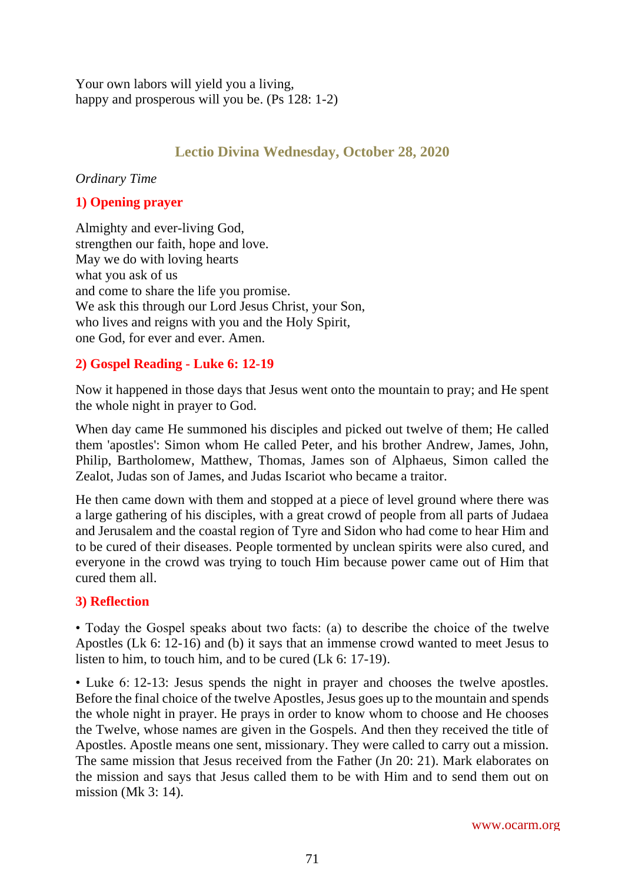Your own labors will yield you a living, happy and prosperous will you be. (Ps 128: 1-2)

# **Lectio Divina Wednesday, October 28, 2020**

#### *Ordinary Time*

## **1) Opening prayer**

Almighty and ever-living God, strengthen our faith, hope and love. May we do with loving hearts what you ask of us and come to share the life you promise. We ask this through our Lord Jesus Christ, your Son, who lives and reigns with you and the Holy Spirit, one God, for ever and ever. Amen.

## **2) Gospel Reading - Luke 6: 12-19**

Now it happened in those days that Jesus went onto the mountain to pray; and He spent the whole night in prayer to God.

When day came He summoned his disciples and picked out twelve of them; He called them 'apostles': Simon whom He called Peter, and his brother Andrew, James, John, Philip, Bartholomew, Matthew, Thomas, James son of Alphaeus, Simon called the Zealot, Judas son of James, and Judas Iscariot who became a traitor.

He then came down with them and stopped at a piece of level ground where there was a large gathering of his disciples, with a great crowd of people from all parts of Judaea and Jerusalem and the coastal region of Tyre and Sidon who had come to hear Him and to be cured of their diseases. People tormented by unclean spirits were also cured, and everyone in the crowd was trying to touch Him because power came out of Him that cured them all.

#### **3) Reflection**

• Today the Gospel speaks about two facts: (a) to describe the choice of the twelve Apostles (Lk 6: 12-16) and (b) it says that an immense crowd wanted to meet Jesus to listen to him, to touch him, and to be cured (Lk 6: 17-19).

• Luke 6: 12-13: Jesus spends the night in prayer and chooses the twelve apostles. Before the final choice of the twelve Apostles, Jesus goes up to the mountain and spends the whole night in prayer. He prays in order to know whom to choose and He chooses the Twelve, whose names are given in the Gospels. And then they received the title of Apostles. Apostle means one sent, missionary. They were called to carry out a mission. The same mission that Jesus received from the Father (Jn 20: 21). Mark elaborates on the mission and says that Jesus called them to be with Him and to send them out on mission (Mk 3: 14).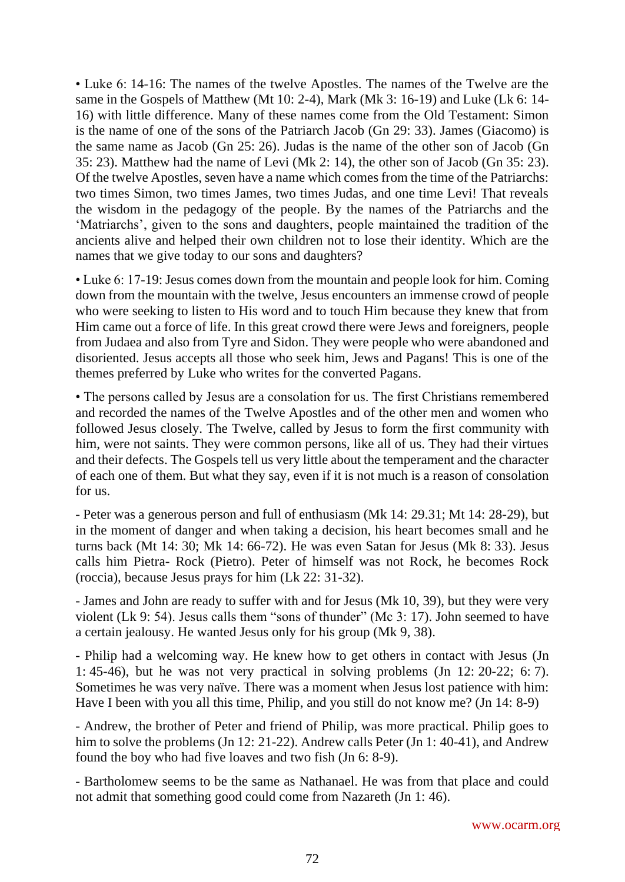• Luke 6: 14-16: The names of the twelve Apostles. The names of the Twelve are the same in the Gospels of Matthew (Mt 10: 2-4), Mark (Mk 3: 16-19) and Luke (Lk 6: 14- 16) with little difference. Many of these names come from the Old Testament: Simon is the name of one of the sons of the Patriarch Jacob (Gn 29: 33). James (Giacomo) is the same name as Jacob (Gn 25: 26). Judas is the name of the other son of Jacob (Gn 35: 23). Matthew had the name of Levi (Mk 2: 14), the other son of Jacob (Gn 35: 23). Of the twelve Apostles, seven have a name which comes from the time of the Patriarchs: two times Simon, two times James, two times Judas, and one time Levi! That reveals the wisdom in the pedagogy of the people. By the names of the Patriarchs and the 'Matriarchs', given to the sons and daughters, people maintained the tradition of the ancients alive and helped their own children not to lose their identity. Which are the names that we give today to our sons and daughters?

• Luke 6: 17-19: Jesus comes down from the mountain and people look for him. Coming down from the mountain with the twelve, Jesus encounters an immense crowd of people who were seeking to listen to His word and to touch Him because they knew that from Him came out a force of life. In this great crowd there were Jews and foreigners, people from Judaea and also from Tyre and Sidon. They were people who were abandoned and disoriented. Jesus accepts all those who seek him, Jews and Pagans! This is one of the themes preferred by Luke who writes for the converted Pagans.

• The persons called by Jesus are a consolation for us. The first Christians remembered and recorded the names of the Twelve Apostles and of the other men and women who followed Jesus closely. The Twelve, called by Jesus to form the first community with him, were not saints. They were common persons, like all of us. They had their virtues and their defects. The Gospels tell us very little about the temperament and the character of each one of them. But what they say, even if it is not much is a reason of consolation for us.

- Peter was a generous person and full of enthusiasm (Mk 14: 29.31; Mt 14: 28-29), but in the moment of danger and when taking a decision, his heart becomes small and he turns back (Mt 14: 30; Mk 14: 66-72). He was even Satan for Jesus (Mk 8: 33). Jesus calls him Pietra- Rock (Pietro). Peter of himself was not Rock, he becomes Rock (roccia), because Jesus prays for him (Lk 22: 31-32).

- James and John are ready to suffer with and for Jesus (Mk 10, 39), but they were very violent (Lk 9: 54). Jesus calls them "sons of thunder" (Mc 3: 17). John seemed to have a certain jealousy. He wanted Jesus only for his group (Mk 9, 38).

- Philip had a welcoming way. He knew how to get others in contact with Jesus (Jn 1: 45-46), but he was not very practical in solving problems (Jn 12: 20-22; 6: 7). Sometimes he was very naïve. There was a moment when Jesus lost patience with him: Have I been with you all this time, Philip, and you still do not know me? (Jn 14: 8-9)

- Andrew, the brother of Peter and friend of Philip, was more practical. Philip goes to him to solve the problems (Jn 12: 21-22). Andrew calls Peter (Jn 1: 40-41), and Andrew found the boy who had five loaves and two fish (Jn 6: 8-9).

- Bartholomew seems to be the same as Nathanael. He was from that place and could not admit that something good could come from Nazareth (Jn 1: 46).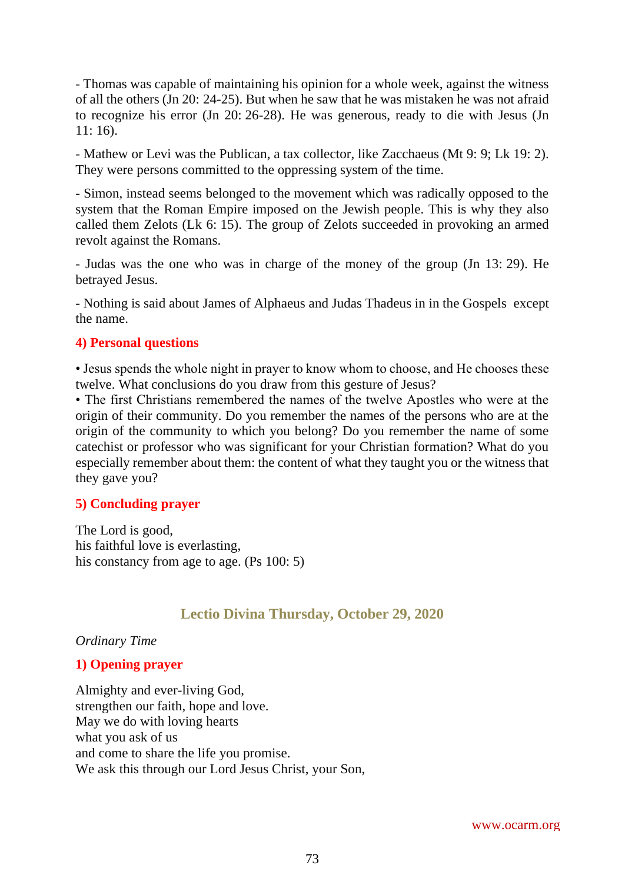- Thomas was capable of maintaining his opinion for a whole week, against the witness of all the others (Jn 20: 24-25). But when he saw that he was mistaken he was not afraid to recognize his error (Jn 20: 26-28). He was generous, ready to die with Jesus (Jn 11: 16).

- Mathew or Levi was the Publican, a tax collector, like Zacchaeus (Mt 9: 9; Lk 19: 2). They were persons committed to the oppressing system of the time.

- Simon, instead seems belonged to the movement which was radically opposed to the system that the Roman Empire imposed on the Jewish people. This is why they also called them Zelots (Lk 6: 15). The group of Zelots succeeded in provoking an armed revolt against the Romans.

- Judas was the one who was in charge of the money of the group (Jn 13: 29). He betrayed Jesus.

- Nothing is said about James of Alphaeus and Judas Thadeus in in the Gospels except the name.

#### **4) Personal questions**

• Jesus spends the whole night in prayer to know whom to choose, and He chooses these twelve. What conclusions do you draw from this gesture of Jesus?

• The first Christians remembered the names of the twelve Apostles who were at the origin of their community. Do you remember the names of the persons who are at the origin of the community to which you belong? Do you remember the name of some catechist or professor who was significant for your Christian formation? What do you especially remember about them: the content of what they taught you or the witness that they gave you?

## **5) Concluding prayer**

The Lord is good, his faithful love is everlasting, his constancy from age to age. (Ps 100: 5)

# **Lectio Divina Thursday, October 29, 2020**

*Ordinary Time*

#### **1) Opening prayer**

Almighty and ever-living God, strengthen our faith, hope and love. May we do with loving hearts what you ask of us and come to share the life you promise. We ask this through our Lord Jesus Christ, your Son,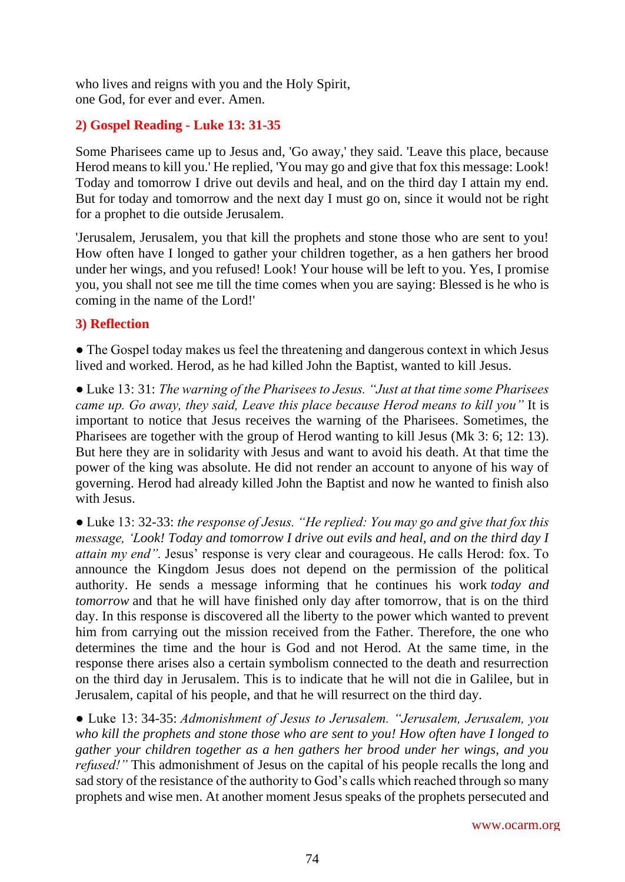who lives and reigns with you and the Holy Spirit, one God, for ever and ever. Amen.

# **2) Gospel Reading - Luke 13: 31-35**

Some Pharisees came up to Jesus and, 'Go away,' they said. 'Leave this place, because Herod means to kill you.' He replied, 'You may go and give that fox this message: Look! Today and tomorrow I drive out devils and heal, and on the third day I attain my end. But for today and tomorrow and the next day I must go on, since it would not be right for a prophet to die outside Jerusalem.

'Jerusalem, Jerusalem, you that kill the prophets and stone those who are sent to you! How often have I longed to gather your children together, as a hen gathers her brood under her wings, and you refused! Look! Your house will be left to you. Yes, I promise you, you shall not see me till the time comes when you are saying: Blessed is he who is coming in the name of the Lord!'

# **3) Reflection**

• The Gospel today makes us feel the threatening and dangerous context in which Jesus lived and worked. Herod, as he had killed John the Baptist, wanted to kill Jesus.

● Luke 13: 31: *The warning of the Pharisees to Jesus. "Just at that time some Pharisees came up. Go away, they said, Leave this place because Herod means to kill you"* It is important to notice that Jesus receives the warning of the Pharisees. Sometimes, the Pharisees are together with the group of Herod wanting to kill Jesus (Mk 3: 6; 12: 13). But here they are in solidarity with Jesus and want to avoid his death. At that time the power of the king was absolute. He did not render an account to anyone of his way of governing. Herod had already killed John the Baptist and now he wanted to finish also with Jesus.

● Luke 13: 32-33: *the response of Jesus. "He replied: You may go and give that fox this message, 'Look! Today and tomorrow I drive out evils and heal, and on the third day I attain my end".* Jesus' response is very clear and courageous. He calls Herod: fox. To announce the Kingdom Jesus does not depend on the permission of the political authority. He sends a message informing that he continues his work *today and tomorrow* and that he will have finished only day after tomorrow, that is on the third day. In this response is discovered all the liberty to the power which wanted to prevent him from carrying out the mission received from the Father. Therefore, the one who determines the time and the hour is God and not Herod. At the same time, in the response there arises also a certain symbolism connected to the death and resurrection on the third day in Jerusalem. This is to indicate that he will not die in Galilee, but in Jerusalem, capital of his people, and that he will resurrect on the third day.

● Luke 13: 34-35: *Admonishment of Jesus to Jerusalem. "Jerusalem, Jerusalem, you who kill the prophets and stone those who are sent to you! How often have I longed to gather your children together as a hen gathers her brood under her wings, and you refused!*" This admonishment of Jesus on the capital of his people recalls the long and sad story of the resistance of the authority to God's calls which reached through so many prophets and wise men. At another moment Jesus speaks of the prophets persecuted and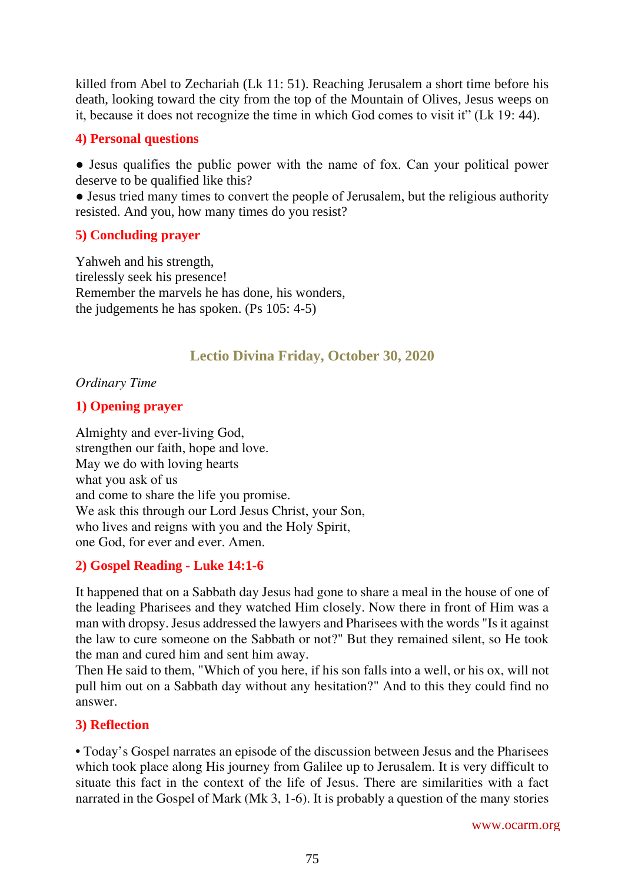killed from Abel to Zechariah (Lk 11: 51). Reaching Jerusalem a short time before his death, looking toward the city from the top of the Mountain of Olives, Jesus weeps on it, because it does not recognize the time in which God comes to visit it" (Lk 19: 44).

#### **4) Personal questions**

● Jesus qualifies the public power with the name of fox. Can your political power deserve to be qualified like this?

● Jesus tried many times to convert the people of Jerusalem, but the religious authority resisted. And you, how many times do you resist?

## **5) Concluding prayer**

Yahweh and his strength, tirelessly seek his presence! Remember the marvels he has done, his wonders, the judgements he has spoken. (Ps 105: 4-5)

## **Lectio Divina Friday, October 30, 2020**

*Ordinary Time*

## **1) Opening prayer**

Almighty and ever-living God, strengthen our faith, hope and love. May we do with loving hearts what you ask of us and come to share the life you promise. We ask this through our Lord Jesus Christ, your Son, who lives and reigns with you and the Holy Spirit, one God, for ever and ever. Amen.

## **2) Gospel Reading - Luke 14:1-6**

It happened that on a Sabbath day Jesus had gone to share a meal in the house of one of the leading Pharisees and they watched Him closely. Now there in front of Him was a man with dropsy. Jesus addressed the lawyers and Pharisees with the words "Is it against the law to cure someone on the Sabbath or not?" But they remained silent, so He took the man and cured him and sent him away.

Then He said to them, "Which of you here, if his son falls into a well, or his ox, will not pull him out on a Sabbath day without any hesitation?" And to this they could find no answer.

## **3) Reflection**

• Today's Gospel narrates an episode of the discussion between Jesus and the Pharisees which took place along His journey from Galilee up to Jerusalem. It is very difficult to situate this fact in the context of the life of Jesus. There are similarities with a fact narrated in the Gospel of Mark (Mk 3, 1-6). It is probably a question of the many stories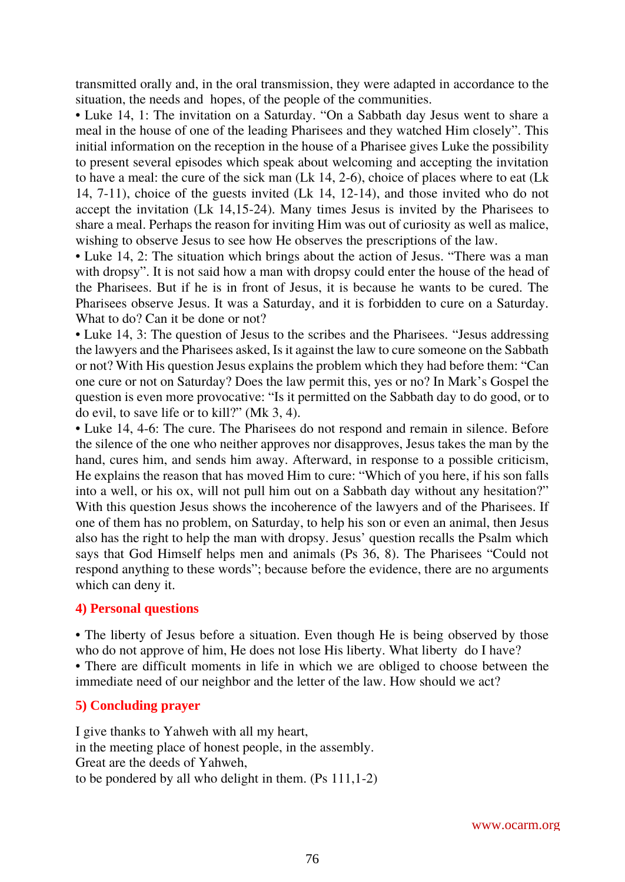transmitted orally and, in the oral transmission, they were adapted in accordance to the situation, the needs and hopes, of the people of the communities.

• Luke 14, 1: The invitation on a Saturday. "On a Sabbath day Jesus went to share a meal in the house of one of the leading Pharisees and they watched Him closely". This initial information on the reception in the house of a Pharisee gives Luke the possibility to present several episodes which speak about welcoming and accepting the invitation to have a meal: the cure of the sick man (Lk 14, 2-6), choice of places where to eat (Lk 14, 7-11), choice of the guests invited (Lk 14, 12-14), and those invited who do not accept the invitation (Lk 14,15-24). Many times Jesus is invited by the Pharisees to share a meal. Perhaps the reason for inviting Him was out of curiosity as well as malice, wishing to observe Jesus to see how He observes the prescriptions of the law.

• Luke 14, 2: The situation which brings about the action of Jesus. "There was a man with dropsy". It is not said how a man with dropsy could enter the house of the head of the Pharisees. But if he is in front of Jesus, it is because he wants to be cured. The Pharisees observe Jesus. It was a Saturday, and it is forbidden to cure on a Saturday. What to do? Can it be done or not?

• Luke 14, 3: The question of Jesus to the scribes and the Pharisees. "Jesus addressing the lawyers and the Pharisees asked, Is it against the law to cure someone on the Sabbath or not? With His question Jesus explains the problem which they had before them: "Can one cure or not on Saturday? Does the law permit this, yes or no? In Mark's Gospel the question is even more provocative: "Is it permitted on the Sabbath day to do good, or to do evil, to save life or to kill?" (Mk 3, 4).

• Luke 14, 4-6: The cure. The Pharisees do not respond and remain in silence. Before the silence of the one who neither approves nor disapproves, Jesus takes the man by the hand, cures him, and sends him away. Afterward, in response to a possible criticism, He explains the reason that has moved Him to cure: "Which of you here, if his son falls into a well, or his ox, will not pull him out on a Sabbath day without any hesitation?" With this question Jesus shows the incoherence of the lawyers and of the Pharisees. If one of them has no problem, on Saturday, to help his son or even an animal, then Jesus also has the right to help the man with dropsy. Jesus' question recalls the Psalm which says that God Himself helps men and animals (Ps 36, 8). The Pharisees "Could not respond anything to these words"; because before the evidence, there are no arguments which can deny it.

#### **4) Personal questions**

• The liberty of Jesus before a situation. Even though He is being observed by those who do not approve of him, He does not lose His liberty. What liberty do I have? • There are difficult moments in life in which we are obliged to choose between the immediate need of our neighbor and the letter of the law. How should we act?

## **5) Concluding prayer**

I give thanks to Yahweh with all my heart, in the meeting place of honest people, in the assembly. Great are the deeds of Yahweh, to be pondered by all who delight in them. (Ps 111,1-2)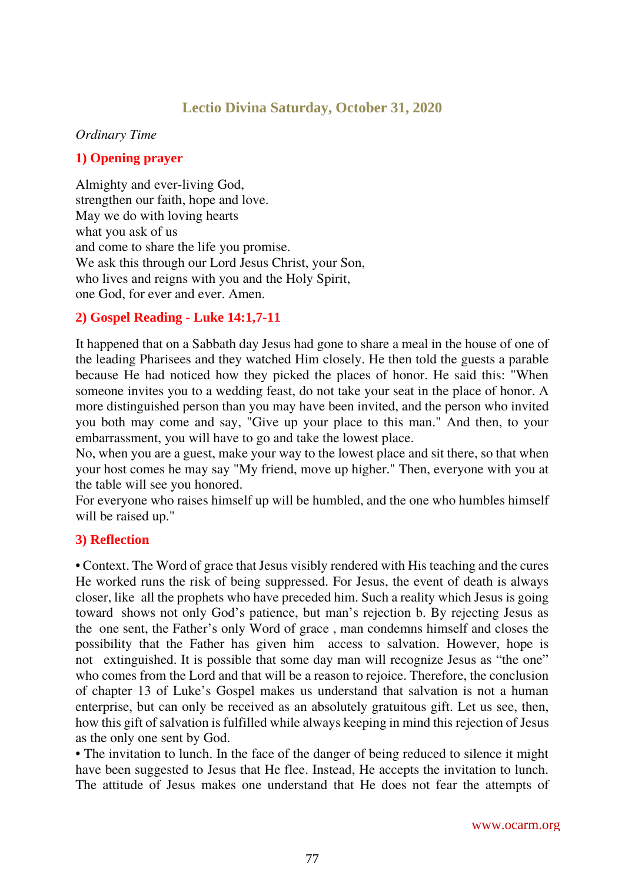# **Lectio Divina Saturday, October 31, 2020**

#### *Ordinary Time*

#### **1) Opening prayer**

Almighty and ever-living God, strengthen our faith, hope and love. May we do with loving hearts what you ask of us and come to share the life you promise. We ask this through our Lord Jesus Christ, your Son, who lives and reigns with you and the Holy Spirit, one God, for ever and ever. Amen.

#### **2) Gospel Reading - Luke 14:1,7-11**

It happened that on a Sabbath day Jesus had gone to share a meal in the house of one of the leading Pharisees and they watched Him closely. He then told the guests a parable because He had noticed how they picked the places of honor. He said this: "When someone invites you to a wedding feast, do not take your seat in the place of honor. A more distinguished person than you may have been invited, and the person who invited you both may come and say, "Give up your place to this man." And then, to your embarrassment, you will have to go and take the lowest place.

No, when you are a guest, make your way to the lowest place and sit there, so that when your host comes he may say "My friend, move up higher." Then, everyone with you at the table will see you honored.

For everyone who raises himself up will be humbled, and the one who humbles himself will be raised up."

#### **3) Reflection**

• Context. The Word of grace that Jesus visibly rendered with His teaching and the cures He worked runs the risk of being suppressed. For Jesus, the event of death is always closer, like all the prophets who have preceded him. Such a reality which Jesus is going toward shows not only God's patience, but man's rejection b. By rejecting Jesus as the one sent, the Father's only Word of grace , man condemns himself and closes the possibility that the Father has given him access to salvation. However, hope is not extinguished. It is possible that some day man will recognize Jesus as "the one" who comes from the Lord and that will be a reason to rejoice. Therefore, the conclusion of chapter 13 of Luke's Gospel makes us understand that salvation is not a human enterprise, but can only be received as an absolutely gratuitous gift. Let us see, then, how this gift of salvation is fulfilled while always keeping in mind this rejection of Jesus as the only one sent by God.

• The invitation to lunch. In the face of the danger of being reduced to silence it might have been suggested to Jesus that He flee. Instead, He accepts the invitation to lunch. The attitude of Jesus makes one understand that He does not fear the attempts of